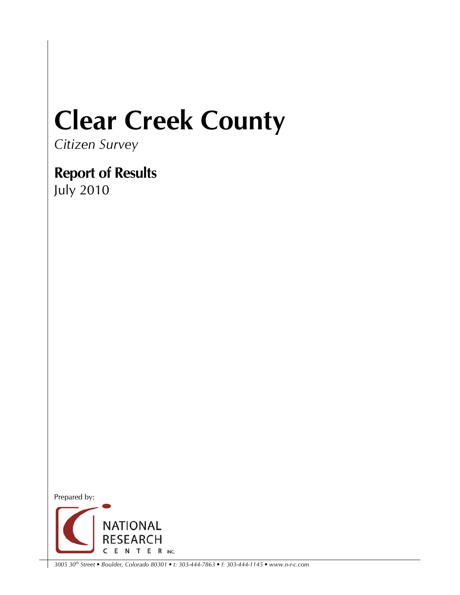## **Clear Creek County**

*Citizen Survey* 

**Report of Results**  July 2010



*3005 30th Street • Boulder, Colorado 80301 • t: 303-444-7863 • f: 303-444-1145 • www.n-r-c.com*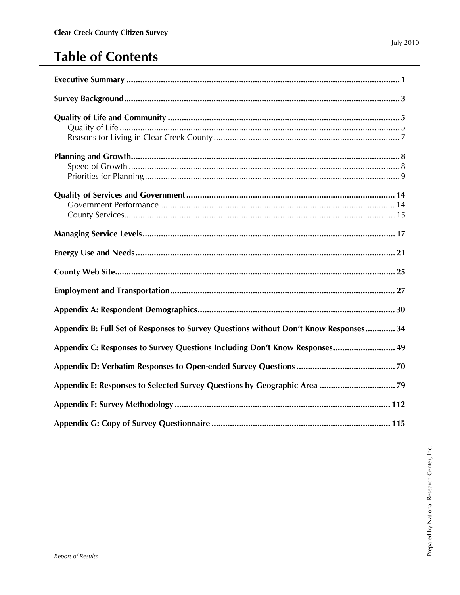| Appendix B: Full Set of Responses to Survey Questions without Don't Know Responses 34 |
|---------------------------------------------------------------------------------------|
| Appendix C: Responses to Survey Questions Including Don't Know Responses 49           |
|                                                                                       |
|                                                                                       |
|                                                                                       |
|                                                                                       |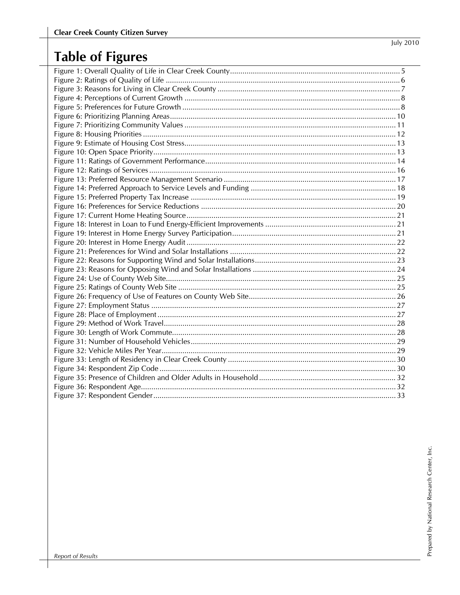## **Table of Figures**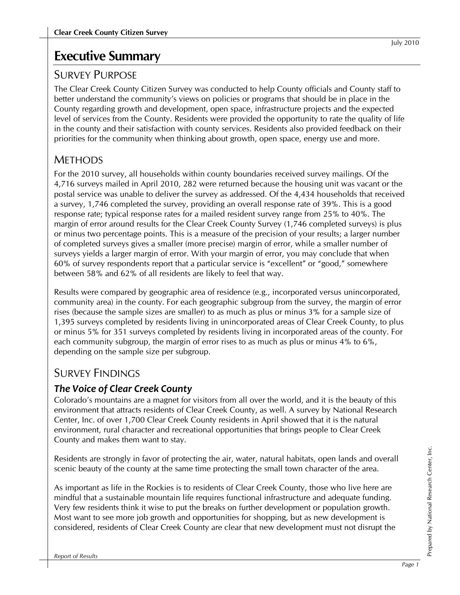## **Executive Summary**

## SURVEY PURPOSE

The Clear Creek County Citizen Survey was conducted to help County officials and County staff to better understand the community's views on policies or programs that should be in place in the County regarding growth and development, open space, infrastructure projects and the expected level of services from the County. Residents were provided the opportunity to rate the quality of life in the county and their satisfaction with county services. Residents also provided feedback on their priorities for the community when thinking about growth, open space, energy use and more.

## **METHODS**

For the 2010 survey, all households within county boundaries received survey mailings. Of the 4,716 surveys mailed in April 2010, 282 were returned because the housing unit was vacant or the postal service was unable to deliver the survey as addressed. Of the 4,434 households that received a survey, 1,746 completed the survey, providing an overall response rate of 39%. This is a good response rate; typical response rates for a mailed resident survey range from 25% to 40%. The margin of error around results for the Clear Creek County Survey (1,746 completed surveys) is plus or minus two percentage points. This is a measure of the precision of your results; a larger number of completed surveys gives a smaller (more precise) margin of error, while a smaller number of surveys yields a larger margin of error. With your margin of error, you may conclude that when 60% of survey respondents report that a particular service is "excellent" or "good," somewhere between 58% and 62% of all residents are likely to feel that way.

Results were compared by geographic area of residence (e.g., incorporated versus unincorporated, community area) in the county. For each geographic subgroup from the survey, the margin of error rises (because the sample sizes are smaller) to as much as plus or minus 3% for a sample size of 1,395 surveys completed by residents living in unincorporated areas of Clear Creek County, to plus or minus 5% for 351 surveys completed by residents living in incorporated areas of the county. For each community subgroup, the margin of error rises to as much as plus or minus 4% to 6%, depending on the sample size per subgroup.

## SURVEY FINDINGS

## *The Voice of Clear Creek County*

Colorado's mountains are a magnet for visitors from all over the world, and it is the beauty of this environment that attracts residents of Clear Creek County, as well. A survey by National Research Center, Inc. of over 1,700 Clear Creek County residents in April showed that it is the natural environment, rural character and recreational opportunities that brings people to Clear Creek County and makes them want to stay.

Residents are strongly in favor of protecting the air, water, natural habitats, open lands and overall scenic beauty of the county at the same time protecting the small town character of the area.

As important as life in the Rockies is to residents of Clear Creek County, those who live here are mindful that a sustainable mountain life requires functional infrastructure and adequate funding. Very few residents think it wise to put the breaks on further development or population growth. Most want to see more job growth and opportunities for shopping, but as new development is considered, residents of Clear Creek County are clear that new development must not disrupt the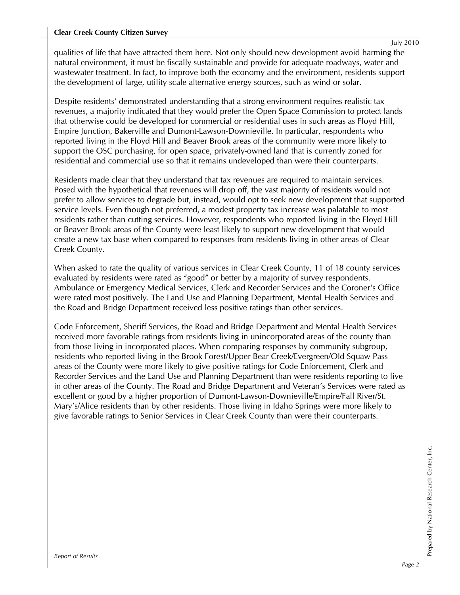qualities of life that have attracted them here. Not only should new development avoid harming the natural environment, it must be fiscally sustainable and provide for adequate roadways, water and wastewater treatment. In fact, to improve both the economy and the environment, residents support the development of large, utility scale alternative energy sources, such as wind or solar.

Despite residents' demonstrated understanding that a strong environment requires realistic tax revenues, a majority indicated that they would prefer the Open Space Commission to protect lands that otherwise could be developed for commercial or residential uses in such areas as Floyd Hill, Empire Junction, Bakerville and Dumont-Lawson-Downieville. In particular, respondents who reported living in the Floyd Hill and Beaver Brook areas of the community were more likely to support the OSC purchasing, for open space, privately-owned land that is currently zoned for residential and commercial use so that it remains undeveloped than were their counterparts.

Residents made clear that they understand that tax revenues are required to maintain services. Posed with the hypothetical that revenues will drop off, the vast majority of residents would not prefer to allow services to degrade but, instead, would opt to seek new development that supported service levels. Even though not preferred, a modest property tax increase was palatable to most residents rather than cutting services. However, respondents who reported living in the Floyd Hill or Beaver Brook areas of the County were least likely to support new development that would create a new tax base when compared to responses from residents living in other areas of Clear Creek County.

When asked to rate the quality of various services in Clear Creek County, 11 of 18 county services evaluated by residents were rated as "good" or better by a majority of survey respondents. Ambulance or Emergency Medical Services, Clerk and Recorder Services and the Coroner's Office were rated most positively. The Land Use and Planning Department, Mental Health Services and the Road and Bridge Department received less positive ratings than other services.

Code Enforcement, Sheriff Services, the Road and Bridge Department and Mental Health Services received more favorable ratings from residents living in unincorporated areas of the county than from those living in incorporated places. When comparing responses by community subgroup, residents who reported living in the Brook Forest/Upper Bear Creek/Evergreen/Old Squaw Pass areas of the County were more likely to give positive ratings for Code Enforcement, Clerk and Recorder Services and the Land Use and Planning Department than were residents reporting to live in other areas of the County. The Road and Bridge Department and Veteran's Services were rated as excellent or good by a higher proportion of Dumont-Lawson-Downieville/Empire/Fall River/St. Mary's/Alice residents than by other residents. Those living in Idaho Springs were more likely to give favorable ratings to Senior Services in Clear Creek County than were their counterparts.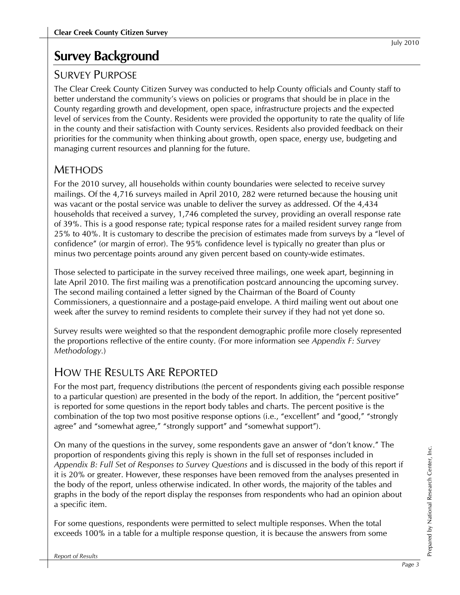## **Survey Background**

## SURVEY PURPOSE

The Clear Creek County Citizen Survey was conducted to help County officials and County staff to better understand the community's views on policies or programs that should be in place in the County regarding growth and development, open space, infrastructure projects and the expected level of services from the County. Residents were provided the opportunity to rate the quality of life in the county and their satisfaction with County services. Residents also provided feedback on their priorities for the community when thinking about growth, open space, energy use, budgeting and managing current resources and planning for the future.

## **METHODS**

For the 2010 survey, all households within county boundaries were selected to receive survey mailings. Of the 4,716 surveys mailed in April 2010, 282 were returned because the housing unit was vacant or the postal service was unable to deliver the survey as addressed. Of the 4,434 households that received a survey, 1,746 completed the survey, providing an overall response rate of 39%. This is a good response rate; typical response rates for a mailed resident survey range from 25% to 40%. It is customary to describe the precision of estimates made from surveys by a "level of confidence" (or margin of error). The 95% confidence level is typically no greater than plus or minus two percentage points around any given percent based on county-wide estimates.

Those selected to participate in the survey received three mailings, one week apart, beginning in late April 2010. The first mailing was a prenotification postcard announcing the upcoming survey. The second mailing contained a letter signed by the Chairman of the Board of County Commissioners, a questionnaire and a postage-paid envelope. A third mailing went out about one week after the survey to remind residents to complete their survey if they had not yet done so.

Survey results were weighted so that the respondent demographic profile more closely represented the proportions reflective of the entire county. (For more information see *Appendix F: Survey Methodology.*)

## HOW THE RESULTS ARE REPORTED

For the most part, frequency distributions (the percent of respondents giving each possible response to a particular question) are presented in the body of the report. In addition, the "percent positive" is reported for some questions in the report body tables and charts. The percent positive is the combination of the top two most positive response options (i.e., "excellent" and "good," "strongly agree" and "somewhat agree," "strongly support" and "somewhat support").

On many of the questions in the survey, some respondents gave an answer of "don't know." The proportion of respondents giving this reply is shown in the full set of responses included in *Appendix B: Full Set of Responses to Survey Questions* and is discussed in the body of this report if it is 20% or greater. However, these responses have been removed from the analyses presented in the body of the report, unless otherwise indicated. In other words, the majority of the tables and graphs in the body of the report display the responses from respondents who had an opinion about a specific item.

For some questions, respondents were permitted to select multiple responses. When the total exceeds 100% in a table for a multiple response question, it is because the answers from some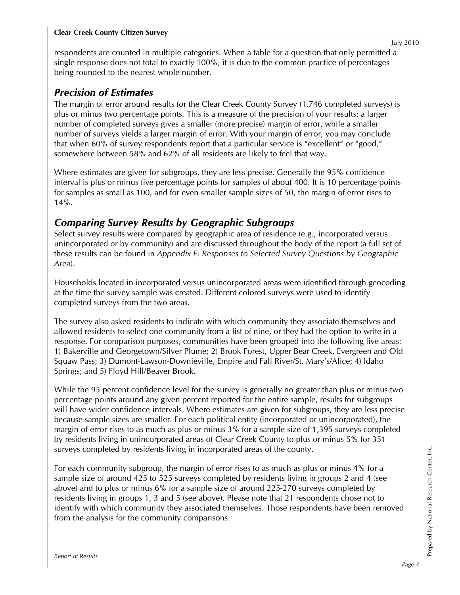respondents are counted in multiple categories. When a table for a question that only permitted a single response does not total to exactly 100%, it is due to the common practice of percentages being rounded to the nearest whole number.

### *Precision of Estimates*

The margin of error around results for the Clear Creek County Survey (1,746 completed surveys) is plus or minus two percentage points. This is a measure of the precision of your results; a larger number of completed surveys gives a smaller (more precise) margin of error, while a smaller number of surveys yields a larger margin of error. With your margin of error, you may conclude that when 60% of survey respondents report that a particular service is "excellent" or "good," somewhere between 58% and 62% of all residents are likely to feel that way.

Where estimates are given for subgroups, they are less precise. Generally the 95% confidence interval is plus or minus five percentage points for samples of about 400. It is 10 percentage points for samples as small as 100, and for even smaller sample sizes of 50, the margin of error rises to 14%.

## *Comparing Survey Results by Geographic Subgroups*

Select survey results were compared by geographic area of residence (e.g., incorporated versus unincorporated or by community) and are discussed throughout the body of the report (a full set of these results can be found in *Appendix E: Responses to Selected Survey Questions by Geographic Area*).

Households located in incorporated versus unincorporated areas were identified through geocoding at the time the survey sample was created. Different colored surveys were used to identify completed surveys from the two areas.

The survey also asked residents to indicate with which community they associate themselves and allowed residents to select one community from a list of nine, or they had the option to write in a response. For comparison purposes, communities have been grouped into the following five areas: 1) Bakerville and Georgetown/Silver Plume; 2) Brook Forest, Upper Bear Creek, Evergreen and Old Squaw Pass; 3) Dumont-Lawson-Downieville, Empire and Fall River/St. Mary's/Alice; 4) Idaho Springs; and 5) Floyd Hill/Beaver Brook.

While the 95 percent confidence level for the survey is generally no greater than plus or minus two percentage points around any given percent reported for the entire sample, results for subgroups will have wider confidence intervals. Where estimates are given for subgroups, they are less precise because sample sizes are smaller. For each political entity (incorporated or unincorporated), the margin of error rises to as much as plus or minus 3% for a sample size of 1,395 surveys completed by residents living in unincorporated areas of Clear Creek County to plus or minus 5% for 351 surveys completed by residents living in incorporated areas of the county.

For each community subgroup, the margin of error rises to as much as plus or minus 4% for a sample size of around 425 to 525 surveys completed by residents living in groups 2 and 4 (see above) and to plus or minus 6% for a sample size of around 225-270 surveys completed by residents living in groups 1, 3 and 5 (see above). Please note that 21 respondents chose not to identify with which community they associated themselves. Those respondents have been removed from the analysis for the community comparisons.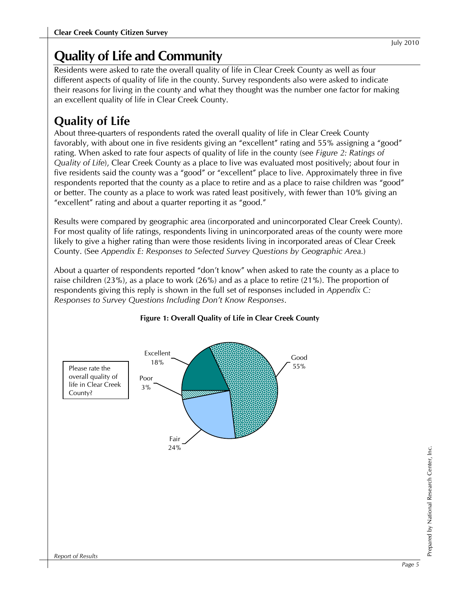## **Quality of Life and Community**

Residents were asked to rate the overall quality of life in Clear Creek County as well as four different aspects of quality of life in the county. Survey respondents also were asked to indicate their reasons for living in the county and what they thought was the number one factor for making an excellent quality of life in Clear Creek County.

## **Quality of Life**

About three-quarters of respondents rated the overall quality of life in Clear Creek County favorably, with about one in five residents giving an "excellent" rating and 55% assigning a "good" rating. When asked to rate four aspects of quality of life in the county (see *Figure 2: Ratings of Quality of Life*), Clear Creek County as a place to live was evaluated most positively; about four in five residents said the county was a "good" or "excellent" place to live. Approximately three in five respondents reported that the county as a place to retire and as a place to raise children was "good" or better. The county as a place to work was rated least positively, with fewer than 10% giving an "excellent" rating and about a quarter reporting it as "good."

Results were compared by geographic area (incorporated and unincorporated Clear Creek County). For most quality of life ratings, respondents living in unincorporated areas of the county were more likely to give a higher rating than were those residents living in incorporated areas of Clear Creek County. (See *Appendix E: Responses to Selected Survey Questions by Geographic Area.*)

About a quarter of respondents reported "don't know" when asked to rate the county as a place to raise children (23%), as a place to work (26%) and as a place to retire (21%). The proportion of respondents giving this reply is shown in the full set of responses included in *Appendix C: Responses to Survey Questions Including Don't Know Responses*.



#### **Figure 1: Overall Quality of Life in Clear Creek County**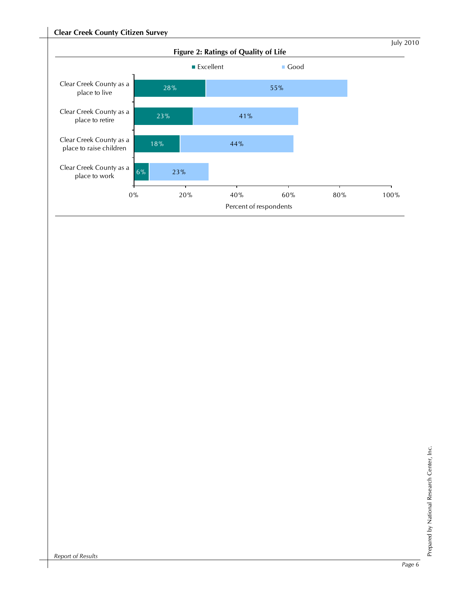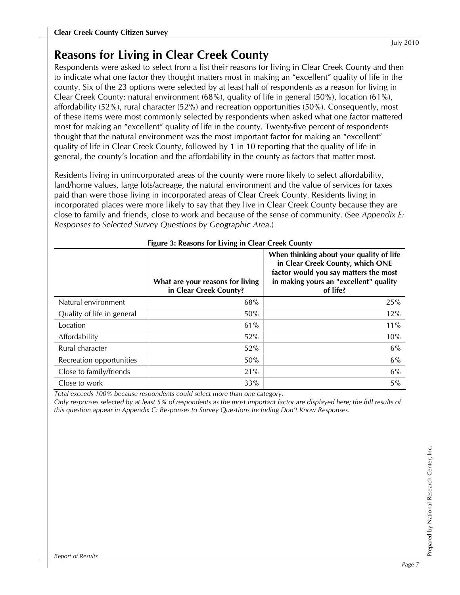## **Reasons for Living in Clear Creek County**

Respondents were asked to select from a list their reasons for living in Clear Creek County and then to indicate what one factor they thought matters most in making an "excellent" quality of life in the county. Six of the 23 options were selected by at least half of respondents as a reason for living in Clear Creek County: natural environment (68%), quality of life in general (50%), location (61%), affordability (52%), rural character (52%) and recreation opportunities (50%). Consequently, most of these items were most commonly selected by respondents when asked what one factor mattered most for making an "excellent" quality of life in the county. Twenty-five percent of respondents thought that the natural environment was the most important factor for making an "excellent" quality of life in Clear Creek County, followed by 1 in 10 reporting that the quality of life in general, the county's location and the affordability in the county as factors that matter most.

Residents living in unincorporated areas of the county were more likely to select affordability, land/home values, large lots/acreage, the natural environment and the value of services for taxes paid than were those living in incorporated areas of Clear Creek County. Residents living in incorporated places were more likely to say that they live in Clear Creek County because they are close to family and friends, close to work and because of the sense of community. (See *Appendix E: Responses to Selected Survey Questions by Geographic Area*.)

|                            | What are your reasons for living<br>in Clear Creek County? | When thinking about your quality of life<br>in Clear Creek County, which ONE<br>factor would you say matters the most<br>in making yours an "excellent" quality<br>of life? |
|----------------------------|------------------------------------------------------------|-----------------------------------------------------------------------------------------------------------------------------------------------------------------------------|
| Natural environment        | 68%                                                        | 25%                                                                                                                                                                         |
| Quality of life in general | 50%                                                        | 12%                                                                                                                                                                         |
| Location                   | 61%                                                        | $11\%$                                                                                                                                                                      |
| Affordability              | 52%                                                        | 10%                                                                                                                                                                         |
| Rural character            | 52%                                                        | 6%                                                                                                                                                                          |
| Recreation opportunities   | 50%                                                        | 6%                                                                                                                                                                          |
| Close to family/friends    | 21%                                                        | 6%                                                                                                                                                                          |
| Close to work              | 33%                                                        | $5\%$                                                                                                                                                                       |

| Figure 3: Reasons for Living in Clear Creek County |  |  |  |  |  |  |
|----------------------------------------------------|--|--|--|--|--|--|
|----------------------------------------------------|--|--|--|--|--|--|

*Total exceeds 100% because respondents could select more than one category.* 

*Only responses selected by at least 5% of respondents as the most important factor are displayed here; the full results of this question appear in Appendix C: Responses to Survey Questions Including Don't Know Responses.*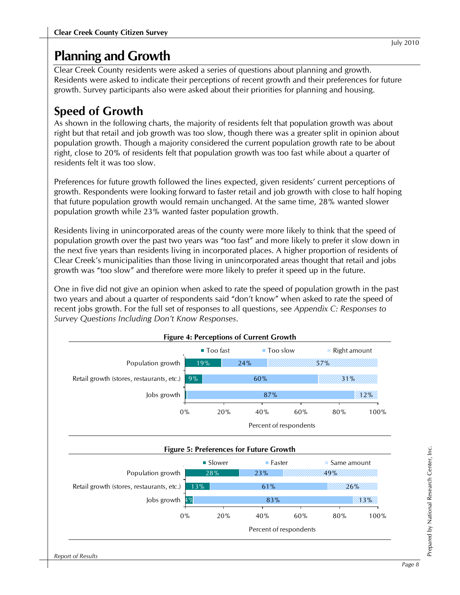## **Planning and Growth**

Clear Creek County residents were asked a series of questions about planning and growth. Residents were asked to indicate their perceptions of recent growth and their preferences for future growth. Survey participants also were asked about their priorities for planning and housing.

## **Speed of Growth**

As shown in the following charts, the majority of residents felt that population growth was about right but that retail and job growth was too slow, though there was a greater split in opinion about population growth. Though a majority considered the current population growth rate to be about right, close to 20% of residents felt that population growth was too fast while about a quarter of residents felt it was too slow.

Preferences for future growth followed the lines expected, given residents' current perceptions of growth. Respondents were looking forward to faster retail and job growth with close to half hoping that future population growth would remain unchanged. At the same time, 28% wanted slower population growth while 23% wanted faster population growth.

Residents living in unincorporated areas of the county were more likely to think that the speed of population growth over the past two years was "too fast" and more likely to prefer it slow down in the next five years than residents living in incorporated places. A higher proportion of residents of Clear Creek's municipalities than those living in unincorporated areas thought that retail and jobs growth was "too slow" and therefore were more likely to prefer it speed up in the future.

One in five did not give an opinion when asked to rate the speed of population growth in the past two years and about a quarter of respondents said "don't know" when asked to rate the speed of recent jobs growth. For the full set of responses to all questions, see *Appendix C: Responses to Survey Questions Including Don't Know Responses*.

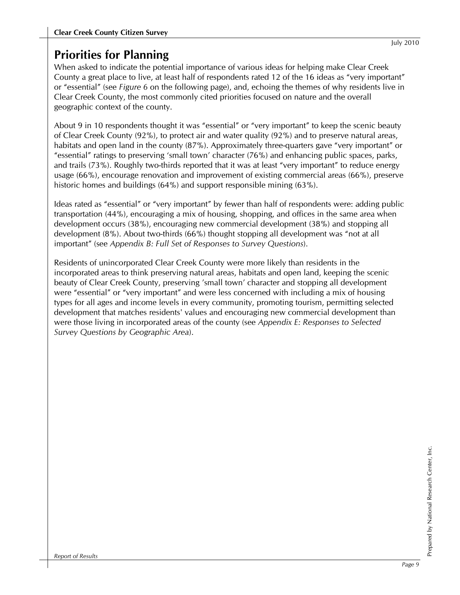## **Priorities for Planning**

When asked to indicate the potential importance of various ideas for helping make Clear Creek County a great place to live, at least half of respondents rated 12 of the 16 ideas as "very important" or "essential" (see *Figure 6* on the following page), and, echoing the themes of why residents live in Clear Creek County, the most commonly cited priorities focused on nature and the overall geographic context of the county.

About 9 in 10 respondents thought it was "essential" or "very important" to keep the scenic beauty of Clear Creek County (92%), to protect air and water quality (92%) and to preserve natural areas, habitats and open land in the county (87%). Approximately three-quarters gave "very important" or "essential" ratings to preserving 'small town' character (76%) and enhancing public spaces, parks, and trails (73%). Roughly two-thirds reported that it was at least "very important" to reduce energy usage (66%), encourage renovation and improvement of existing commercial areas (66%), preserve historic homes and buildings (64%) and support responsible mining (63%).

Ideas rated as "essential" or "very important" by fewer than half of respondents were: adding public transportation (44%), encouraging a mix of housing, shopping, and offices in the same area when development occurs (38%), encouraging new commercial development (38%) and stopping all development (8%). About two-thirds (66%) thought stopping all development was "not at all important" (see *Appendix B: Full Set of Responses to Survey Questions*).

Residents of unincorporated Clear Creek County were more likely than residents in the incorporated areas to think preserving natural areas, habitats and open land, keeping the scenic beauty of Clear Creek County, preserving 'small town' character and stopping all development were "essential" or "very important" and were less concerned with including a mix of housing types for all ages and income levels in every community, promoting tourism, permitting selected development that matches residents' values and encouraging new commercial development than were those living in incorporated areas of the county (see *Appendix E: Responses to Selected Survey Questions by Geographic Area*).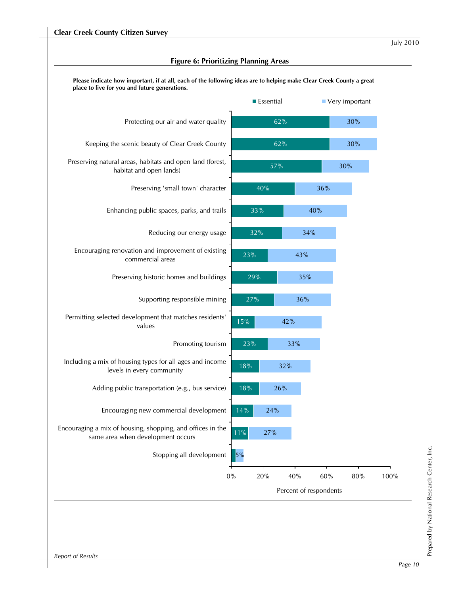|                                                                                                 | <b>Essential</b> |                        | Very important  |  |
|-------------------------------------------------------------------------------------------------|------------------|------------------------|-----------------|--|
| Protecting our air and water quality                                                            |                  | 62%                    | 30%             |  |
| Keeping the scenic beauty of Clear Creek County                                                 |                  | 62%                    | 30%             |  |
| Preserving natural areas, habitats and open land (forest,<br>habitat and open lands)            |                  | 57%                    | $30\%$          |  |
| Preserving 'small town' character                                                               | 40%              |                        | 36%             |  |
| Enhancing public spaces, parks, and trails                                                      | 33%              |                        | 40%             |  |
| Reducing our energy usage                                                                       | 32%              | 34%                    |                 |  |
| Encouraging renovation and improvement of existing<br>commercial areas                          | 23%              | 43%                    |                 |  |
| Preserving historic homes and buildings                                                         | 29%              | 35%                    |                 |  |
| Supporting responsible mining                                                                   | $27%$            | 36%                    |                 |  |
| Permitting selected development that matches residents'<br>values                               | 15%              | 42%                    |                 |  |
| Promoting tourism                                                                               | 23%              | 33%                    |                 |  |
| Including a mix of housing types for all ages and income<br>levels in every community           | 18%              | 32%                    |                 |  |
| Adding public transportation (e.g., bus service)                                                | 18%              | 26%                    |                 |  |
| Encouraging new commercial development                                                          | 14%<br>24%       |                        |                 |  |
| Encouraging a mix of housing, shopping, and offices in the<br>same area when development occurs | $11\%$<br>$27\%$ |                        |                 |  |
| Stopping all development                                                                        | 5%               |                        |                 |  |
| $0\%$                                                                                           | 20%              | 40%                    | $80\%$<br>$60%$ |  |
|                                                                                                 |                  | Percent of respondents |                 |  |

#### **Figure 6: Prioritizing Planning Areas**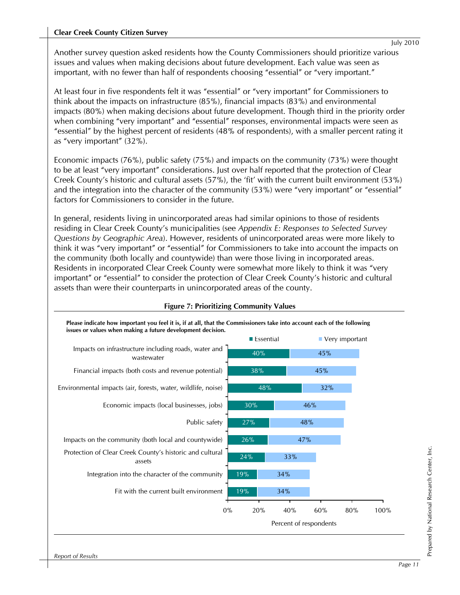#### **Clear Creek County Citizen Survey**

Another survey question asked residents how the County Commissioners should prioritize various issues and values when making decisions about future development. Each value was seen as important, with no fewer than half of respondents choosing "essential" or "very important."

At least four in five respondents felt it was "essential" or "very important" for Commissioners to think about the impacts on infrastructure (85%), financial impacts (83%) and environmental impacts (80%) when making decisions about future development. Though third in the priority order when combining "very important" and "essential" responses, environmental impacts were seen as "essential" by the highest percent of residents (48% of respondents), with a smaller percent rating it as "very important" (32%).

Economic impacts (76%), public safety (75%) and impacts on the community (73%) were thought to be at least "very important" considerations. Just over half reported that the protection of Clear Creek County's historic and cultural assets (57%), the 'fit' with the current built environment (53%) and the integration into the character of the community (53%) were "very important" or "essential" factors for Commissioners to consider in the future.

In general, residents living in unincorporated areas had similar opinions to those of residents residing in Clear Creek County's municipalities (see *Appendix E: Responses to Selected Survey Questions by Geographic Area*). However, residents of unincorporated areas were more likely to think it was "very important" or "essential" for Commissioners to take into account the impacts on the community (both locally and countywide) than were those living in incorporated areas. Residents in incorporated Clear Creek County were somewhat more likely to think it was "very important" or "essential" to consider the protection of Clear Creek County's historic and cultural assets than were their counterparts in unincorporated areas of the county.

|                                                                    | ■ Essential |                        |     | Very important |      |
|--------------------------------------------------------------------|-------------|------------------------|-----|----------------|------|
| Impacts on infrastructure including roads, water and<br>wastewater | 40%         |                        | 45% |                |      |
| Financial impacts (both costs and revenue potential)               | 38%         |                        | 45% |                |      |
| Environmental impacts (air, forests, water, wildlife, noise)       | 48%         |                        | 32% |                |      |
| Economic impacts (local businesses, jobs)                          | 30%         |                        | 46% |                |      |
| Public safety                                                      | 27%         |                        | 48% |                |      |
| Impacts on the community (both local and countywide)               | 26%         |                        | 47% |                |      |
| Protection of Clear Creek County's historic and cultural<br>assets | 24%         | 33%                    |     |                |      |
| Integration into the character of the community                    | $19\%$      | 34%                    |     |                |      |
| Fit with the current built environment                             | 19%         | 34%                    |     |                |      |
| 0%                                                                 | 20%         | 40%                    | 60% | 80%            | 100% |
|                                                                    |             | Percent of respondents |     |                |      |

#### **Figure 7: Prioritizing Community Values**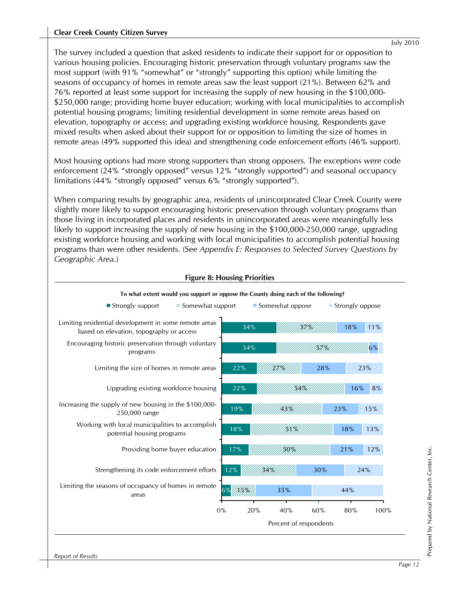The survey included a question that asked residents to indicate their support for or opposition to various housing policies. Encouraging historic preservation through voluntary programs saw the most support (with 91% "somewhat" or "strongly" supporting this option) while limiting the seasons of occupancy of homes in remote areas saw the least support (21%). Between 62% and 76% reported at least some support for increasing the supply of new housing in the \$100,000- \$250,000 range; providing home buyer education; working with local municipalities to accomplish potential housing programs; limiting residential development in some remote areas based on elevation, topography or access; and upgrading existing workforce housing. Respondents gave mixed results when asked about their support for or opposition to limiting the size of homes in remote areas (49% supported this idea) and strengthening code enforcement efforts (46% support).

Most housing options had more strong supporters than strong opposers. The exceptions were code enforcement (24% "strongly opposed" versus 12% "strongly supported") and seasonal occupancy limitations (44% "strongly opposed" versus 6% "strongly supported").

When comparing results by geographic area, residents of unincorporated Clear Creek County were slightly more likely to support encouraging historic preservation through voluntary programs than those living in incorporated places and residents in unincorporated areas were meaningfully less likely to support increasing the supply of new housing in the \$100,000-250,000 range, upgrading existing workforce housing and working with local municipalities to accomplish potential housing programs than were other residents. (See *Appendix E: Responses to Selected Survey Questions by Geographic Area*.)

#### **Figure 8: Housing Priorities**

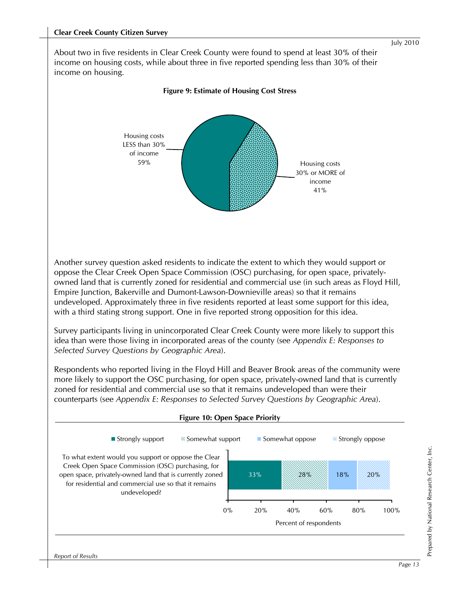About two in five residents in Clear Creek County were found to spend at least 30% of their income on housing costs, while about three in five reported spending less than 30% of their income on housing.



#### **Figure 9: Estimate of Housing Cost Stress**

Another survey question asked residents to indicate the extent to which they would support or oppose the Clear Creek Open Space Commission (OSC) purchasing, for open space, privatelyowned land that is currently zoned for residential and commercial use (in such areas as Floyd Hill, Empire Junction, Bakerville and Dumont-Lawson-Downieville areas) so that it remains undeveloped. Approximately three in five residents reported at least some support for this idea, with a third stating strong support. One in five reported strong opposition for this idea.

Survey participants living in unincorporated Clear Creek County were more likely to support this idea than were those living in incorporated areas of the county (see *Appendix E: Responses to Selected Survey Questions by Geographic Area*).

Respondents who reported living in the Floyd Hill and Beaver Brook areas of the community were more likely to support the OSC purchasing, for open space, privately-owned land that is currently zoned for residential and commercial use so that it remains undeveloped than were their counterparts (see *Appendix E: Responses to Selected Survey Questions by Geographic Area*).



*Report of Results*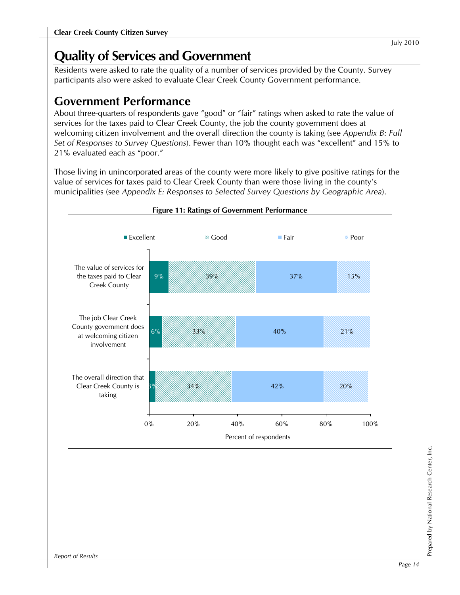## **Quality of Services and Government**

Residents were asked to rate the quality of a number of services provided by the County. Survey participants also were asked to evaluate Clear Creek County Government performance.

## **Government Performance**

About three-quarters of respondents gave "good" or "fair" ratings when asked to rate the value of services for the taxes paid to Clear Creek County, the job the county government does at welcoming citizen involvement and the overall direction the county is taking (see *Appendix B: Full Set of Responses to Survey Questions*). Fewer than 10% thought each was "excellent" and 15% to 21% evaluated each as "poor."

Those living in unincorporated areas of the county were more likely to give positive ratings for the value of services for taxes paid to Clear Creek County than were those living in the county's municipalities (see *Appendix E: Responses to Selected Survey Questions by Geographic Area*).

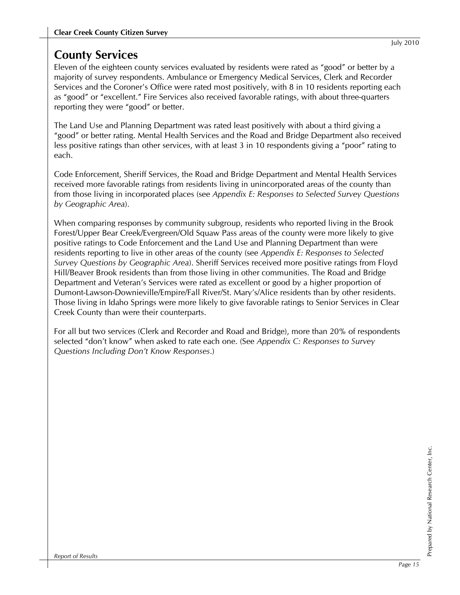## **County Services**

Eleven of the eighteen county services evaluated by residents were rated as "good" or better by a majority of survey respondents. Ambulance or Emergency Medical Services, Clerk and Recorder Services and the Coroner's Office were rated most positively, with 8 in 10 residents reporting each as "good" or "excellent." Fire Services also received favorable ratings, with about three-quarters reporting they were "good" or better.

The Land Use and Planning Department was rated least positively with about a third giving a "good" or better rating. Mental Health Services and the Road and Bridge Department also received less positive ratings than other services, with at least 3 in 10 respondents giving a "poor" rating to each.

Code Enforcement, Sheriff Services, the Road and Bridge Department and Mental Health Services received more favorable ratings from residents living in unincorporated areas of the county than from those living in incorporated places (see *Appendix E: Responses to Selected Survey Questions by Geographic Area*).

When comparing responses by community subgroup, residents who reported living in the Brook Forest/Upper Bear Creek/Evergreen/Old Squaw Pass areas of the county were more likely to give positive ratings to Code Enforcement and the Land Use and Planning Department than were residents reporting to live in other areas of the county (see *Appendix E: Responses to Selected Survey Questions by Geographic Area*). Sheriff Services received more positive ratings from Floyd Hill/Beaver Brook residents than from those living in other communities. The Road and Bridge Department and Veteran's Services were rated as excellent or good by a higher proportion of Dumont-Lawson-Downieville/Empire/Fall River/St. Mary's/Alice residents than by other residents. Those living in Idaho Springs were more likely to give favorable ratings to Senior Services in Clear Creek County than were their counterparts.

For all but two services (Clerk and Recorder and Road and Bridge), more than 20% of respondents selected "don't know" when asked to rate each one. (See *Appendix C: Responses to Survey Questions Including Don't Know Responses*.)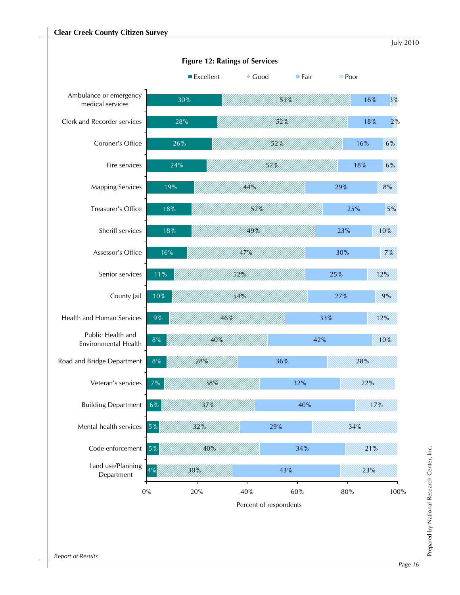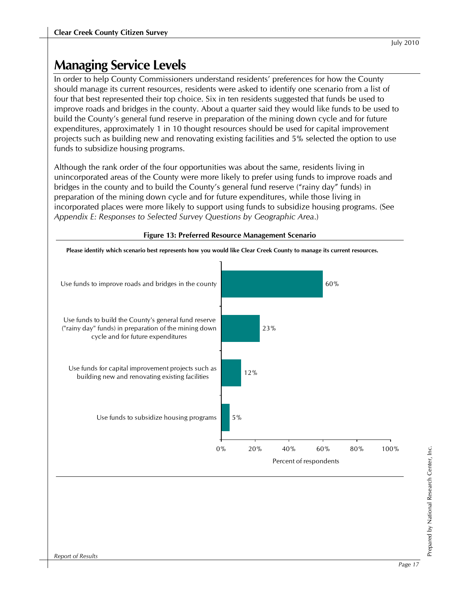## **Managing Service Levels**

In order to help County Commissioners understand residents' preferences for how the County should manage its current resources, residents were asked to identify one scenario from a list of four that best represented their top choice. Six in ten residents suggested that funds be used to improve roads and bridges in the county. About a quarter said they would like funds to be used to build the County's general fund reserve in preparation of the mining down cycle and for future expenditures, approximately 1 in 10 thought resources should be used for capital improvement projects such as building new and renovating existing facilities and 5% selected the option to use funds to subsidize housing programs.

Although the rank order of the four opportunities was about the same, residents living in unincorporated areas of the County were more likely to prefer using funds to improve roads and bridges in the county and to build the County's general fund reserve ("rainy day" funds) in preparation of the mining down cycle and for future expenditures, while those living in incorporated places were more likely to support using funds to subsidize housing programs. (See *Appendix E: Responses to Selected Survey Questions by Geographic Area*.)



#### **Figure 13: Preferred Resource Management Scenario**

Prepared by National Research Center, Inc.

Prepared by National Research Center, Inc.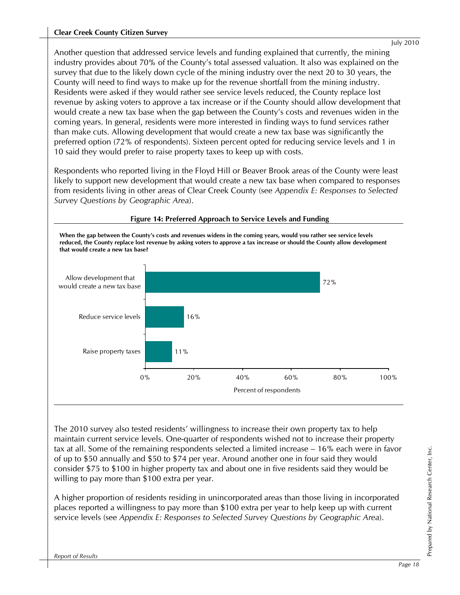Another question that addressed service levels and funding explained that currently, the mining industry provides about 70% of the County's total assessed valuation. It also was explained on the survey that due to the likely down cycle of the mining industry over the next 20 to 30 years, the County will need to find ways to make up for the revenue shortfall from the mining industry. Residents were asked if they would rather see service levels reduced, the County replace lost revenue by asking voters to approve a tax increase or if the County should allow development that would create a new tax base when the gap between the County's costs and revenues widen in the coming years. In general, residents were more interested in finding ways to fund services rather than make cuts. Allowing development that would create a new tax base was significantly the preferred option (72% of respondents). Sixteen percent opted for reducing service levels and 1 in 10 said they would prefer to raise property taxes to keep up with costs.

Respondents who reported living in the Floyd Hill or Beaver Brook areas of the County were least likely to support new development that would create a new tax base when compared to responses from residents living in other areas of Clear Creek County (see *Appendix E: Responses to Selected Survey Questions by Geographic Area*).



#### **Figure 14: Preferred Approach to Service Levels and Funding**

The 2010 survey also tested residents' willingness to increase their own property tax to help maintain current service levels. One-quarter of respondents wished not to increase their property tax at all. Some of the remaining respondents selected a limited increase – 16% each were in favor of up to \$50 annually and \$50 to \$74 per year. Around another one in four said they would consider \$75 to \$100 in higher property tax and about one in five residents said they would be willing to pay more than \$100 extra per year.

A higher proportion of residents residing in unincorporated areas than those living in incorporated places reported a willingness to pay more than \$100 extra per year to help keep up with current service levels (see *Appendix E: Responses to Selected Survey Questions by Geographic Area*).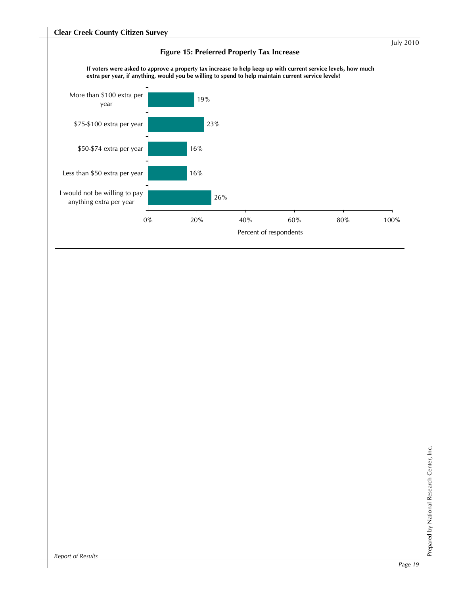

# Prepared by National Research Center, Inc. Prepared by National Research Center, Inc.

*Report of Results*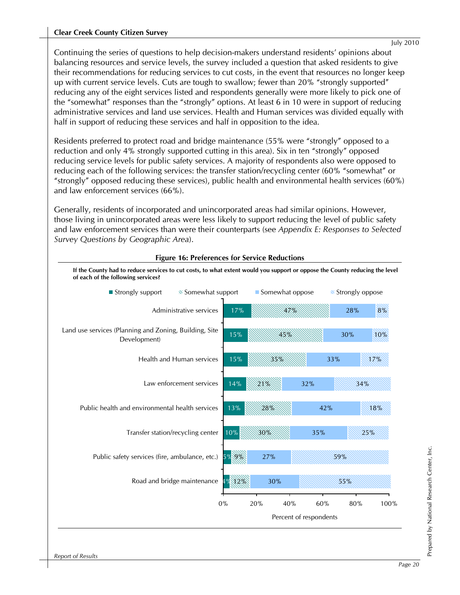#### **Clear Creek County Citizen Survey**

Continuing the series of questions to help decision-makers understand residents' opinions about balancing resources and service levels, the survey included a question that asked residents to give their recommendations for reducing services to cut costs, in the event that resources no longer keep up with current service levels. Cuts are tough to swallow; fewer than 20% "strongly supported" reducing any of the eight services listed and respondents generally were more likely to pick one of the "somewhat" responses than the "strongly" options. At least 6 in 10 were in support of reducing administrative services and land use services. Health and Human services was divided equally with half in support of reducing these services and half in opposition to the idea.

Residents preferred to protect road and bridge maintenance (55% were "strongly" opposed to a reduction and only 4% strongly supported cutting in this area). Six in ten "strongly" opposed reducing service levels for public safety services. A majority of respondents also were opposed to reducing each of the following services: the transfer station/recycling center (60% "somewhat" or "strongly" opposed reducing these services), public health and environmental health services (60%) and law enforcement services (66%).

Generally, residents of incorporated and unincorporated areas had similar opinions. However, those living in unincorporated areas were less likely to support reducing the level of public safety and law enforcement services than were their counterparts (see *Appendix E: Responses to Selected Survey Questions by Geographic Area*).



#### **Figure 16: Preferences for Service Reductions**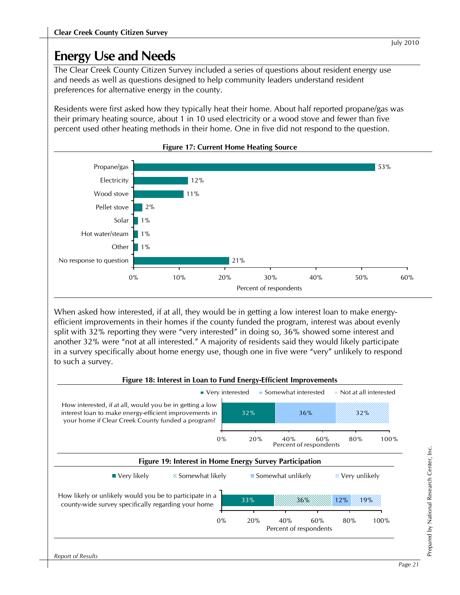The Clear Creek County Citizen Survey included a series of questions about resident energy use and needs as well as questions designed to help community leaders understand resident preferences for alternative energy in the county.

Residents were first asked how they typically heat their home. About half reported propane/gas was their primary heating source, about 1 in 10 used electricity or a wood stove and fewer than five percent used other heating methods in their home. One in five did not respond to the question.





When asked how interested, if at all, they would be in getting a low interest loan to make energyefficient improvements in their homes if the county funded the program, interest was about evenly split with 32% reporting they were "very interested" in doing so, 36% showed some interest and another 32% were "not at all interested." A majority of residents said they would likely participate in a survey specifically about home energy use, though one in five were "very" unlikely to respond to such a survey.



# Prepared by National Research Center, Inc. Prepared by National Research Center, Inc.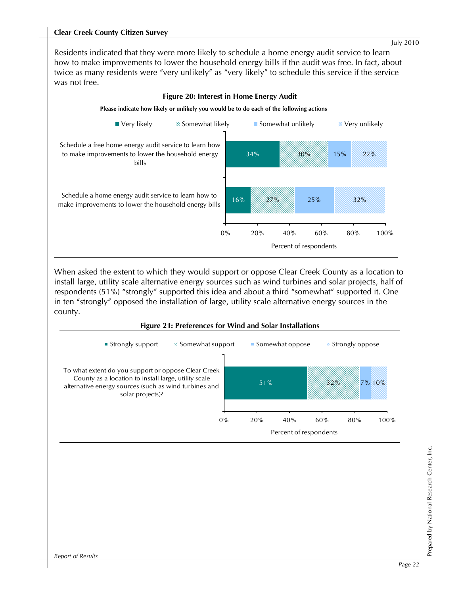Residents indicated that they were more likely to schedule a home energy audit service to learn how to make improvements to lower the household energy bills if the audit was free. In fact, about twice as many residents were "very unlikely" as "very likely" to schedule this service if the service was not free.



When asked the extent to which they would support or oppose Clear Creek County as a location to install large, utility scale alternative energy sources such as wind turbines and solar projects, half of respondents (51%) "strongly" supported this idea and about a third "somewhat" supported it. One in ten "strongly" opposed the installation of large, utility scale alternative energy sources in the county.



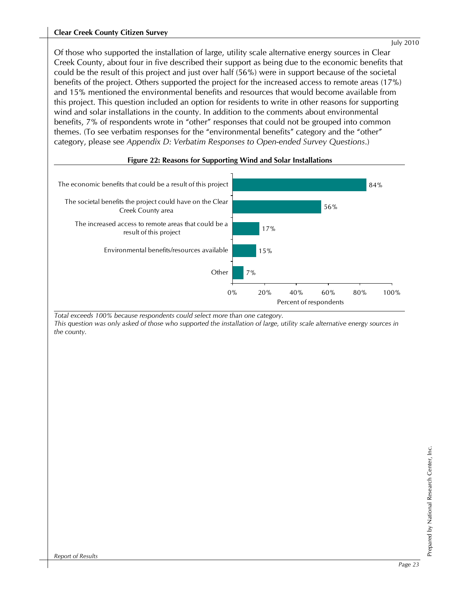#### **Clear Creek County Citizen Survey**

Of those who supported the installation of large, utility scale alternative energy sources in Clear Creek County, about four in five described their support as being due to the economic benefits that could be the result of this project and just over half (56%) were in support because of the societal benefits of the project. Others supported the project for the increased access to remote areas (17%) and 15% mentioned the environmental benefits and resources that would become available from this project. This question included an option for residents to write in other reasons for supporting wind and solar installations in the county. In addition to the comments about environmental benefits, 7% of respondents wrote in "other" responses that could not be grouped into common themes. (To see verbatim responses for the "environmental benefits" category and the "other" category, please see *Appendix D: Verbatim Responses to Open-ended Survey Questions*.)



#### **Figure 22: Reasons for Supporting Wind and Solar Installations**

*Total exceeds 100% because respondents could select more than one category. This question was only asked of those who supported the installation of large, utility scale alternative energy sources in the county.*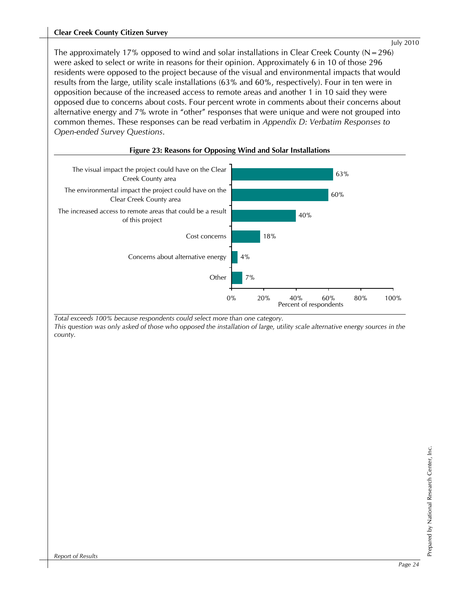#### **Clear Creek County Citizen Survey**

The approximately 17% opposed to wind and solar installations in Clear Creek County ( $N=296$ ) were asked to select or write in reasons for their opinion. Approximately 6 in 10 of those 296 residents were opposed to the project because of the visual and environmental impacts that would results from the large, utility scale installations (63% and 60%, respectively). Four in ten were in opposition because of the increased access to remote areas and another 1 in 10 said they were opposed due to concerns about costs. Four percent wrote in comments about their concerns about alternative energy and 7% wrote in "other" responses that were unique and were not grouped into common themes. These responses can be read verbatim in *Appendix D: Verbatim Responses to Open-ended Survey Questions*.



#### **Figure 23: Reasons for Opposing Wind and Solar Installations**

*Total exceeds 100% because respondents could select more than one category. This question was only asked of those who opposed the installation of large, utility scale alternative energy sources in the county.*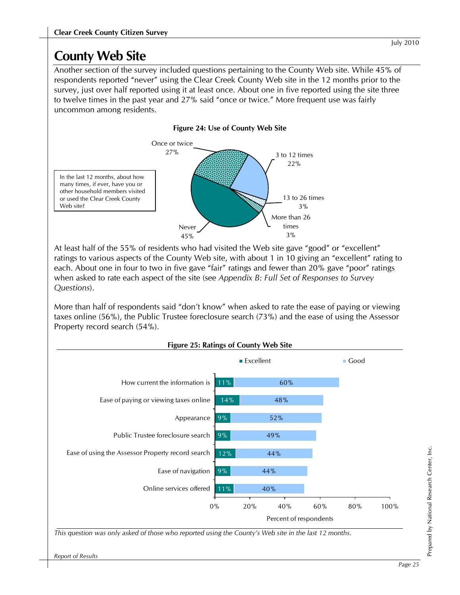Another section of the survey included questions pertaining to the County Web site. While 45% of respondents reported "never" using the Clear Creek County Web site in the 12 months prior to the survey, just over half reported using it at least once. About one in five reported using the site three to twelve times in the past year and 27% said "once or twice." More frequent use was fairly uncommon among residents.



At least half of the 55% of residents who had visited the Web site gave "good" or "excellent" ratings to various aspects of the County Web site, with about 1 in 10 giving an "excellent" rating to each. About one in four to two in five gave "fair" ratings and fewer than 20% gave "poor" ratings when asked to rate each aspect of the site (see *Appendix B: Full Set of Responses to Survey Questions*).

More than half of respondents said "don't know" when asked to rate the ease of paying or viewing taxes online (56%), the Public Trustee foreclosure search (73%) and the ease of using the Assessor Property record search (54%).

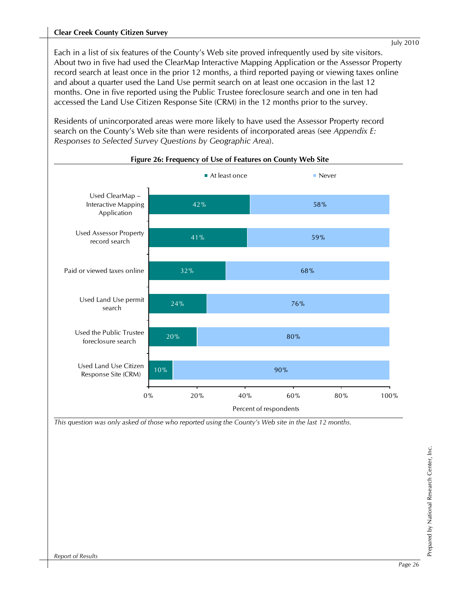Each in a list of six features of the County's Web site proved infrequently used by site visitors. About two in five had used the ClearMap Interactive Mapping Application or the Assessor Property record search at least once in the prior 12 months, a third reported paying or viewing taxes online and about a quarter used the Land Use permit search on at least one occasion in the last 12 months. One in five reported using the Public Trustee foreclosure search and one in ten had accessed the Land Use Citizen Response Site (CRM) in the 12 months prior to the survey.

Residents of unincorporated areas were more likely to have used the Assessor Property record search on the County's Web site than were residents of incorporated areas (see *Appendix E: Responses to Selected Survey Questions by Geographic Area*).



**Figure 26: Frequency of Use of Features on County Web Site** 

*This question was only asked of those who reported using the County's Web site in the last 12 months.*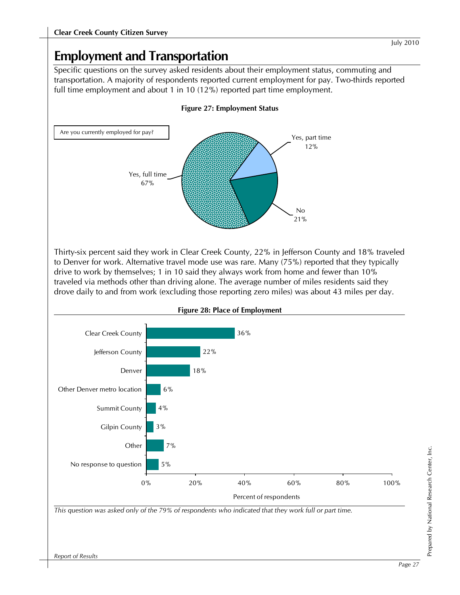## **Employment and Transportation**

Specific questions on the survey asked residents about their employment status, commuting and transportation. A majority of respondents reported current employment for pay. Two-thirds reported full time employment and about 1 in 10 (12%) reported part time employment.



Thirty-six percent said they work in Clear Creek County, 22% in Jefferson County and 18% traveled to Denver for work. Alternative travel mode use was rare. Many (75%) reported that they typically drive to work by themselves; 1 in 10 said they always work from home and fewer than 10% traveled via methods other than driving alone. The average number of miles residents said they drove daily to and from work (excluding those reporting zero miles) was about 43 miles per day.



**Figure 28: Place of Employment**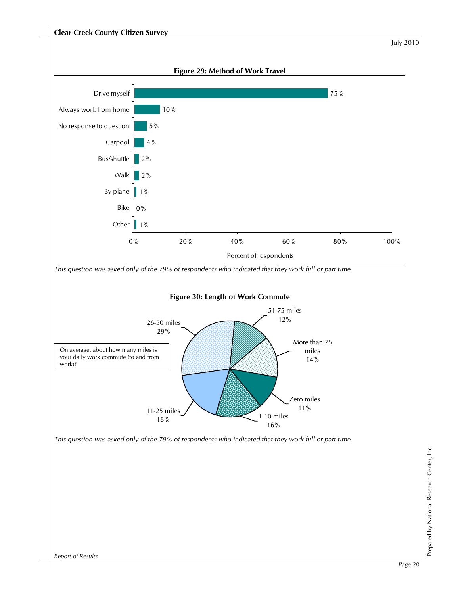

Prepared by National Research Center, Inc.

Prepared by National Research Center, Inc.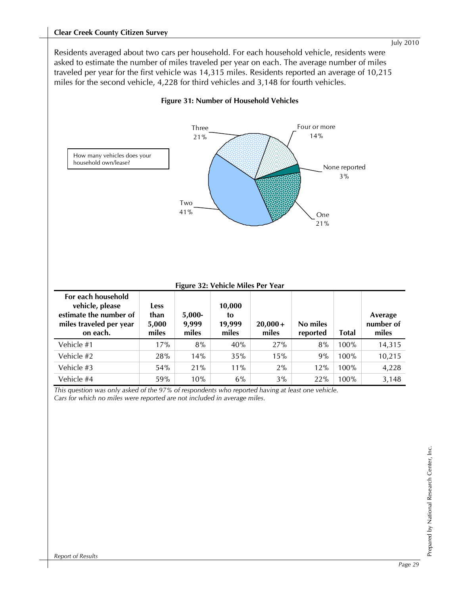Residents averaged about two cars per household. For each household vehicle, residents were asked to estimate the number of miles traveled per year on each. The average number of miles traveled per year for the first vehicle was 14,315 miles. Residents reported an average of 10,215 miles for the second vehicle, 4,228 for third vehicles and 3,148 for fourth vehicles.



#### **Figure 31: Number of Household Vehicles**

**Figure 32: Vehicle Miles Per Year** 

| For each household<br>vehicle, please<br>estimate the number of<br>miles traveled per year<br>on each. | <b>Less</b><br>than<br>5,000<br>miles | $5,000-$<br>9,999<br>miles | 10,000<br>to<br>19,999<br>miles | $20,000+$<br>miles | No miles<br>reported | <b>Total</b> | Average<br>number of<br>miles |
|--------------------------------------------------------------------------------------------------------|---------------------------------------|----------------------------|---------------------------------|--------------------|----------------------|--------------|-------------------------------|
| Vehicle #1                                                                                             | 17%                                   | 8%                         | 40%                             | 27%                | 8%                   | 100%         | 14,315                        |
| Vehicle #2                                                                                             | 28%                                   | 14%                        | 35%                             | 15%                | 9%                   | 100%         | 10,215                        |
| Vehicle #3                                                                                             | 54%                                   | 21%                        | $11\%$                          | 2%                 | 12%                  | 100%         | 4,228                         |
| Vehicle #4                                                                                             | 59%                                   | 10%                        | 6%                              | 3%                 | 22%                  | 100%         | 3,148                         |

*This question was only asked of the 97% of respondents who reported having at least one vehicle. Cars for which no miles were reported are not included in average miles.*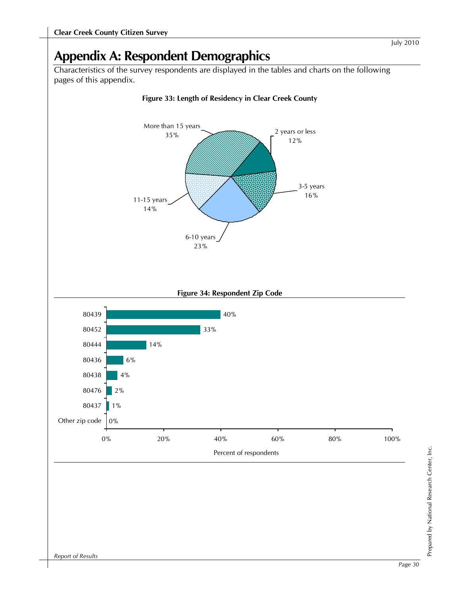## **Appendix A: Respondent Demographics**

Characteristics of the survey respondents are displayed in the tables and charts on the following pages of this appendix.

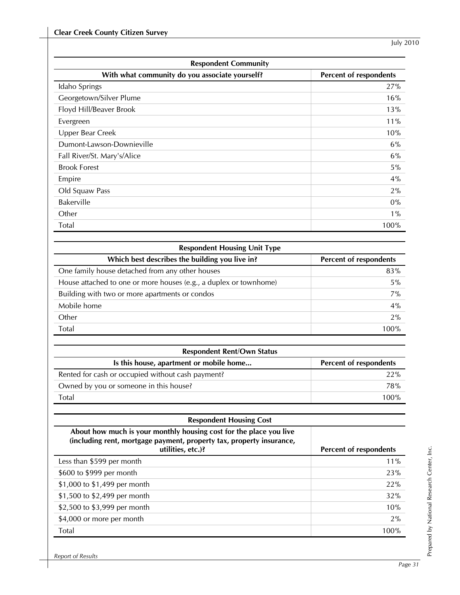| <b>Respondent Community</b>                                              |         |  |  |  |  |
|--------------------------------------------------------------------------|---------|--|--|--|--|
| With what community do you associate yourself?<br>Percent of respondents |         |  |  |  |  |
| Idaho Springs                                                            | 27%     |  |  |  |  |
| Georgetown/Silver Plume                                                  | 16%     |  |  |  |  |
| Floyd Hill/Beaver Brook                                                  | 13%     |  |  |  |  |
| Evergreen                                                                | $11\%$  |  |  |  |  |
| Upper Bear Creek                                                         | 10%     |  |  |  |  |
| Dumont-Lawson-Downieville                                                | 6%      |  |  |  |  |
| Fall River/St. Mary's/Alice                                              | 6%      |  |  |  |  |
| <b>Brook Forest</b>                                                      | 5%      |  |  |  |  |
| Empire                                                                   | 4%      |  |  |  |  |
| Old Squaw Pass                                                           | $2\%$   |  |  |  |  |
| <b>Bakerville</b>                                                        | $0\%$   |  |  |  |  |
| Other                                                                    | $1\%$   |  |  |  |  |
| <b>Total</b>                                                             | $100\%$ |  |  |  |  |

| <b>Respondent Housing Unit Type</b>                               |                        |  |  |
|-------------------------------------------------------------------|------------------------|--|--|
| Which best describes the building you live in?                    | Percent of respondents |  |  |
| One family house detached from any other houses                   | 83%                    |  |  |
| House attached to one or more houses (e.g., a duplex or townhome) | 5%                     |  |  |
| Building with two or more apartments or condos                    | 7%                     |  |  |
| Mobile home                                                       | 4%                     |  |  |
| Other                                                             | 2%                     |  |  |
| Total                                                             | 100%                   |  |  |

| <b>Respondent Rent/Own Status</b>       |                        |
|-----------------------------------------|------------------------|
| Is this house, apartment or mobile home | Percent of respondents |
|                                         |                        |

| Rented for cash or occupied without cash payment? | 22%  |
|---------------------------------------------------|------|
| Owned by you or someone in this house?            | 78%  |
| Total                                             | 100% |

| About how much is your monthly housing cost for the place you live<br>(including rent, mortgage payment, property tax, property insurance,<br>utilities, etc.)? | Percent of respondents |
|-----------------------------------------------------------------------------------------------------------------------------------------------------------------|------------------------|
| Less than \$599 per month                                                                                                                                       | $11\%$                 |
| \$600 to \$999 per month                                                                                                                                        | 23%                    |
| \$1,000 to \$1,499 per month                                                                                                                                    | 22%                    |
| \$1,500 to \$2,499 per month                                                                                                                                    | 32%                    |
| \$2,500 to \$3,999 per month                                                                                                                                    | 10%                    |
| \$4,000 or more per month                                                                                                                                       | 2%                     |
| Total                                                                                                                                                           | 100%                   |

l,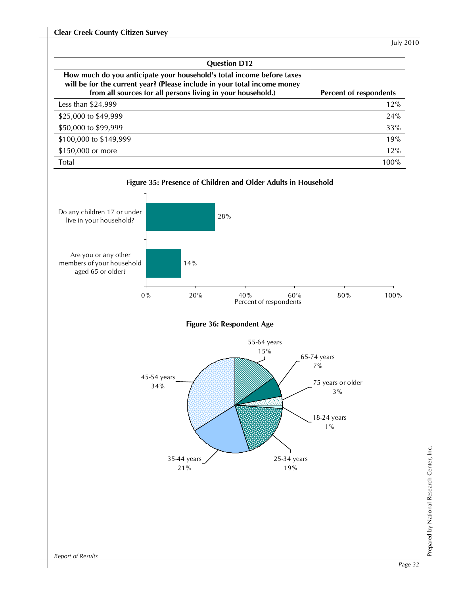| <b>Question D12</b>                                                                                                                                                                                              |                        |
|------------------------------------------------------------------------------------------------------------------------------------------------------------------------------------------------------------------|------------------------|
| How much do you anticipate your household's total income before taxes<br>will be for the current year? (Please include in your total income money<br>from all sources for all persons living in your household.) | Percent of respondents |
| Less than \$24,999                                                                                                                                                                                               | 12%                    |
| \$25,000 to \$49,999                                                                                                                                                                                             | 24%                    |
| \$50,000 to \$99,999                                                                                                                                                                                             | 33%                    |
| \$100,000 to \$149,999                                                                                                                                                                                           | 19%                    |
| \$150,000 or more                                                                                                                                                                                                | 12%                    |
| Total                                                                                                                                                                                                            | 100%                   |

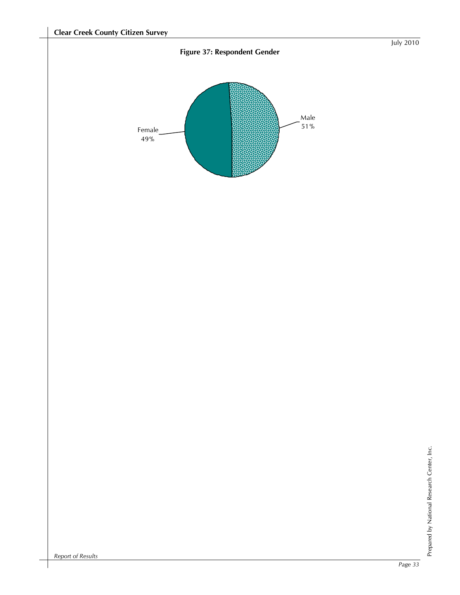#### **Figure 37: Respondent Gender**

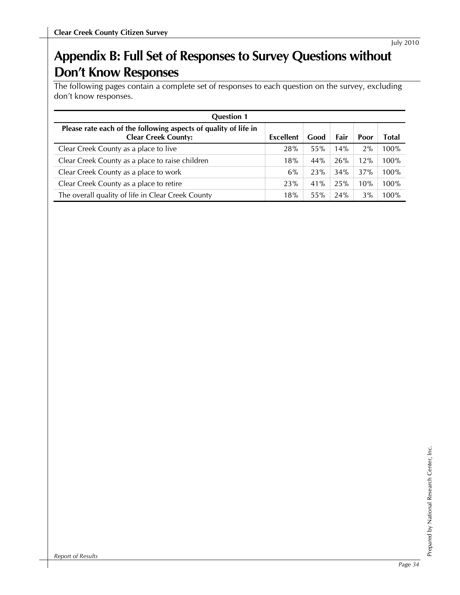# **Appendix B: Full Set of Responses to Survey Questions without Don't Know Responses**

The following pages contain a complete set of responses to each question on the survey, excluding don't know responses.

| <b>Question 1</b>                                                                             |           |      |      |      |       |
|-----------------------------------------------------------------------------------------------|-----------|------|------|------|-------|
| Please rate each of the following aspects of quality of life in<br><b>Clear Creek County:</b> | Excellent | Good | Fair | Poor | Total |
| Clear Creek County as a place to live                                                         | 28%       | 55%  | 14%  | 2%   | 100%  |
| Clear Creek County as a place to raise children                                               | 18%       | 44%  | 26%  | 12%  | 100%  |
| Clear Creek County as a place to work                                                         | 6%        | 23%  | 34%  | 37%  | 100%  |
| Clear Creek County as a place to retire                                                       | 23%       | 41%  | 25%  | 10%  | 100%  |
| The overall quality of life in Clear Creek County                                             | 18%       | 55%  | 24%  | 3%   | 100%  |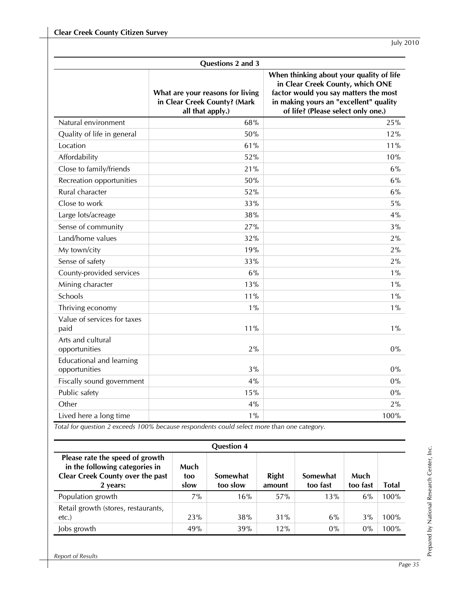|                                                  | Questions 2 and 3                                                                    |                                                                                                                                                                                                       |
|--------------------------------------------------|--------------------------------------------------------------------------------------|-------------------------------------------------------------------------------------------------------------------------------------------------------------------------------------------------------|
|                                                  | What are your reasons for living<br>in Clear Creek County? (Mark<br>all that apply.) | When thinking about your quality of life<br>in Clear Creek County, which ONE<br>factor would you say matters the most<br>in making yours an "excellent" quality<br>of life? (Please select only one.) |
| Natural environment                              | 68%                                                                                  | 25%                                                                                                                                                                                                   |
| Quality of life in general                       | 50%                                                                                  | 12%                                                                                                                                                                                                   |
| Location                                         | 61%                                                                                  | 11%                                                                                                                                                                                                   |
| Affordability                                    | 52%                                                                                  | 10%                                                                                                                                                                                                   |
| Close to family/friends                          | 21%                                                                                  | 6%                                                                                                                                                                                                    |
| Recreation opportunities                         | 50%                                                                                  | 6%                                                                                                                                                                                                    |
| Rural character                                  | 52%                                                                                  | 6%                                                                                                                                                                                                    |
| Close to work                                    | 33%                                                                                  | 5%                                                                                                                                                                                                    |
| Large lots/acreage                               | 38%                                                                                  | 4%                                                                                                                                                                                                    |
| Sense of community                               | 27%                                                                                  | 3%                                                                                                                                                                                                    |
| Land/home values                                 | 32%                                                                                  | 2%                                                                                                                                                                                                    |
| My town/city                                     | 19%                                                                                  | 2%                                                                                                                                                                                                    |
| Sense of safety                                  | 33%                                                                                  | 2%                                                                                                                                                                                                    |
| County-provided services                         | 6%                                                                                   | $1\%$                                                                                                                                                                                                 |
| Mining character                                 | 13%                                                                                  | $1\%$                                                                                                                                                                                                 |
| Schools                                          | 11%                                                                                  | $1\%$                                                                                                                                                                                                 |
| Thriving economy                                 | $1\%$                                                                                | $1\%$                                                                                                                                                                                                 |
| Value of services for taxes<br>paid              | 11%                                                                                  | $1\%$                                                                                                                                                                                                 |
| Arts and cultural<br>opportunities               | 2%                                                                                   | $0\%$                                                                                                                                                                                                 |
| <b>Educational and learning</b><br>opportunities | 3%                                                                                   | 0%                                                                                                                                                                                                    |
| Fiscally sound government                        | 4%                                                                                   | 0%                                                                                                                                                                                                    |
| Public safety                                    | 15%                                                                                  | 0%                                                                                                                                                                                                    |
| Other                                            | 4%                                                                                   | 2%                                                                                                                                                                                                    |
| Lived here a long time                           | $1\%$                                                                                | 100%                                                                                                                                                                                                  |

| <b>Question 4</b>                                                                                                 |                     |                      |                 |                      |                  |       |
|-------------------------------------------------------------------------------------------------------------------|---------------------|----------------------|-----------------|----------------------|------------------|-------|
| Please rate the speed of growth<br>in the following categories in<br>Clear Creek County over the past<br>2 years: | Much<br>too<br>slow | Somewhat<br>too slow | Right<br>amount | Somewhat<br>too fast | Much<br>too fast | Total |
| Population growth                                                                                                 | 7%                  | 16%                  | 57%             | 13%                  | 6%               | 100%  |
| Retail growth (stores, restaurants,<br>etc.                                                                       | 23%                 | 38%                  | 31%             | 6%                   | 3%               | 100%  |
| Jobs growth                                                                                                       | 49%                 | 39%                  | 12%             | $0\%$                | $0\%$            | 100%  |

*Report of Results*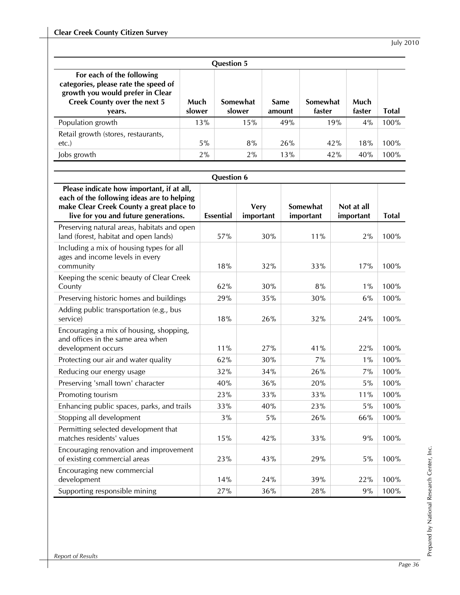| <b>Question 5</b>                                                                                                                                      |                |                    |                       |                    |                |              |  |
|--------------------------------------------------------------------------------------------------------------------------------------------------------|----------------|--------------------|-----------------------|--------------------|----------------|--------------|--|
| For each of the following<br>categories, please rate the speed of<br>growth you would prefer in Clear<br><b>Creek County over the next 5</b><br>vears. | Much<br>slower | Somewhat<br>slower | <b>Same</b><br>amount | Somewhat<br>faster | Much<br>faster | <b>Total</b> |  |
| Population growth                                                                                                                                      | 13%            | 15%                | 49%                   | 19%                | 4%             | 100%         |  |
| Retail growth (stores, restaurants,<br>etc.                                                                                                            | $5\%$          | 8%                 | 26%                   | 42%                | 18%            | 100%         |  |
| Jobs growth                                                                                                                                            | 2%             | 2%                 | 13%                   | 42%                | 40%            | 100%         |  |

|                                                                                                                                                                             | <b>Question 6</b> |                          |                       |                         |              |
|-----------------------------------------------------------------------------------------------------------------------------------------------------------------------------|-------------------|--------------------------|-----------------------|-------------------------|--------------|
| Please indicate how important, if at all,<br>each of the following ideas are to helping<br>make Clear Creek County a great place to<br>live for you and future generations. | <b>Essential</b>  | <b>Very</b><br>important | Somewhat<br>important | Not at all<br>important | <b>Total</b> |
| Preserving natural areas, habitats and open<br>land (forest, habitat and open lands)                                                                                        | 57%               | 30%                      | 11%                   | 2%                      | 100%         |
| Including a mix of housing types for all<br>ages and income levels in every<br>community                                                                                    | 18%               | 32%                      | 33%                   | 17%                     | 100%         |
| Keeping the scenic beauty of Clear Creek<br>County                                                                                                                          | 62%               | 30%                      | 8%                    | $1\%$                   | 100%         |
| Preserving historic homes and buildings                                                                                                                                     | 29%               | 35%                      | 30%                   | 6%                      | 100%         |
| Adding public transportation (e.g., bus<br>service)                                                                                                                         | 18%               | 26%                      | 32%                   | 24%                     | 100%         |
| Encouraging a mix of housing, shopping,<br>and offices in the same area when<br>development occurs                                                                          | 11%               | 27%                      | 41%                   | 22%                     | 100%         |
| Protecting our air and water quality                                                                                                                                        | 62%               | 30%                      | 7%                    | $1\%$                   | 100%         |
| Reducing our energy usage                                                                                                                                                   | 32%               | 34%                      | 26%                   | 7%                      | 100%         |
| Preserving 'small town' character                                                                                                                                           | 40%               | 36%                      | 20%                   | 5%                      | 100%         |
| Promoting tourism                                                                                                                                                           | 23%               | 33%                      | 33%                   | 11%                     | 100%         |
| Enhancing public spaces, parks, and trails                                                                                                                                  | 33%               | 40%                      | 23%                   | 5%                      | 100%         |
| Stopping all development                                                                                                                                                    | 3%                | 5%                       | 26%                   | 66%                     | 100%         |
| Permitting selected development that<br>matches residents' values                                                                                                           | 15%               | 42%                      | 33%                   | 9%                      | 100%         |
| Encouraging renovation and improvement<br>of existing commercial areas                                                                                                      | 23%               | 43%                      | 29%                   | 5%                      | 100%         |
| Encouraging new commercial<br>development                                                                                                                                   | 14%               | 24%                      | 39%                   | 22%                     | 100%         |
| Supporting responsible mining                                                                                                                                               | 27%               | 36%                      | 28%                   | 9%                      | 100%         |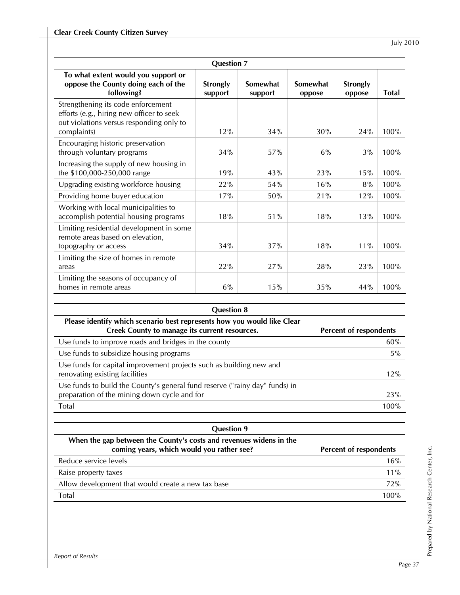|                                                                                                                                            | <b>Question 7</b>          |                     |                    |                           |              |  |
|--------------------------------------------------------------------------------------------------------------------------------------------|----------------------------|---------------------|--------------------|---------------------------|--------------|--|
| To what extent would you support or<br>oppose the County doing each of the<br>following?                                                   | <b>Strongly</b><br>support | Somewhat<br>support | Somewhat<br>oppose | <b>Strongly</b><br>oppose | <b>Total</b> |  |
| Strengthening its code enforcement<br>efforts (e.g., hiring new officer to seek<br>out violations versus responding only to<br>complaints) | 12%                        | 34%                 | 30%                | 24%                       | 100%         |  |
| Encouraging historic preservation<br>through voluntary programs                                                                            | 34%                        | 57%                 | 6%                 | 3%                        | 100%         |  |
| Increasing the supply of new housing in<br>the \$100,000-250,000 range                                                                     | 19%                        | 43%                 | 23%                | 15%                       | 100%         |  |
| Upgrading existing workforce housing                                                                                                       | 22%                        | 54%                 | 16%                | 8%                        | 100%         |  |
| Providing home buyer education                                                                                                             | 17%                        | 50%                 | 21%                | 12%                       | 100%         |  |
| Working with local municipalities to<br>accomplish potential housing programs                                                              | 18%                        | 51%                 | 18%                | 13%                       | 100%         |  |
| Limiting residential development in some<br>remote areas based on elevation,<br>topography or access                                       | 34%                        | 37%                 | 18%                | 11%                       | 100%         |  |
| Limiting the size of homes in remote<br>areas                                                                                              | 22%                        | 27%                 | 28%                | 23%                       | 100%         |  |
| Limiting the seasons of occupancy of<br>homes in remote areas                                                                              | 6%                         | 15%                 | 35%                | 44%                       | 100%         |  |

| <b>Question 8</b>                                                                                                           |                        |
|-----------------------------------------------------------------------------------------------------------------------------|------------------------|
| Please identify which scenario best represents how you would like Clear<br>Creek County to manage its current resources.    | Percent of respondents |
| Use funds to improve roads and bridges in the county                                                                        | 60%                    |
| Use funds to subsidize housing programs                                                                                     | 5%                     |
| Use funds for capital improvement projects such as building new and<br>renovating existing facilities                       | 12%                    |
| Use funds to build the County's general fund reserve ("rainy day" funds) in<br>preparation of the mining down cycle and for | 23%                    |
| Total                                                                                                                       | 100%                   |
|                                                                                                                             |                        |

| <b>Question 9</b><br>When the gap between the County's costs and revenues widens in the<br>coming years, which would you rather see? | Percent of respondents |
|--------------------------------------------------------------------------------------------------------------------------------------|------------------------|
| Reduce service levels                                                                                                                | 16%                    |
| Raise property taxes                                                                                                                 | $11\%$                 |
| Allow development that would create a new tax base                                                                                   | 72%                    |
| Total                                                                                                                                | 100%                   |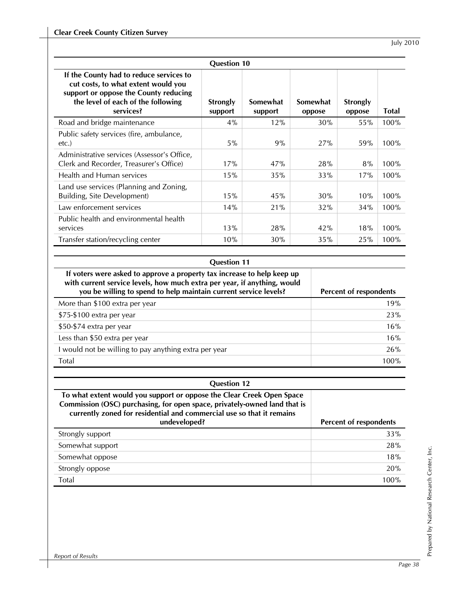|                                                                                                                                                                            | <b>Question 10</b>         |                     |                    |                           |              |
|----------------------------------------------------------------------------------------------------------------------------------------------------------------------------|----------------------------|---------------------|--------------------|---------------------------|--------------|
| If the County had to reduce services to<br>cut costs, to what extent would you<br>support or oppose the County reducing<br>the level of each of the following<br>services? | <b>Strongly</b><br>support | Somewhat<br>support | Somewhat<br>oppose | <b>Strongly</b><br>oppose | <b>Total</b> |
| Road and bridge maintenance                                                                                                                                                | 4%                         | 12%                 | 30%                | 55%                       | 100%         |
| Public safety services (fire, ambulance,<br>etc.                                                                                                                           | 5%                         | 9%                  | 27%                | 59%                       | 100%         |
| Administrative services (Assessor's Office,<br>Clerk and Recorder, Treasurer's Office)                                                                                     | 17%                        | 47%                 | 28%                | 8%                        | 100%         |
| Health and Human services                                                                                                                                                  | 15%                        | 35%                 | 33%                | 17%                       | 100%         |
| Land use services (Planning and Zoning,<br>Building, Site Development)                                                                                                     | 15%                        | 45%                 | 30%                | 10%                       | 100%         |
| Law enforcement services                                                                                                                                                   | 14%                        | 21%                 | 32%                | 34%                       | 100%         |
| Public health and environmental health<br>services                                                                                                                         | 13%                        | 28%                 | 42%                | 18%                       | 100%         |
| Transfer station/recycling center                                                                                                                                          | 10%                        | 30%                 | 35%                | 25%                       | 100%         |

#### **Question 11**

| If voters were asked to approve a property tax increase to help keep up<br>with current service levels, how much extra per year, if anything, would<br>you be willing to spend to help maintain current service levels? | Percent of respondents |
|-------------------------------------------------------------------------------------------------------------------------------------------------------------------------------------------------------------------------|------------------------|
| More than \$100 extra per year                                                                                                                                                                                          | 19%                    |
| $$75-\$100$ extra per year                                                                                                                                                                                              | 23%                    |
| \$50-\$74 extra per year                                                                                                                                                                                                | 16%                    |
| Less than \$50 extra per year                                                                                                                                                                                           | 16%                    |
| I would not be willing to pay anything extra per year                                                                                                                                                                   | 26%                    |
| Total                                                                                                                                                                                                                   | 100%                   |

#### **Question 12**

**To what extent would you support or oppose the Clear Creek Open Space Commission (OSC) purchasing, for open space, privately-owned land that is currently zoned for residential and commercial use so that it remains** 

| undeveloped?     | Percent of respondents |
|------------------|------------------------|
| Strongly support | 33%                    |
| Somewhat support | 28%                    |
| Somewhat oppose  | 18%                    |
| Strongly oppose  | 20%                    |
| Total            | 100%                   |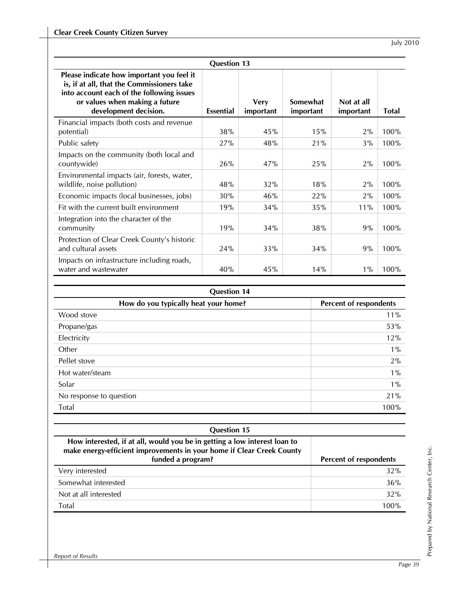|                                                                                                                                                                                                 | <b>Question 13</b> |                          |                       |                         |              |
|-------------------------------------------------------------------------------------------------------------------------------------------------------------------------------------------------|--------------------|--------------------------|-----------------------|-------------------------|--------------|
| Please indicate how important you feel it<br>is, if at all, that the Commissioners take<br>into account each of the following issues<br>or values when making a future<br>development decision. | <b>Essential</b>   | <b>Very</b><br>important | Somewhat<br>important | Not at all<br>important | <b>Total</b> |
| Financial impacts (both costs and revenue<br>potential)                                                                                                                                         | 38%                | 45%                      | 15%                   | 2%                      | 100%         |
| Public safety                                                                                                                                                                                   | 27%                | 48%                      | 21%                   | $3\%$                   | 100%         |
| Impacts on the community (both local and<br>countywide)                                                                                                                                         | 26%                | 47%                      | 25%                   | 2%                      | 100%         |
| Environmental impacts (air, forests, water,<br>wildlife, noise pollution)                                                                                                                       | 48%                | 32%                      | 18%                   | 2%                      | 100%         |
| Economic impacts (local businesses, jobs)                                                                                                                                                       | 30%                | 46%                      | 22%                   | 2%                      | 100%         |
| Fit with the current built environment                                                                                                                                                          | 19%                | 34%                      | 35%                   | 11%                     | 100%         |
| Integration into the character of the<br>community                                                                                                                                              | 19%                | 34%                      | 38%                   | 9%                      | 100%         |
| Protection of Clear Creek County's historic<br>and cultural assets                                                                                                                              | 24%                | 33%                      | 34%                   | 9%                      | 100%         |
| Impacts on infrastructure including roads,<br>water and wastewater                                                                                                                              | 40%                | 45%                      | 14%                   | $1\%$                   | 100%         |

| <b>Question 14</b>                   |                        |  |  |  |
|--------------------------------------|------------------------|--|--|--|
| How do you typically heat your home? | Percent of respondents |  |  |  |
| Wood stove                           | 11%                    |  |  |  |
| Propane/gas                          | 53%                    |  |  |  |
| Electricity                          | 12%                    |  |  |  |
| Other                                | $1\%$                  |  |  |  |
| Pellet stove                         | 2%                     |  |  |  |
| Hot water/steam                      | $1\%$                  |  |  |  |
| Solar                                | $1\%$                  |  |  |  |
| No response to question              | 21%                    |  |  |  |
| Total                                | 100%                   |  |  |  |

| <b>Question 15</b>                                                                                                                                                      |                        |
|-------------------------------------------------------------------------------------------------------------------------------------------------------------------------|------------------------|
| How interested, if at all, would you be in getting a low interest loan to<br>make energy-efficient improvements in your home if Clear Creek County<br>funded a program? | Percent of respondents |
| Very interested                                                                                                                                                         | 32%                    |
| Somewhat interested                                                                                                                                                     | 36%                    |
| Not at all interested                                                                                                                                                   | 32%                    |
| Total                                                                                                                                                                   | 100%                   |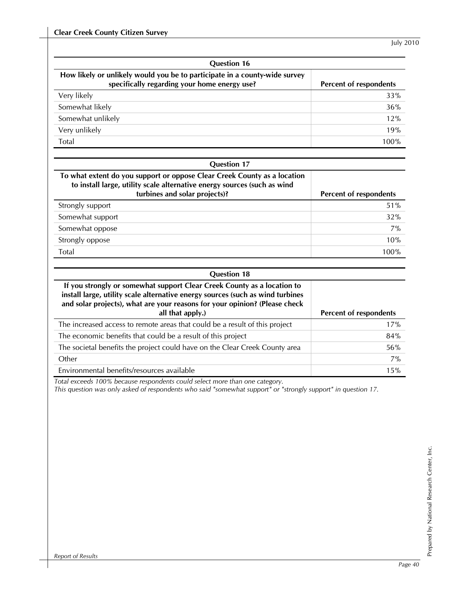| <b>Question 16</b>                                                                                                         |                        |  |  |  |
|----------------------------------------------------------------------------------------------------------------------------|------------------------|--|--|--|
| How likely or unlikely would you be to participate in a county-wide survey<br>specifically regarding your home energy use? | Percent of respondents |  |  |  |
| Very likely                                                                                                                | 33%                    |  |  |  |
| Somewhat likely                                                                                                            | 36%                    |  |  |  |
| Somewhat unlikely                                                                                                          | 12%                    |  |  |  |
| Very unlikely                                                                                                              | 19%                    |  |  |  |
| Total                                                                                                                      | 100%                   |  |  |  |
|                                                                                                                            |                        |  |  |  |
| <b>Question 17</b>                                                                                                         |                        |  |  |  |

| To what extent do you support or oppose Clear Creek County as a location<br>to install large, utility scale alternative energy sources (such as wind<br>turbines and solar projects)? | Percent of respondents |
|---------------------------------------------------------------------------------------------------------------------------------------------------------------------------------------|------------------------|
|                                                                                                                                                                                       |                        |
| Strongly support                                                                                                                                                                      | 51%                    |
| Somewhat support                                                                                                                                                                      | 32%                    |
| Somewhat oppose                                                                                                                                                                       | 7%                     |
| Strongly oppose                                                                                                                                                                       | 10%                    |
| Total                                                                                                                                                                                 | 100%                   |

| <b>Question 18</b>                                                                                                                                                                                                                                          |                        |
|-------------------------------------------------------------------------------------------------------------------------------------------------------------------------------------------------------------------------------------------------------------|------------------------|
| If you strongly or somewhat support Clear Creek County as a location to<br>install large, utility scale alternative energy sources (such as wind turbines<br>and solar projects), what are your reasons for your opinion? (Please check<br>all that apply.) | Percent of respondents |
| The increased access to remote areas that could be a result of this project                                                                                                                                                                                 | 17%                    |
| The economic benefits that could be a result of this project                                                                                                                                                                                                | 84%                    |
| The societal benefits the project could have on the Clear Creek County area                                                                                                                                                                                 | 56%                    |
| Other                                                                                                                                                                                                                                                       | 7%                     |
| Environmental benefits/resources available                                                                                                                                                                                                                  | 15%                    |

*Total exceeds 100% because respondents could select more than one category.* 

*This question was only asked of respondents who said "somewhat support" or "strongly support" in question 17.*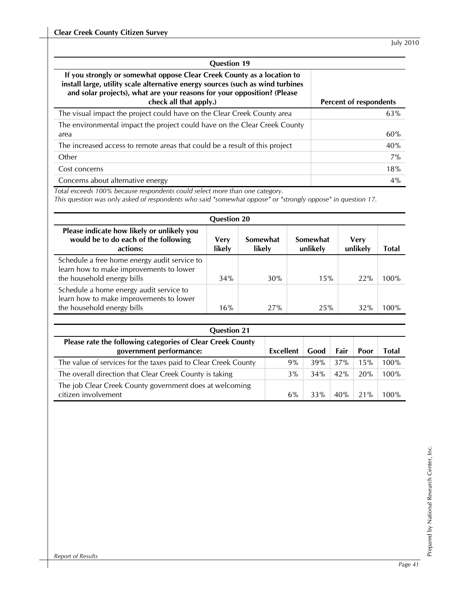| <b>Question 19</b>                                                                                                                                                                                                                                            |                        |
|---------------------------------------------------------------------------------------------------------------------------------------------------------------------------------------------------------------------------------------------------------------|------------------------|
| If you strongly or somewhat oppose Clear Creek County as a location to<br>install large, utility scale alternative energy sources (such as wind turbines<br>and solar projects), what are your reasons for your opposition? (Please<br>check all that apply.) | Percent of respondents |
| The visual impact the project could have on the Clear Creek County area                                                                                                                                                                                       | 63%                    |
| The environmental impact the project could have on the Clear Creek County                                                                                                                                                                                     |                        |
| area                                                                                                                                                                                                                                                          | 60%                    |
| The increased access to remote areas that could be a result of this project                                                                                                                                                                                   | 40%                    |
| Other                                                                                                                                                                                                                                                         | $7\%$                  |
| Cost concerns                                                                                                                                                                                                                                                 | 18%                    |
| Concerns about alternative energy                                                                                                                                                                                                                             | 4%                     |

*Total exceeds 100% because respondents could select more than one category.* 

*This question was only asked of respondents who said "somewhat oppose" or "strongly oppose" in question 17.* 

| <b>Question 20</b>                                                                                                    |                       |                    |                      |                         |              |  |  |  |
|-----------------------------------------------------------------------------------------------------------------------|-----------------------|--------------------|----------------------|-------------------------|--------------|--|--|--|
| Please indicate how likely or unlikely you<br>would be to do each of the following<br>actions:                        | <b>Very</b><br>likely | Somewhat<br>likely | Somewhat<br>unlikely | <b>Very</b><br>unlikely | <b>Total</b> |  |  |  |
| Schedule a free home energy audit service to<br>learn how to make improvements to lower<br>the household energy bills | 34%                   | 30%                | 15%                  | 22%                     | 100%         |  |  |  |
| Schedule a home energy audit service to<br>learn how to make improvements to lower<br>the household energy bills      | 16%                   | 27%                | 25%                  | 32%                     | 100%         |  |  |  |

| <b>Question 21</b>                                                                    |           |      |      |      |       |
|---------------------------------------------------------------------------------------|-----------|------|------|------|-------|
| Please rate the following categories of Clear Creek County<br>government performance: | Excellent | Good | Fair | Poor | Total |
| The value of services for the taxes paid to Clear Creek County                        | 9%        | 39%  | 37%  | 15%  | 100%  |
| The overall direction that Clear Creek County is taking                               | 3%        | 34%  | 42%  | 20%  | 100%  |
| The job Clear Creek County government does at welcoming<br>citizen involvement        | 6%        | 33%  | 40%  | 21%  | 100%  |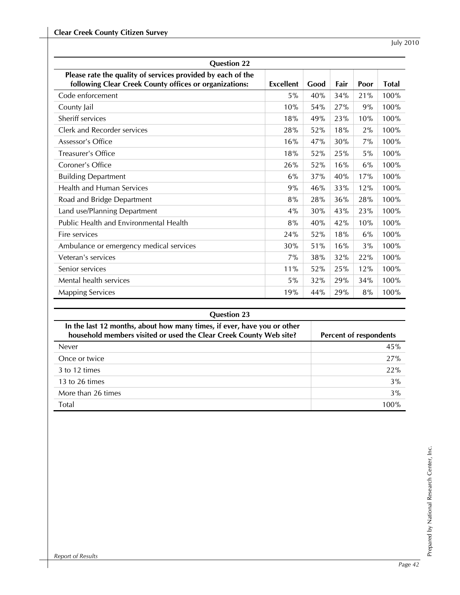| <b>Question 22</b>                                                                                                    |                  |      |      |      |              |  |
|-----------------------------------------------------------------------------------------------------------------------|------------------|------|------|------|--------------|--|
| Please rate the quality of services provided by each of the<br>following Clear Creek County offices or organizations: | <b>Excellent</b> | Good | Fair | Poor | <b>Total</b> |  |
| Code enforcement                                                                                                      | 5%               | 40%  | 34%  | 21%  | 100%         |  |
| County Jail                                                                                                           | 10%              | 54%  | 27%  | 9%   | 100%         |  |
| Sheriff services                                                                                                      | 18%              | 49%  | 23%  | 10%  | 100%         |  |
| Clerk and Recorder services                                                                                           | 28%              | 52%  | 18%  | 2%   | 100%         |  |
| Assessor's Office                                                                                                     | 16%              | 47%  | 30%  | 7%   | 100%         |  |
| Treasurer's Office                                                                                                    | 18%              | 52%  | 25%  | 5%   | 100%         |  |
| Coroner's Office                                                                                                      | 26%              | 52%  | 16%  | 6%   | 100%         |  |
| <b>Building Department</b>                                                                                            | 6%               | 37%  | 40%  | 17%  | 100%         |  |
| <b>Health and Human Services</b>                                                                                      | 9%               | 46%  | 33%  | 12%  | 100%         |  |
| Road and Bridge Department                                                                                            | 8%               | 28%  | 36%  | 28%  | 100%         |  |
| Land use/Planning Department                                                                                          | 4%               | 30%  | 43%  | 23%  | 100%         |  |
| Public Health and Environmental Health                                                                                | 8%               | 40%  | 42%  | 10%  | 100%         |  |
| Fire services                                                                                                         | 24%              | 52%  | 18%  | 6%   | 100%         |  |
| Ambulance or emergency medical services                                                                               | 30%              | 51%  | 16%  | 3%   | 100%         |  |
| Veteran's services                                                                                                    | 7%               | 38%  | 32%  | 22%  | 100%         |  |
| Senior services                                                                                                       | 11%              | 52%  | 25%  | 12%  | 100%         |  |
| Mental health services                                                                                                | 5%               | 32%  | 29%  | 34%  | 100%         |  |
| <b>Mapping Services</b>                                                                                               | 19%              | 44%  | 29%  | 8%   | 100%         |  |

| <b>Question 23</b>                                                                                                                            |                        |  |  |  |
|-----------------------------------------------------------------------------------------------------------------------------------------------|------------------------|--|--|--|
| In the last 12 months, about how many times, if ever, have you or other<br>household members visited or used the Clear Creek County Web site? | Percent of respondents |  |  |  |
| Never                                                                                                                                         | 45%                    |  |  |  |
| Once or twice                                                                                                                                 | 27%                    |  |  |  |
| 3 to 12 times                                                                                                                                 | 22%                    |  |  |  |
| 13 to 26 times                                                                                                                                | 3%                     |  |  |  |
| More than 26 times                                                                                                                            | 3%                     |  |  |  |
| <b>Total</b>                                                                                                                                  | 100%                   |  |  |  |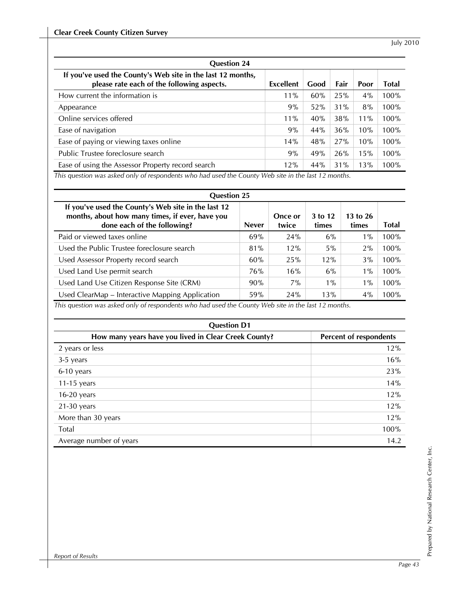| <b>Question 24</b>                                                                                        |           |      |      |        |       |  |
|-----------------------------------------------------------------------------------------------------------|-----------|------|------|--------|-------|--|
| If you've used the County's Web site in the last 12 months,<br>please rate each of the following aspects. | Excellent | Good | Fair | Poor   | Total |  |
| How current the information is                                                                            | $11\%$    | 60%  | 25%  | $4\%$  | 100%  |  |
| Appearance                                                                                                | 9%        | 52%  | 31%  | 8%     | 100%  |  |
| Online services offered                                                                                   | $11\%$    | 40%  | 38%  | $11\%$ | 100%  |  |
| Ease of navigation                                                                                        | 9%        | 44%  | 36%  | 10%    | 100%  |  |
| Ease of paying or viewing taxes online                                                                    | 14%       | 48%  | 27%  | 10%    | 100%  |  |
| Public Trustee foreclosure search                                                                         | 9%        | 49%  | 26%  | 15%    | 100%  |  |
| Ease of using the Assessor Property record search                                                         | 12%       | 44%  | 31%  | 13%    | 100%  |  |

*This question was asked only of respondents who had used the County Web site in the last 12 months.* 

| <b>Question 25</b>                                                                                                                    |              |                  |                  |                       |       |  |  |  |
|---------------------------------------------------------------------------------------------------------------------------------------|--------------|------------------|------------------|-----------------------|-------|--|--|--|
| If you've used the County's Web site in the last 12<br>months, about how many times, if ever, have you<br>done each of the following? | <b>Never</b> | Once or<br>twice | 3 to 12<br>times | $13$ to $26$<br>times | Total |  |  |  |
| Paid or viewed taxes online                                                                                                           | 69%          | 24%              | 6%               | $1\%$                 | 100%  |  |  |  |
| Used the Public Trustee foreclosure search                                                                                            | 81%          | 12%              | 5%               | 2%                    | 100%  |  |  |  |
| Used Assessor Property record search                                                                                                  | 60%          | 25%              | 12%              | 3%                    | 100%  |  |  |  |
| Used Land Use permit search                                                                                                           | 76%          | 16%              | 6%               | $1\%$                 | 100%  |  |  |  |
| Used Land Use Citizen Response Site (CRM)                                                                                             | 90%          | $7\%$            | $1\%$            | $1\%$                 | 100%  |  |  |  |
| Used ClearMap – Interactive Mapping Application                                                                                       | 59%          | 24%              | 13%              | 4%                    | 100%  |  |  |  |

*This question was asked only of respondents who had used the County Web site in the last 12 months.* 

| <b>Question D1</b>                                   |                        |  |  |  |
|------------------------------------------------------|------------------------|--|--|--|
| How many years have you lived in Clear Creek County? | Percent of respondents |  |  |  |
| 2 years or less                                      | 12%                    |  |  |  |
| 3-5 years                                            | 16%                    |  |  |  |
| 6-10 years                                           | 23%                    |  |  |  |
| $11-15$ years                                        | 14%                    |  |  |  |
| $16-20$ years                                        | 12%                    |  |  |  |
| $21-30$ years                                        | 12%                    |  |  |  |
| More than 30 years                                   | 12%                    |  |  |  |
| <b>Total</b>                                         | 100%                   |  |  |  |
| Average number of years                              | 14.2                   |  |  |  |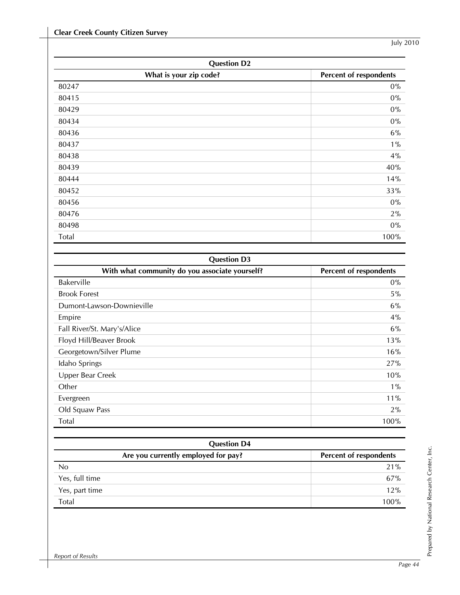| <b>Question D2</b>     |                        |  |
|------------------------|------------------------|--|
| What is your zip code? | Percent of respondents |  |
| 80247                  | $0\%$                  |  |
| 80415                  | $0\%$                  |  |
| 80429                  | $0\%$                  |  |
| 80434                  | $0\%$                  |  |
| 80436                  | 6%                     |  |
| 80437                  | $1\%$                  |  |
| 80438                  | 4%                     |  |
| 80439                  | 40%                    |  |
| 80444                  | 14%                    |  |
| 80452                  | 33%                    |  |
| 80456                  | $0\%$                  |  |
| 80476                  | 2%                     |  |
| 80498                  | $0\%$                  |  |
| Total                  | 100%                   |  |

| <b>Question D3</b>                             |                        |  |  |  |
|------------------------------------------------|------------------------|--|--|--|
| With what community do you associate yourself? | Percent of respondents |  |  |  |
| Bakerville                                     | $0\%$                  |  |  |  |
| <b>Brook Forest</b>                            | 5%                     |  |  |  |
| Dumont-Lawson-Downieville                      | 6%                     |  |  |  |
| Empire                                         | 4%                     |  |  |  |
| Fall River/St. Mary's/Alice                    | 6%                     |  |  |  |
| Floyd Hill/Beaver Brook                        | 13%                    |  |  |  |
| Georgetown/Silver Plume                        | 16%                    |  |  |  |
| Idaho Springs                                  | 27%                    |  |  |  |
| Upper Bear Creek                               | 10%                    |  |  |  |
| Other                                          | $1\%$                  |  |  |  |
| Evergreen                                      | 11%                    |  |  |  |
| Old Squaw Pass                                 | 2%                     |  |  |  |
| Total                                          | 100%                   |  |  |  |

| <b>Question D4</b>                  |                        |  |  |  |
|-------------------------------------|------------------------|--|--|--|
| Are you currently employed for pay? | Percent of respondents |  |  |  |
| N <sub>0</sub>                      | 21%                    |  |  |  |
| Yes, full time                      | 67%                    |  |  |  |
| Yes, part time                      | 12%                    |  |  |  |
| Total                               | 100%                   |  |  |  |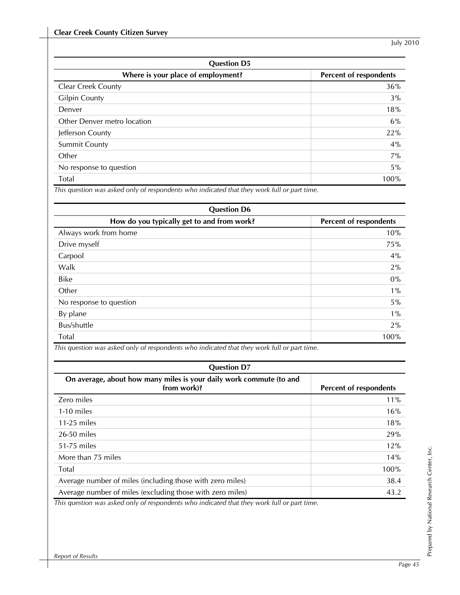| <b>Question D5</b>                 |                        |  |  |  |
|------------------------------------|------------------------|--|--|--|
| Where is your place of employment? | Percent of respondents |  |  |  |
| <b>Clear Creek County</b>          | 36%                    |  |  |  |
| <b>Gilpin County</b>               | 3%                     |  |  |  |
| Denver                             | 18%                    |  |  |  |
| Other Denver metro location        | 6%                     |  |  |  |
| Jefferson County                   | 22%                    |  |  |  |
| <b>Summit County</b>               | 4%                     |  |  |  |
| Other                              | 7%                     |  |  |  |
| No response to question            | $5\%$                  |  |  |  |
| Total                              | 100%                   |  |  |  |

*This question was asked only of respondents who indicated that they work full or part time.* 

| <b>Question D6</b>                         |                        |  |  |
|--------------------------------------------|------------------------|--|--|
| How do you typically get to and from work? | Percent of respondents |  |  |
| Always work from home                      | 10%                    |  |  |
| Drive myself                               | 75%                    |  |  |
| Carpool                                    | 4%                     |  |  |
| Walk                                       | 2%                     |  |  |
| <b>Bike</b>                                | $0\%$                  |  |  |
| Other                                      | $1\%$                  |  |  |
| No response to question                    | 5%                     |  |  |
| By plane                                   | $1\%$                  |  |  |
| Bus/shuttle                                | 2%                     |  |  |
| Total                                      | 100%                   |  |  |

| This question was asked only of respondents who indicated that they work full or part time. |  |
|---------------------------------------------------------------------------------------------|--|
|---------------------------------------------------------------------------------------------|--|

| <b>Question D7</b>                                                                 |                        |  |  |  |
|------------------------------------------------------------------------------------|------------------------|--|--|--|
| On average, about how many miles is your daily work commute (to and<br>from work)? | Percent of respondents |  |  |  |
| Zero miles                                                                         | $11\%$                 |  |  |  |
| 1-10 miles                                                                         | 16%                    |  |  |  |
| 11-25 miles                                                                        | 18%                    |  |  |  |
| 26-50 miles                                                                        | 29%                    |  |  |  |
| 51-75 miles                                                                        | 12%                    |  |  |  |
| More than 75 miles                                                                 | 14%                    |  |  |  |
| <b>Total</b>                                                                       | 100%                   |  |  |  |
| Average number of miles (including those with zero miles)                          | 38.4                   |  |  |  |
| Average number of miles (excluding those with zero miles)                          | 43.2                   |  |  |  |

*This question was asked only of respondents who indicated that they work full or part time.*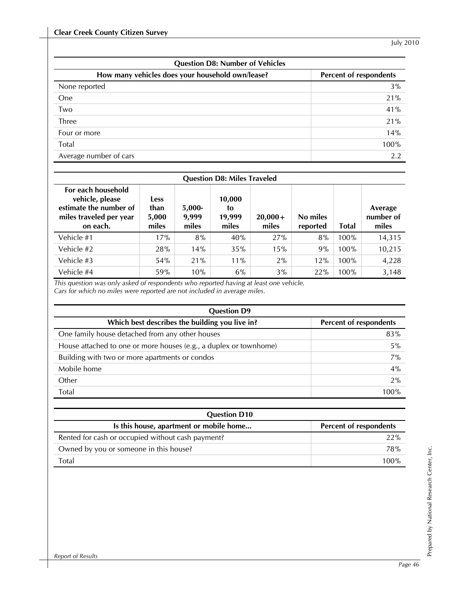| <b>Question D8: Number of Vehicles</b>           |                        |  |  |
|--------------------------------------------------|------------------------|--|--|
| How many vehicles does your household own/lease? | Percent of respondents |  |  |
| None reported                                    | 3%                     |  |  |
| One                                              | 21%                    |  |  |
| Two                                              | 41%                    |  |  |
| Three                                            | 21%                    |  |  |
| Four or more                                     | 14%                    |  |  |
| Total                                            | 100%                   |  |  |
| Average number of cars                           | 2.2                    |  |  |

| <b>Question D8: Miles Traveled</b>                                                                     |                                       |                            |                                 |                    |                      |              |                               |
|--------------------------------------------------------------------------------------------------------|---------------------------------------|----------------------------|---------------------------------|--------------------|----------------------|--------------|-------------------------------|
| For each household<br>vehicle, please<br>estimate the number of<br>miles traveled per year<br>on each. | <b>Less</b><br>than<br>5,000<br>miles | $5,000-$<br>9,999<br>miles | 10,000<br>to<br>19,999<br>miles | $20,000+$<br>miles | No miles<br>reported | <b>Total</b> | Average<br>number of<br>miles |
| Vehicle #1                                                                                             | 17%                                   | 8%                         | 40%                             | 27%                | 8%                   | 100%         | 14,315                        |
| Vehicle #2                                                                                             | 28%                                   | 14%                        | 35%                             | 15%                | 9%                   | 100%         | 10,215                        |
| Vehicle #3                                                                                             | 54%                                   | 21%                        | $11\%$                          | 2%                 | 12%                  | 100%         | 4,228                         |
| Vehicle #4                                                                                             | 59%                                   | 10%                        | 6%                              | 3%                 | 22%                  | 100%         | 3,148                         |

*This question was only asked of respondents who reported having at least one vehicle.* 

*Cars for which no miles were reported are not included in average miles.* 

| <b>Question D9</b>                                                |                        |  |  |  |
|-------------------------------------------------------------------|------------------------|--|--|--|
| Which best describes the building you live in?                    | Percent of respondents |  |  |  |
| One family house detached from any other houses                   | 83%                    |  |  |  |
| House attached to one or more houses (e.g., a duplex or townhome) | 5%                     |  |  |  |
| Building with two or more apartments or condos                    | 7%                     |  |  |  |
| Mobile home                                                       | 4%                     |  |  |  |
| Other                                                             | 2%                     |  |  |  |
| Total                                                             | 100%                   |  |  |  |

| <b>Question D10</b>                               |                               |  |  |  |
|---------------------------------------------------|-------------------------------|--|--|--|
| Is this house, apartment or mobile home           | <b>Percent of respondents</b> |  |  |  |
| Rented for cash or occupied without cash payment? | 22%                           |  |  |  |
| Owned by you or someone in this house?            | <b>78%</b>                    |  |  |  |
| Total                                             | 100%                          |  |  |  |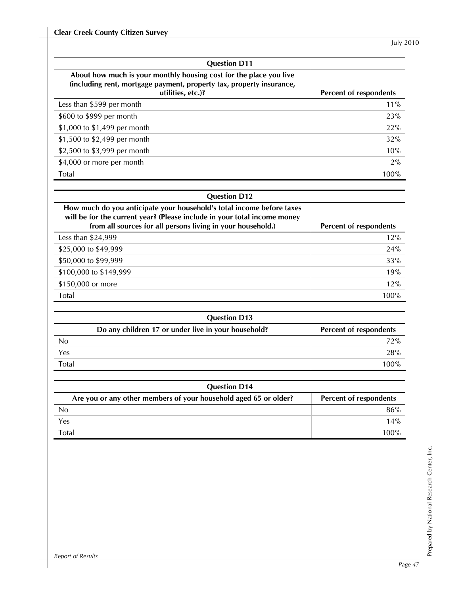| <b>Question D11</b>                                                                                                                                             |                        |  |  |  |  |  |  |
|-----------------------------------------------------------------------------------------------------------------------------------------------------------------|------------------------|--|--|--|--|--|--|
| About how much is your monthly housing cost for the place you live<br>(including rent, mortgage payment, property tax, property insurance,<br>utilities, etc.)? | Percent of respondents |  |  |  |  |  |  |
| Less than \$599 per month                                                                                                                                       | $11\%$                 |  |  |  |  |  |  |
| \$600 to \$999 per month                                                                                                                                        | 23%                    |  |  |  |  |  |  |
| \$1,000 to \$1,499 per month                                                                                                                                    | 22%                    |  |  |  |  |  |  |
| \$1,500 to \$2,499 per month                                                                                                                                    | 32%                    |  |  |  |  |  |  |
| \$2,500 to \$3,999 per month                                                                                                                                    | 10%                    |  |  |  |  |  |  |
| \$4,000 or more per month                                                                                                                                       | 2%                     |  |  |  |  |  |  |
| Total                                                                                                                                                           | 100%                   |  |  |  |  |  |  |

### **Question D12**

| How much do you anticipate your household's total income before taxes<br>will be for the current year? (Please include in your total income money<br>from all sources for all persons living in your household.) | Percent of respondents |
|------------------------------------------------------------------------------------------------------------------------------------------------------------------------------------------------------------------|------------------------|
| Less than \$24,999                                                                                                                                                                                               | 12%                    |
| \$25,000 to \$49,999                                                                                                                                                                                             | 24%                    |
| \$50,000 to \$99,999                                                                                                                                                                                             | 33%                    |
| \$100,000 to \$149,999                                                                                                                                                                                           | 19%                    |
| \$150,000 or more                                                                                                                                                                                                | 12%                    |
| Total                                                                                                                                                                                                            | 100%                   |

| <b>Question D13</b> |                                                     |                        |  |  |  |  |  |
|---------------------|-----------------------------------------------------|------------------------|--|--|--|--|--|
|                     | Do any children 17 or under live in your household? | Percent of respondents |  |  |  |  |  |
| N <sub>0</sub>      |                                                     | 72%                    |  |  |  |  |  |
| Yes                 |                                                     | 28%                    |  |  |  |  |  |
| <b>Total</b>        |                                                     | 100%                   |  |  |  |  |  |

| <b>Question D14</b>                                              |                               |  |  |  |  |  |  |
|------------------------------------------------------------------|-------------------------------|--|--|--|--|--|--|
| Are you or any other members of your household aged 65 or older? | <b>Percent of respondents</b> |  |  |  |  |  |  |
| No                                                               | 86%                           |  |  |  |  |  |  |
| Yes                                                              | 14%                           |  |  |  |  |  |  |
| Total                                                            | 100%                          |  |  |  |  |  |  |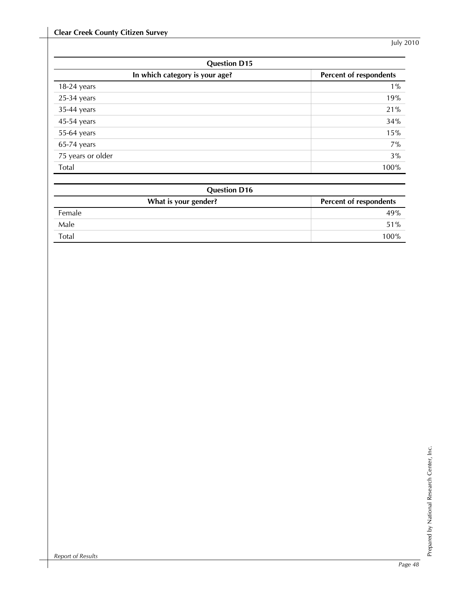| <b>Question D15</b>            |                        |  |  |  |  |  |
|--------------------------------|------------------------|--|--|--|--|--|
| In which category is your age? | Percent of respondents |  |  |  |  |  |
| $18-24$ years                  | $1\%$                  |  |  |  |  |  |
| $25-34$ years                  | 19%                    |  |  |  |  |  |
| 35-44 years                    | 21%                    |  |  |  |  |  |
| 45-54 years                    | 34%                    |  |  |  |  |  |
| 55-64 years                    | 15%                    |  |  |  |  |  |
| $65-74$ years                  | 7%                     |  |  |  |  |  |
| 75 years or older              | 3%                     |  |  |  |  |  |
| Total                          | 100%                   |  |  |  |  |  |

| <b>Question D16</b>  |                        |  |  |  |  |  |  |
|----------------------|------------------------|--|--|--|--|--|--|
| What is your gender? | Percent of respondents |  |  |  |  |  |  |
| Female               | 49%                    |  |  |  |  |  |  |
| Male                 | 51%                    |  |  |  |  |  |  |
| Total                | 100%                   |  |  |  |  |  |  |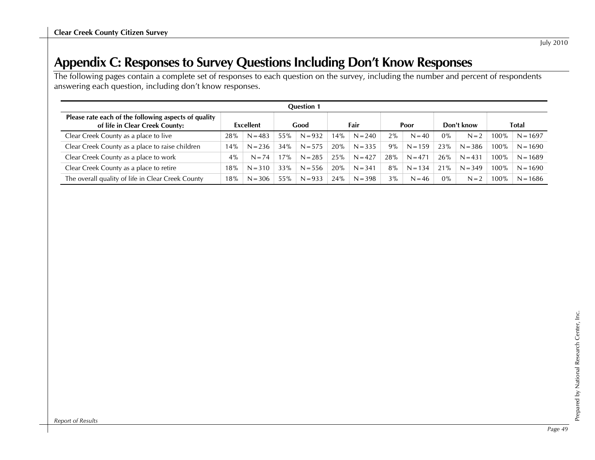## **Appendix C: Responses to Survey Questions Including Don't Know Responses**

The following pages contain a complete set of responses to each question on the survey, including the number and percent of respondents answering each question, including don't know responses.

| <b>Question 1</b>                                                                      |                  |           |      |           |      |           |       |           |            |           |       |            |
|----------------------------------------------------------------------------------------|------------------|-----------|------|-----------|------|-----------|-------|-----------|------------|-----------|-------|------------|
| Please rate each of the following aspects of quality<br>of life in Clear Creek County: | <b>Excellent</b> |           | Good |           | Fair |           | Poor  |           | Don't know |           | Total |            |
| Clear Creek County as a place to live                                                  | 28%              | $N = 483$ | 55%  | $N = 932$ | 14%  | $N = 240$ | $2\%$ | $N = 40$  | $0\%$      | $N = 2$   | 100%  | $N = 1697$ |
| Clear Creek County as a place to raise children                                        | 14%              | $N = 236$ | 34%  | $N = 575$ | 20%  | $N = 335$ | 9%    | $N = 159$ | 23%        | $N = 386$ | 100%  | $N = 1690$ |
| Clear Creek County as a place to work                                                  | $4\%$            | $N = 74$  | 17%  | $N = 285$ | 25%  | $N = 427$ | 28%   | $N = 471$ | 26%        | $N = 431$ | 100%  | $N = 1689$ |
| Clear Creek County as a place to retire                                                | 18%              | $N = 310$ | 33%  | $N = 556$ | 20%  | $N = 341$ | 8%    | $N = 134$ | 21%        | $N = 349$ | 100%  | $N = 1690$ |
| The overall quality of life in Clear Creek County                                      | 18%              | $N = 306$ | 55%  | $N = 933$ | 24%  | $N = 398$ | 3%    | $N = 46$  | $0\%$      | $N = 2$   | 100%  | $N = 1686$ |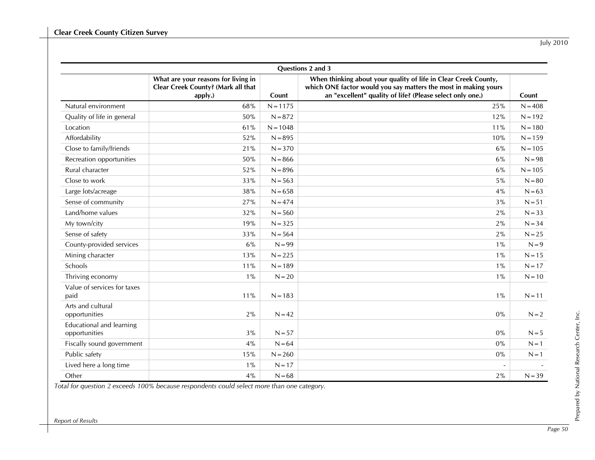| July 2010 |
|-----------|
|           |

| Questions 2 and 3                                |                                                                                      |            |                                                                                                                                                                                                 |           |  |  |  |  |  |
|--------------------------------------------------|--------------------------------------------------------------------------------------|------------|-------------------------------------------------------------------------------------------------------------------------------------------------------------------------------------------------|-----------|--|--|--|--|--|
|                                                  | What are your reasons for living in<br>Clear Creek County? (Mark all that<br>apply.) | Count      | When thinking about your quality of life in Clear Creek County,<br>which ONE factor would you say matters the most in making yours<br>an "excellent" quality of life? (Please select only one.) | Count     |  |  |  |  |  |
| Natural environment                              | 68%                                                                                  | $N = 1175$ | 25%                                                                                                                                                                                             | $N = 408$ |  |  |  |  |  |
| Quality of life in general                       | 50%                                                                                  | $N = 872$  | 12%                                                                                                                                                                                             | $N = 192$ |  |  |  |  |  |
| Location                                         | 61%                                                                                  | $N = 1048$ | 11%                                                                                                                                                                                             | $N = 180$ |  |  |  |  |  |
| Affordability                                    | 52%                                                                                  | $N = 895$  | 10%                                                                                                                                                                                             | $N = 159$ |  |  |  |  |  |
| Close to family/friends                          | 21%                                                                                  | $N = 370$  | 6%                                                                                                                                                                                              | $N = 105$ |  |  |  |  |  |
| Recreation opportunities                         | 50%                                                                                  | $N = 866$  | 6%                                                                                                                                                                                              | $N = 98$  |  |  |  |  |  |
| Rural character                                  | 52%                                                                                  | $N = 896$  | 6%                                                                                                                                                                                              | $N = 105$ |  |  |  |  |  |
| Close to work                                    | 33%                                                                                  | $N = 563$  | 5%                                                                                                                                                                                              | $N = 80$  |  |  |  |  |  |
| Large lots/acreage                               | 38%                                                                                  | $N = 658$  | 4%                                                                                                                                                                                              | $N = 63$  |  |  |  |  |  |
| Sense of community                               | 27%                                                                                  | $N = 474$  | 3%                                                                                                                                                                                              | $N = 51$  |  |  |  |  |  |
| Land/home values                                 | 32%                                                                                  | $N = 560$  | 2%                                                                                                                                                                                              | $N = 33$  |  |  |  |  |  |
| My town/city                                     | 19%                                                                                  | $N = 325$  | 2%                                                                                                                                                                                              | $N = 34$  |  |  |  |  |  |
| Sense of safety                                  | 33%                                                                                  | $N = 564$  | 2%                                                                                                                                                                                              | $N = 25$  |  |  |  |  |  |
| County-provided services                         | 6%                                                                                   | $N = 99$   | $1\%$                                                                                                                                                                                           | $N = 9$   |  |  |  |  |  |
| Mining character                                 | 13%                                                                                  | $N = 225$  | $1\%$                                                                                                                                                                                           | $N = 15$  |  |  |  |  |  |
| Schools                                          | 11%                                                                                  | $N = 189$  | $1\%$                                                                                                                                                                                           | $N = 17$  |  |  |  |  |  |
| Thriving economy                                 | $1\%$                                                                                | $N = 20$   | $1\%$                                                                                                                                                                                           | $N = 10$  |  |  |  |  |  |
| Value of services for taxes<br>paid              | 11%                                                                                  | $N = 183$  | $1\%$                                                                                                                                                                                           | $N = 11$  |  |  |  |  |  |
| Arts and cultural<br>opportunities               | 2%                                                                                   | $N = 42$   | $0\%$                                                                                                                                                                                           | $N = 2$   |  |  |  |  |  |
| <b>Educational and learning</b><br>opportunities | 3%                                                                                   | $N = 57$   | $0\%$                                                                                                                                                                                           | $N = 5$   |  |  |  |  |  |
| Fiscally sound government                        | 4%                                                                                   | $N = 64$   | $0\%$                                                                                                                                                                                           | $N = 1$   |  |  |  |  |  |
| Public safety                                    | 15%                                                                                  | $N = 260$  | $0\%$                                                                                                                                                                                           | $N = 1$   |  |  |  |  |  |
| Lived here a long time                           | $1\%$                                                                                | $N = 17$   |                                                                                                                                                                                                 |           |  |  |  |  |  |
| Other                                            | 4%                                                                                   | $N = 68$   | 2%                                                                                                                                                                                              | $N = 39$  |  |  |  |  |  |

*Total for question 2 exceeds 100% because respondents could select more than one category.*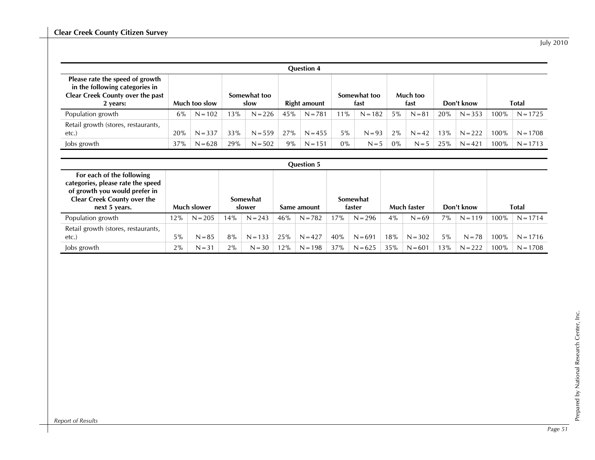July 2010

| <b>Question 4</b>                                                                                                        |               |           |                      |           |              |           |                      |           |                  |          |            |           |              |            |
|--------------------------------------------------------------------------------------------------------------------------|---------------|-----------|----------------------|-----------|--------------|-----------|----------------------|-----------|------------------|----------|------------|-----------|--------------|------------|
| Please rate the speed of growth<br>in the following categories in<br><b>Clear Creek County over the past</b><br>2 years: | Much too slow |           | Somewhat too<br>slow |           | Right amount |           | Somewhat too<br>fast |           | Much too<br>fast |          | Don't know |           | <b>Total</b> |            |
| Population growth                                                                                                        | 6%            | $N = 102$ | 13%                  | $N = 226$ | 45%          | $N = 781$ | 11%                  | $N = 182$ | $5\%$            | $N = 81$ | 20%        | $N = 353$ | $100\%$      | $N = 1725$ |
| Retail growth (stores, restaurants,<br>$etc.$ )                                                                          | 20%           | $N = 337$ | 33%                  | $N = 559$ | 27%          | $N = 455$ | $5\%$                | $N = 93$  | $2\%$            | $N = 42$ | 13%        | $N = 222$ | $100\%$      | $N = 1708$ |
| Jobs growth                                                                                                              | 37%           | $N = 628$ | 29%                  | $N = 502$ | 9%           | $N = 151$ | $0\%$                | $N = 5$   | $0\%$            | $N = 5$  | 25%        | $N = 421$ | 100%         | $N = 1713$ |

| <b>Question 5</b>                                                                                                                                      |       |             |                    |           |             |           |                           |           |             |           |            |           |              |            |
|--------------------------------------------------------------------------------------------------------------------------------------------------------|-------|-------------|--------------------|-----------|-------------|-----------|---------------------------|-----------|-------------|-----------|------------|-----------|--------------|------------|
| For each of the following<br>categories, please rate the speed<br>of growth you would prefer in<br><b>Clear Creek County over the</b><br>next 5 years. |       | Much slower | Somewhat<br>slower |           | Same amount |           | <b>Somewhat</b><br>faster |           | Much faster |           | Don't know |           | <b>Total</b> |            |
| Population growth                                                                                                                                      | 12%   | $N = 205$   | 14%                | $N = 243$ | 46%         | $N = 782$ | 17%                       | $N = 296$ | 4%          | $N = 69$  | 7%         | $N = 119$ | 100%         | $N = 1714$ |
| Retail growth (stores, restaurants,<br>etc.                                                                                                            | $5\%$ | $N = 85$    | 8%                 | $N = 133$ | 25%         | $N = 427$ | 40%                       | $N = 691$ | 18%         | $N = 302$ | $5\%$      | $N = 78$  | 100%         | $N = 1716$ |
| Jobs growth                                                                                                                                            | 2%    | $N = 31$    | 2%                 | $N = 30$  | 12%         | $N = 198$ | 37%                       | $N = 625$ | 35%         | $N = 601$ | 13%        | $N = 222$ | 100%         | $N = 1708$ |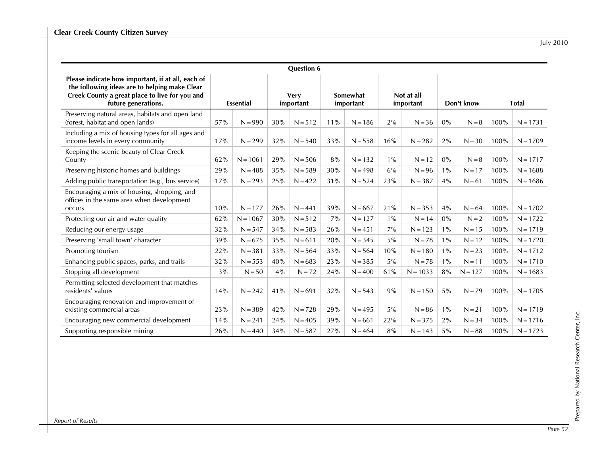| <b>July 2010</b> |
|------------------|
|                  |

| <b>Question 6</b>                                                                                                                                                           |                  |            |                          |           |                       |           |                         |            |            |           |              |            |
|-----------------------------------------------------------------------------------------------------------------------------------------------------------------------------|------------------|------------|--------------------------|-----------|-----------------------|-----------|-------------------------|------------|------------|-----------|--------------|------------|
| Please indicate how important, if at all, each of<br>the following ideas are to helping make Clear<br>Creek County a great place to live for you and<br>future generations. | <b>Essential</b> |            | <b>Very</b><br>important |           | Somewhat<br>important |           | Not at all<br>important |            | Don't know |           | <b>Total</b> |            |
| Preserving natural areas, habitats and open land<br>(forest, habitat and open lands)                                                                                        | 57%              | $N = 990$  | 30%                      | $N = 512$ | 11%                   | $N = 186$ | 2%                      | $N = 36$   | 0%         | $N = 8$   | 100%         | $N = 1731$ |
| Including a mix of housing types for all ages and<br>income levels in every community                                                                                       | 17%              | $N = 299$  | 32%                      | $N = 540$ | 33%                   | $N = 558$ | 16%                     | $N = 282$  | 2%         | $N = 30$  | 100%         | $N = 1709$ |
| Keeping the scenic beauty of Clear Creek<br>County                                                                                                                          | 62%              | $N = 1061$ | 29%                      | $N = 506$ | 8%                    | $N = 132$ | $1\%$                   | $N = 12$   | $0\%$      | $N = 8$   | 100%         | $N = 1717$ |
| Preserving historic homes and buildings                                                                                                                                     | 29%              | $N = 488$  | 35%                      | $N = 589$ | 30%                   | $N = 498$ | 6%                      | $N = 96$   | $1\%$      | $N = 17$  | 100%         | $N = 1688$ |
| Adding public transportation (e.g., bus service)                                                                                                                            | 17%              | $N = 293$  | 25%                      | $N = 422$ | 31%                   | $N = 524$ | 23%                     | $N = 387$  | 4%         | $N = 61$  | 100%         | $N = 1686$ |
| Encouraging a mix of housing, shopping, and<br>offices in the same area when development<br>occurs                                                                          | 10%              | $N = 177$  | 26%                      | $N = 441$ | 39%                   | $N = 667$ | 21%                     | $N = 353$  | 4%         | $N = 64$  | 100%         | $N = 1702$ |
| Protecting our air and water quality                                                                                                                                        | 62%              | $N = 1067$ | 30%                      | $N = 512$ | 7%                    | $N = 127$ | $1\%$                   | $N = 14$   | $0\%$      | $N = 2$   | 100%         | $N = 1722$ |
| Reducing our energy usage                                                                                                                                                   | 32%              | $N = 547$  | 34%                      | $N = 583$ | 26%                   | $N = 451$ | 7%                      | $N = 123$  | $1\%$      | $N = 15$  | 100%         | $N = 1719$ |
| Preserving 'small town' character                                                                                                                                           | 39%              | $N = 675$  | 35%                      | $N = 611$ | 20%                   | $N = 345$ | $5\%$                   | $N = 78$   | $1\%$      | $N = 12$  | 100%         | $N = 1720$ |
| Promoting tourism                                                                                                                                                           | 22%              | $N = 381$  | 33%                      | $N = 564$ | 33%                   | $N = 564$ | 10%                     | $N = 180$  | $1\%$      | $N = 23$  | 100%         | $N = 1712$ |
| Enhancing public spaces, parks, and trails                                                                                                                                  | 32%              | $N = 553$  | 40%                      | $N = 683$ | 23%                   | $N = 385$ | 5%                      | $N = 78$   | $1\%$      | $N = 11$  | 100%         | $N = 1710$ |
| Stopping all development                                                                                                                                                    | 3%               | $N = 50$   | 4%                       | $N = 72$  | 24%                   | $N = 400$ | 61%                     | $N = 1033$ | 8%         | $N = 127$ | 100%         | $N = 1683$ |
| Permitting selected development that matches<br>residents' values                                                                                                           | 14%              | $N = 242$  | 41%                      | $N = 691$ | 32%                   | $N = 543$ | 9%                      | $N = 150$  | 5%         | $N = 79$  | 100%         | $N = 1705$ |
| Encouraging renovation and improvement of<br>existing commercial areas                                                                                                      | 23%              | $N = 389$  | 42%                      | $N = 728$ | 29%                   | $N = 495$ | 5%                      | $N = 86$   | $1\%$      | $N = 21$  | 100%         | $N = 1719$ |
| Encouraging new commercial development                                                                                                                                      | 14%              | $N = 241$  | 24%                      | $N = 405$ | 39%                   | $N = 661$ | 22%                     | $N = 375$  | 2%         | $N = 34$  | 100%         | $N = 1716$ |
| Supporting responsible mining                                                                                                                                               | 26%              | $N = 440$  | 34%                      | $N = 587$ | 27%                   | $N = 464$ | 8%                      | $N = 143$  | 5%         | $N = 88$  | 100%         | $N = 1723$ |

*Report of Results*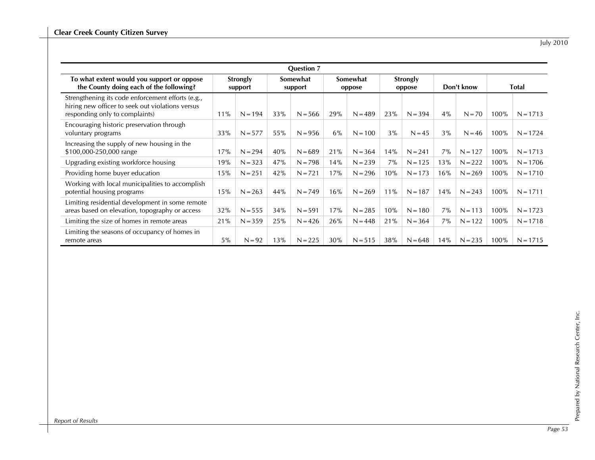July 2010

|                                                                                                                                         |                     |           |                     | <b>Question 7</b> |                    |           |                    |           |            |           |              |            |
|-----------------------------------------------------------------------------------------------------------------------------------------|---------------------|-----------|---------------------|-------------------|--------------------|-----------|--------------------|-----------|------------|-----------|--------------|------------|
| To what extent would you support or oppose<br>the County doing each of the following?                                                   | Strongly<br>support |           | Somewhat<br>support |                   | Somewhat<br>oppose |           | Strongly<br>oppose |           | Don't know |           | <b>Total</b> |            |
| Strengthening its code enforcement efforts (e.g.,<br>hiring new officer to seek out violations versus<br>responding only to complaints) | 11%                 | $N = 194$ | 33%                 | $N = 566$         | 29%                | $N = 489$ | 23%                | $N = 394$ | 4%         | $N = 70$  | 100%         | $N = 1713$ |
| Encouraging historic preservation through<br>voluntary programs                                                                         | 33%                 | $N = 577$ | 55%                 | $N = 956$         | 6%                 | $N = 100$ | 3%                 | $N = 45$  | 3%         | $N = 46$  | 100%         | $N = 1724$ |
| Increasing the supply of new housing in the<br>\$100,000-250,000 range                                                                  | 17%                 | $N = 294$ | 40%                 | $N = 689$         | 21%                | $N = 364$ | 14%                | $N = 241$ | $7\%$      | $N = 127$ | 100%         | $N = 1713$ |
| Upgrading existing workforce housing                                                                                                    | 19%                 | $N = 323$ | 47%                 | $N = 798$         | 14%                | $N = 239$ | 7%                 | $N = 125$ | 13%        | $N = 222$ | 100%         | $N = 1706$ |
| Providing home buyer education                                                                                                          | 15%                 | $N = 251$ | 42%                 | $N = 721$         | 17%                | $N = 296$ | 10%                | $N = 173$ | 16%        | $N = 269$ | 100%         | $N = 1710$ |
| Working with local municipalities to accomplish<br>potential housing programs                                                           | 15%                 | $N = 263$ | 44%                 | $N = 749$         | 16%                | $N = 269$ | 11%                | $N = 187$ | 14%        | $N = 243$ | 100%         | $N = 1711$ |
| Limiting residential development in some remote<br>areas based on elevation, topography or access                                       | 32%                 | $N = 555$ | 34%                 | $N = 591$         | 17%                | $N = 285$ | 10%                | $N = 180$ | 7%         | $N = 113$ | 100%         | $N = 1723$ |
| Limiting the size of homes in remote areas                                                                                              | 21%                 | $N = 359$ | 25%                 | $N = 426$         | 26%                | $N = 448$ | 21%                | $N = 364$ | $7\%$      | $N = 122$ | 100%         | $N = 1718$ |
| Limiting the seasons of occupancy of homes in<br>remote areas                                                                           | $5\%$               | $N = 92$  | 13%                 | $N = 225$         | 30%                | $N = 515$ | 38%                | $N = 648$ | 14%        | $N = 235$ | 100%         | $N = 1715$ |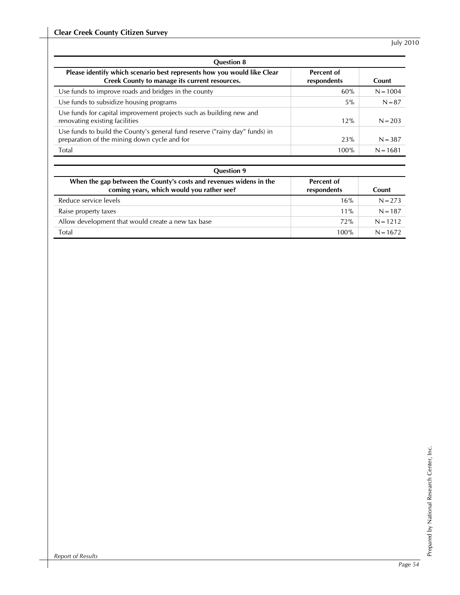| <b>Question 8</b>                                                                                                           |                           |            |
|-----------------------------------------------------------------------------------------------------------------------------|---------------------------|------------|
| Please identify which scenario best represents how you would like Clear<br>Creek County to manage its current resources.    | Percent of<br>respondents | Count      |
| Use funds to improve roads and bridges in the county                                                                        | 60%                       | $N = 1004$ |
| Use funds to subsidize housing programs                                                                                     | 5%                        | $N = 87$   |
| Use funds for capital improvement projects such as building new and<br>renovating existing facilities                       | 12%                       | $N = 203$  |
| Use funds to build the County's general fund reserve ("rainy day" funds) in<br>preparation of the mining down cycle and for | 23%                       | $N = 387$  |
| Total                                                                                                                       | 100%                      | $N = 1681$ |

| <b>Question 9</b>                                                                                               |                                  |            |
|-----------------------------------------------------------------------------------------------------------------|----------------------------------|------------|
| When the gap between the County's costs and revenues widens in the<br>coming years, which would you rather see? | <b>Percent of</b><br>respondents | Count      |
| Reduce service levels                                                                                           | 16%                              | $N = 273$  |
| Raise property taxes                                                                                            | $11\%$                           | $N = 187$  |
| Allow development that would create a new tax base                                                              | 72%                              | $N = 1212$ |
| Total                                                                                                           | 100%                             | $N = 1672$ |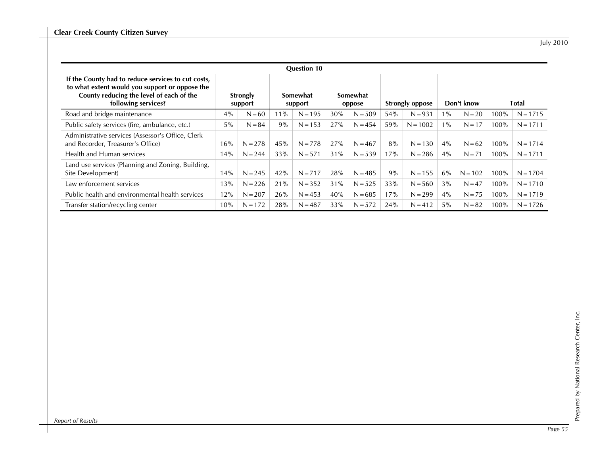|                                                                                                                                                                         |       |                     |     | <b>Question 10</b>  |     |                    |     |                 |       |            |         |            |
|-------------------------------------------------------------------------------------------------------------------------------------------------------------------------|-------|---------------------|-----|---------------------|-----|--------------------|-----|-----------------|-------|------------|---------|------------|
| If the County had to reduce services to cut costs,<br>to what extent would you support or oppose the<br>County reducing the level of each of the<br>following services? |       | Strongly<br>support |     | Somewhat<br>support |     | Somewhat<br>oppose |     | Strongly oppose |       | Don't know |         | Total      |
| Road and bridge maintenance                                                                                                                                             | 4%    | $N = 60$            | 11% | $N = 195$           | 30% | $N = 509$          | 54% | $N = 931$       | $1\%$ | $N = 20$   | 100%    | $N = 1715$ |
| Public safety services (fire, ambulance, etc.)                                                                                                                          | $5\%$ | $N = 84$            | 9%  | $N = 153$           | 27% | $N = 454$          | 59% | $N = 1002$      | $1\%$ | $N = 17$   | 100%    | $N = 1711$ |
| Administrative services (Assessor's Office, Clerk<br>and Recorder, Treasurer's Office)                                                                                  | 16%   | $N = 278$           | 45% | $N = 778$           | 27% | $N = 467$          | 8%  | $N = 130$       | 4%    | $N = 62$   | 100%    | $N = 1714$ |
| Health and Human services                                                                                                                                               | 14%   | $N = 244$           | 33% | $N = 571$           | 31% | $N = 539$          | 17% | $N = 286$       | 4%    | $N = 71$   | 100%    | $N = 1711$ |
| Land use services (Planning and Zoning, Building,<br>Site Development)                                                                                                  | 14%   | $N = 245$           | 42% | $N = 717$           | 28% | $N = 485$          | 9%  | $N = 155$       | 6%    | $N = 102$  | 100%    | $N = 1704$ |
| Law enforcement services                                                                                                                                                | 13%   | $N = 226$           | 21% | $N = 352$           | 31% | $N = 525$          | 33% | $N = 560$       | 3%    | $N = 47$   | $100\%$ | $N = 1710$ |
| Public health and environmental health services                                                                                                                         | 12%   | $N = 207$           | 26% | $N = 453$           | 40% | $N = 685$          | 17% | $N = 299$       | 4%    | $N = 75$   | 100%    | $N = 1719$ |
| Transfer station/recycling center                                                                                                                                       | 10%   | $N = 172$           | 28% | $N = 487$           | 33% | $N = 572$          | 24% | $N = 412$       | $5\%$ | $N = 82$   | 100%    | $N = 1726$ |

*Report of Results*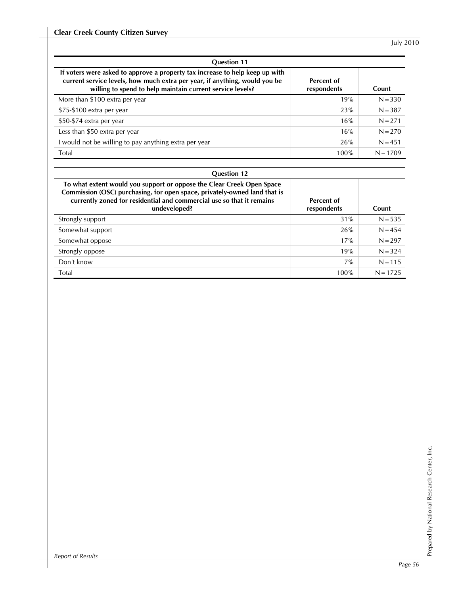| <b>Question 11</b>                                                                                                                                                                                                      |                           |            |  |  |  |  |  |
|-------------------------------------------------------------------------------------------------------------------------------------------------------------------------------------------------------------------------|---------------------------|------------|--|--|--|--|--|
| If voters were asked to approve a property tax increase to help keep up with<br>current service levels, how much extra per year, if anything, would you be<br>willing to spend to help maintain current service levels? | Percent of<br>respondents | Count      |  |  |  |  |  |
| More than \$100 extra per year                                                                                                                                                                                          | 19%                       | $N = 330$  |  |  |  |  |  |
| \$75-\$100 extra per year                                                                                                                                                                                               | 23%                       | $N = 387$  |  |  |  |  |  |
| \$50-\$74 extra per year                                                                                                                                                                                                | 16%                       | $N = 271$  |  |  |  |  |  |
| Less than \$50 extra per year                                                                                                                                                                                           | 16%                       | $N = 270$  |  |  |  |  |  |
| I would not be willing to pay anything extra per year                                                                                                                                                                   | 26%                       | $N = 451$  |  |  |  |  |  |
| Total                                                                                                                                                                                                                   | 100%                      | $N = 1709$ |  |  |  |  |  |

| <b>Question 12</b> |  |
|--------------------|--|
|                    |  |

| To what extent would you support or oppose the Clear Creek Open Space<br>Commission (OSC) purchasing, for open space, privately-owned land that is<br>currently zoned for residential and commercial use so that it remains<br>undeveloped? | Percent of<br>respondents | Count      |
|---------------------------------------------------------------------------------------------------------------------------------------------------------------------------------------------------------------------------------------------|---------------------------|------------|
| Strongly support                                                                                                                                                                                                                            | 31%                       | $N = 535$  |
| Somewhat support                                                                                                                                                                                                                            | 26%                       | $N = 454$  |
| Somewhat oppose                                                                                                                                                                                                                             | 17%                       | $N = 297$  |
| Strongly oppose                                                                                                                                                                                                                             | 19%                       | $N = 324$  |
| Don't know                                                                                                                                                                                                                                  | 7%                        | $N = 115$  |
| Total                                                                                                                                                                                                                                       | 100%                      | $N = 1725$ |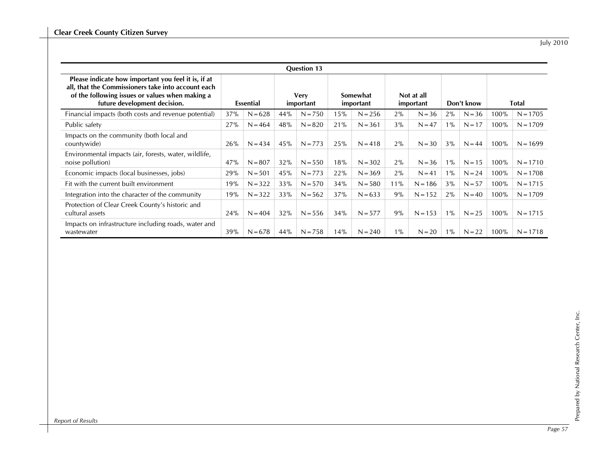July 2010

|                                                                                                                                                                                              |     |           |     | <b>Question 13</b>       |     |                       |       |                         |       |            |      |            |
|----------------------------------------------------------------------------------------------------------------------------------------------------------------------------------------------|-----|-----------|-----|--------------------------|-----|-----------------------|-------|-------------------------|-------|------------|------|------------|
| Please indicate how important you feel it is, if at<br>all, that the Commissioners take into account each<br>of the following issues or values when making a<br>future development decision. |     | Essential |     | <b>Verv</b><br>important |     | Somewhat<br>important |       | Not at all<br>important |       | Don't know |      | Total      |
| Financial impacts (both costs and revenue potential)                                                                                                                                         | 37% | $N = 628$ | 44% | $N = 750$                | 15% | $N = 256$             | $2\%$ | $N = 36$                | 2%    | $N = 36$   | 100% | $N = 1705$ |
| Public safety                                                                                                                                                                                | 27% | $N = 464$ | 48% | $N = 820$                | 21% | $N = 361$             | 3%    | $N = 47$                | $1\%$ | $N = 17$   | 100% | $N = 1709$ |
| Impacts on the community (both local and<br>countywide)                                                                                                                                      | 26% | $N = 434$ | 45% | $N = 773$                | 25% | $N = 418$             | 2%    | $N = 30$                | 3%    | $N = 44$   | 100% | $N = 1699$ |
| Environmental impacts (air, forests, water, wildlife,<br>noise pollution)                                                                                                                    | 47% | $N = 807$ | 32% | $N = 550$                | 18% | $N = 302$             | $2\%$ | $N = 36$                | $1\%$ | $N = 15$   | 100% | $N = 1710$ |
| Economic impacts (local businesses, jobs)                                                                                                                                                    | 29% | $N = 501$ | 45% | $N = 773$                | 22% | $N = 369$             | 2%    | $N = 41$                | $1\%$ | $N = 24$   | 100% | $N = 1708$ |
| Fit with the current built environment                                                                                                                                                       | 19% | $N = 322$ | 33% | $N = 570$                | 34% | $N = 580$             | 11%   | $N = 186$               | 3%    | $N = 57$   | 100% | $N = 1715$ |
| Integration into the character of the community                                                                                                                                              | 19% | $N = 322$ | 33% | $N = 562$                | 37% | $N = 633$             | 9%    | $N = 152$               | 2%    | $N = 40$   | 100% | $N = 1709$ |
| Protection of Clear Creek County's historic and<br>cultural assets                                                                                                                           | 24% | $N = 404$ | 32% | $N = 556$                | 34% | $N = 577$             | 9%    | $N = 153$               | $1\%$ | $N = 25$   | 100% | $N = 1715$ |
| Impacts on infrastructure including roads, water and<br>wastewater                                                                                                                           | 39% | $N = 678$ | 44% | $N = 758$                | 14% | $N = 240$             | $1\%$ | $N = 20$                | $1\%$ | $N = 22$   | 100% | $N = 1718$ |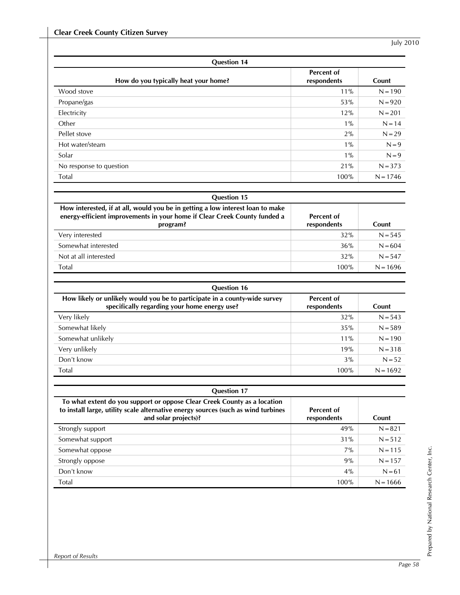| <b>Question 14</b>                   |                                  |            |  |  |  |  |
|--------------------------------------|----------------------------------|------------|--|--|--|--|
| How do you typically heat your home? | <b>Percent of</b><br>respondents | Count      |  |  |  |  |
| Wood stove                           | 11%                              | $N = 190$  |  |  |  |  |
| Propane/gas                          | 53%                              | $N = 920$  |  |  |  |  |
| Electricity                          | 12%                              | $N = 201$  |  |  |  |  |
| Other                                | $1\%$                            | $N = 14$   |  |  |  |  |
| Pellet stove                         | 2%                               | $N = 29$   |  |  |  |  |
| Hot water/steam                      | $1\%$                            | $N = 9$    |  |  |  |  |
| Solar                                | $1\%$                            | $N = 9$    |  |  |  |  |
| No response to question              | 21%                              | $N = 373$  |  |  |  |  |
| Total                                | 100%                             | $N = 1746$ |  |  |  |  |

| <b>Question 15</b>                                                                                                                                                      |                           |            |
|-------------------------------------------------------------------------------------------------------------------------------------------------------------------------|---------------------------|------------|
| How interested, if at all, would you be in getting a low interest loan to make<br>energy-efficient improvements in your home if Clear Creek County funded a<br>program? | Percent of<br>respondents | Count      |
| Very interested                                                                                                                                                         | 32%                       | $N = 545$  |
| Somewhat interested                                                                                                                                                     | 36%                       | $N = 604$  |
| Not at all interested                                                                                                                                                   | 32%                       | $N = 547$  |
| Total                                                                                                                                                                   | 100%                      | $N = 1696$ |

| <b>Question 16</b>                                                                                                         |                           |            |
|----------------------------------------------------------------------------------------------------------------------------|---------------------------|------------|
| How likely or unlikely would you be to participate in a county-wide survey<br>specifically regarding your home energy use? | Percent of<br>respondents | Count      |
| Very likely                                                                                                                | 32%                       | $N = 543$  |
| Somewhat likely                                                                                                            | 35%                       | $N = 589$  |
| Somewhat unlikely                                                                                                          | $11\%$                    | $N = 190$  |
| Very unlikely                                                                                                              | 19%                       | $N = 318$  |
| Don't know                                                                                                                 | $3\%$                     | $N = 52$   |
| Total                                                                                                                      | 100%                      | $N = 1692$ |

| <b>Question 17</b>                                                                                                                                                                    |                           |            |  |  |  |  |  |  |  |  |
|---------------------------------------------------------------------------------------------------------------------------------------------------------------------------------------|---------------------------|------------|--|--|--|--|--|--|--|--|
| To what extent do you support or oppose Clear Creek County as a location<br>to install large, utility scale alternative energy sources (such as wind turbines<br>and solar projects)? | Percent of<br>respondents | Count      |  |  |  |  |  |  |  |  |
| Strongly support                                                                                                                                                                      | 49%                       | $N = 821$  |  |  |  |  |  |  |  |  |
| Somewhat support                                                                                                                                                                      | 31%                       | $N = 512$  |  |  |  |  |  |  |  |  |
| Somewhat oppose                                                                                                                                                                       | 7%                        | $N = 115$  |  |  |  |  |  |  |  |  |
| Strongly oppose                                                                                                                                                                       | 9%                        | $N = 157$  |  |  |  |  |  |  |  |  |
| Don't know                                                                                                                                                                            | 4%                        | $N = 61$   |  |  |  |  |  |  |  |  |
| Total                                                                                                                                                                                 | 100%                      | $N = 1666$ |  |  |  |  |  |  |  |  |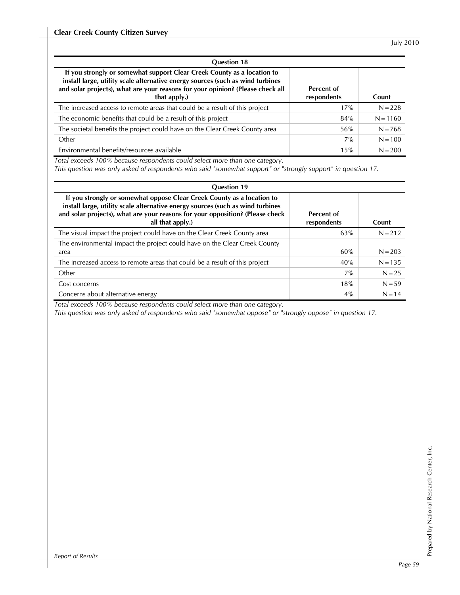| <b>Question 18</b>                                                                                                                                                                                                                                          |                           |            |
|-------------------------------------------------------------------------------------------------------------------------------------------------------------------------------------------------------------------------------------------------------------|---------------------------|------------|
| If you strongly or somewhat support Clear Creek County as a location to<br>install large, utility scale alternative energy sources (such as wind turbines<br>and solar projects), what are your reasons for your opinion? (Please check all<br>that apply.) | Percent of<br>respondents | Count      |
| The increased access to remote areas that could be a result of this project                                                                                                                                                                                 | 17%                       | $N = 228$  |
| The economic benefits that could be a result of this project                                                                                                                                                                                                | 84%                       | $N = 1160$ |
| The societal benefits the project could have on the Clear Creek County area                                                                                                                                                                                 | 56%                       | $N = 768$  |
| Other                                                                                                                                                                                                                                                       | 7%                        | $N = 100$  |
| Environmental benefits/resources available                                                                                                                                                                                                                  | 15%                       | $N = 200$  |

*Total exceeds 100% because respondents could select more than one category.* 

*This question was only asked of respondents who said "somewhat support" or "strongly support" in question 17.* 

| <b>Question 19</b>                                                                                                                                                                                                                                            |                           |           |  |  |  |  |  |  |  |
|---------------------------------------------------------------------------------------------------------------------------------------------------------------------------------------------------------------------------------------------------------------|---------------------------|-----------|--|--|--|--|--|--|--|
| If you strongly or somewhat oppose Clear Creek County as a location to<br>install large, utility scale alternative energy sources (such as wind turbines<br>and solar projects), what are your reasons for your opposition? (Please check<br>all that apply.) | Percent of<br>respondents | Count     |  |  |  |  |  |  |  |
| The visual impact the project could have on the Clear Creek County area                                                                                                                                                                                       | 63%                       | $N = 212$ |  |  |  |  |  |  |  |
| The environmental impact the project could have on the Clear Creek County<br>area                                                                                                                                                                             | 60%                       | $N = 203$ |  |  |  |  |  |  |  |
| The increased access to remote areas that could be a result of this project                                                                                                                                                                                   | 40%                       | $N = 135$ |  |  |  |  |  |  |  |
| Other                                                                                                                                                                                                                                                         | $7\%$                     | $N = 25$  |  |  |  |  |  |  |  |
| Cost concerns                                                                                                                                                                                                                                                 | 18%                       | $N = 59$  |  |  |  |  |  |  |  |
| Concerns about alternative energy                                                                                                                                                                                                                             | 4%                        | $N = 14$  |  |  |  |  |  |  |  |

*Total exceeds 100% because respondents could select more than one category.* 

*This question was only asked of respondents who said "somewhat oppose" or "strongly oppose" in question 17.*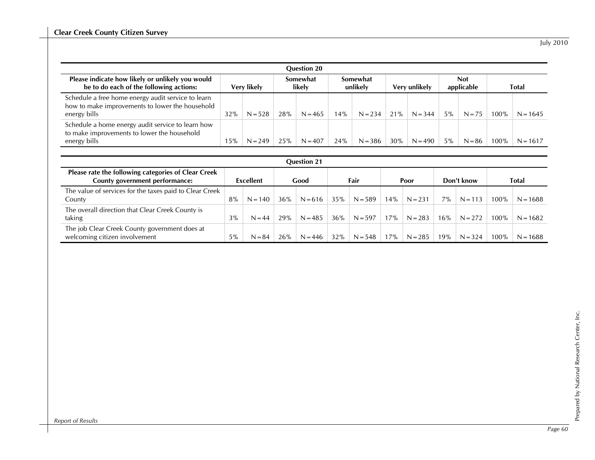| <b>July 2010</b> |
|------------------|
|                  |

| <b>Ouestion 20</b>                                                                                                    |             |           |                    |           |                      |           |               |           |                          |          |       |            |
|-----------------------------------------------------------------------------------------------------------------------|-------------|-----------|--------------------|-----------|----------------------|-----------|---------------|-----------|--------------------------|----------|-------|------------|
| Please indicate how likely or unlikely you would<br>be to do each of the following actions:                           | Very likely |           | Somewhat<br>likelv |           | Somewhat<br>unlikely |           | Very unlikely |           | <b>Not</b><br>applicable |          | Total |            |
| Schedule a free home energy audit service to learn<br>how to make improvements to lower the household<br>energy bills | 32%         | $N = 528$ | 28%                | $N = 465$ | 14%                  | $N = 234$ | 21%           | $N = 344$ | $5\%$                    | $N = 75$ | 100%  | $N = 1645$ |
| Schedule a home energy audit service to learn how<br>to make improvements to lower the household<br>energy bills      | 15%         | $N = 249$ | 25%                | $N = 407$ | 24%                  | $N = 386$ | 30%           | $N = 490$ | 5%                       | $N = 86$ | 100%  | $N = 1617$ |

| <b>Question 21</b>                                                                    |       |           |     |           |     |           |     |           |     |            |         |            |  |
|---------------------------------------------------------------------------------------|-------|-----------|-----|-----------|-----|-----------|-----|-----------|-----|------------|---------|------------|--|
| Please rate the following categories of Clear Creek<br>County government performance: |       | Excellent |     | Good      |     | Fair      |     | Poor      |     | Don't know |         | Total      |  |
| The value of services for the taxes paid to Clear Creek<br>County                     | 8%    | $N = 140$ | 36% | $N = 616$ | 35% | $N = 589$ | 14% | $N = 231$ | 7%  | $N = 113$  | 100%    | $N = 1688$ |  |
| The overall direction that Clear Creek County is<br>taking                            | $3\%$ | $N = 44$  | 29% | $N = 485$ | 36% | $N = 597$ | 17% | $N = 283$ | 16% | $N = 272$  | 100%    | $N = 1682$ |  |
| The job Clear Creek County government does at<br>welcoming citizen involvement        | $5\%$ | $N = 84$  | 26% | $N = 446$ | 32% | $N = 548$ | 17% | $N = 285$ | 19% | $N = 324$  | $100\%$ | $N = 1688$ |  |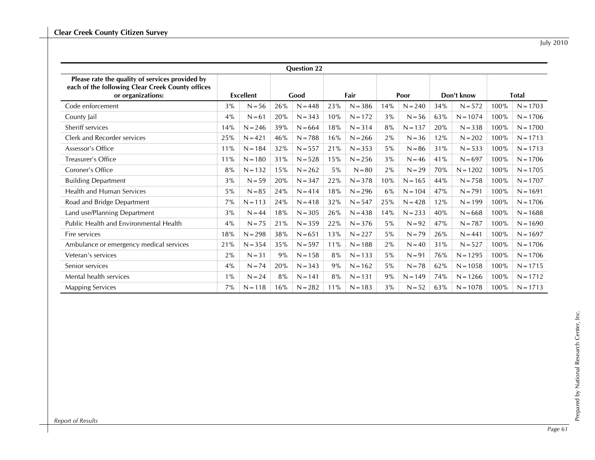|                                                                                                                          |       |                  |     | <b>Question 22</b> |       |           |       |           |     |            |              |            |
|--------------------------------------------------------------------------------------------------------------------------|-------|------------------|-----|--------------------|-------|-----------|-------|-----------|-----|------------|--------------|------------|
| Please rate the quality of services provided by<br>each of the following Clear Creek County offices<br>or organizations: |       | <b>Excellent</b> |     | Good               |       | Fair      |       | Poor      |     | Don't know | <b>Total</b> |            |
| Code enforcement                                                                                                         | 3%    | $N = 56$         | 26% | $N = 448$          | 23%   | $N = 386$ | 14%   | $N = 240$ | 34% | $N = 572$  | 100%         | $N = 1703$ |
| County Jail                                                                                                              | 4%    | $N = 61$         | 20% | $N = 343$          | 10%   | $N = 172$ | 3%    | $N = 56$  | 63% | $N = 1074$ | 100%         | $N = 1706$ |
| Sheriff services                                                                                                         | 14%   | $N = 246$        | 39% | $N = 664$          | 18%   | $N = 314$ | 8%    | $N = 137$ | 20% | $N = 338$  | 100%         | $N = 1700$ |
| Clerk and Recorder services                                                                                              | 25%   | $N = 421$        | 46% | $N = 788$          | 16%   | $N = 266$ | 2%    | $N = 36$  | 12% | $N = 202$  | 100%         | $N = 1713$ |
| Assessor's Office                                                                                                        | 11%   | $N = 184$        | 32% | $N = 557$          | 21%   | $N = 353$ | $5\%$ | $N = 86$  | 31% | $N = 533$  | 100%         | $N = 1713$ |
| Treasurer's Office                                                                                                       | 11%   | $N = 180$        | 31% | $N = 528$          | 15%   | $N = 256$ | 3%    | $N = 46$  | 41% | $N = 697$  | 100%         | $N = 1706$ |
| Coroner's Office                                                                                                         | 8%    | $N = 132$        | 15% | $N = 262$          | $5\%$ | $N = 80$  | 2%    | $N = 29$  | 70% | $N = 1202$ | 100%         | $N = 1705$ |
| <b>Building Department</b>                                                                                               | 3%    | $N = 59$         | 20% | $N = 347$          | 22%   | $N = 378$ | 10%   | $N = 165$ | 44% | $N = 758$  | 100%         | $N = 1707$ |
| <b>Health and Human Services</b>                                                                                         | 5%    | $N = 85$         | 24% | $N = 414$          | 18%   | $N = 296$ | 6%    | $N = 104$ | 47% | $N = 791$  | 100%         | $N = 1691$ |
| Road and Bridge Department                                                                                               | 7%    | $N = 113$        | 24% | $N = 418$          | 32%   | $N = 547$ | 25%   | $N = 428$ | 12% | $N = 199$  | 100%         | $N = 1706$ |
| Land use/Planning Department                                                                                             | 3%    | $N = 44$         | 18% | $N = 305$          | 26%   | $N = 438$ | 14%   | $N = 233$ | 40% | $N = 668$  | 100%         | $N = 1688$ |
| Public Health and Environmental Health                                                                                   | 4%    | $N = 75$         | 21% | $N = 359$          | 22%   | $N = 376$ | $5\%$ | $N = 92$  | 47% | $N = 787$  | 100%         | $N = 1690$ |
| Fire services                                                                                                            | 18%   | $N = 298$        | 38% | $N = 651$          | 13%   | $N = 227$ | $5\%$ | $N = 79$  | 26% | $N = 441$  | 100%         | $N = 1697$ |
| Ambulance or emergency medical services                                                                                  | 21%   | $N = 354$        | 35% | $N = 597$          | 11%   | $N = 188$ | 2%    | $N = 40$  | 31% | $N = 527$  | 100%         | $N = 1706$ |
| Veteran's services                                                                                                       | 2%    | $N = 31$         | 9%  | $N = 158$          | 8%    | $N = 133$ | $5\%$ | $N = 91$  | 76% | $N = 1295$ | 100%         | $N = 1706$ |
| Senior services                                                                                                          | 4%    | $N = 74$         | 20% | $N = 343$          | 9%    | $N = 162$ | $5\%$ | $N = 78$  | 62% | $N = 1058$ | 100%         | $N = 1715$ |
| Mental health services                                                                                                   | $1\%$ | $N = 24$         | 8%  | $N = 141$          | 8%    | $N = 131$ | 9%    | $N = 149$ | 74% | $N = 1266$ | 100%         | $N = 1712$ |
| <b>Mapping Services</b>                                                                                                  | 7%    | $N = 118$        | 16% | $N = 282$          | 11%   | $N = 183$ | 3%    | $N = 52$  | 63% | $N = 1078$ | 100%         | $N = 1713$ |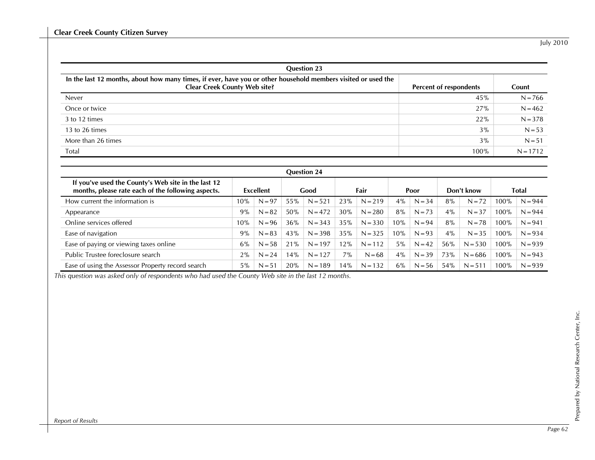| <b>Question 23</b>                                                                                                                                   |                        |            |  |  |  |  |  |  |  |  |
|------------------------------------------------------------------------------------------------------------------------------------------------------|------------------------|------------|--|--|--|--|--|--|--|--|
| In the last 12 months, about how many times, if ever, have you or other household members visited or used the<br><b>Clear Creek County Web site?</b> | Percent of respondents | Count      |  |  |  |  |  |  |  |  |
| Never                                                                                                                                                | 45%                    | $N = 766$  |  |  |  |  |  |  |  |  |
| Once or twice                                                                                                                                        | 27%                    | $N = 462$  |  |  |  |  |  |  |  |  |
| 3 to 12 times                                                                                                                                        | 22%                    | $N = 378$  |  |  |  |  |  |  |  |  |
| 13 to 26 times                                                                                                                                       | $3\%$                  | $N = 53$   |  |  |  |  |  |  |  |  |
| More than 26 times                                                                                                                                   | 3%                     | $N = 51$   |  |  |  |  |  |  |  |  |
| Total                                                                                                                                                | 100%                   | $N = 1712$ |  |  |  |  |  |  |  |  |

| <b>Question 24</b>                                                                                        |           |          |      |           |      |           |      |          |            |           |              |           |
|-----------------------------------------------------------------------------------------------------------|-----------|----------|------|-----------|------|-----------|------|----------|------------|-----------|--------------|-----------|
| If you've used the County's Web site in the last 12<br>months, please rate each of the following aspects. | Excellent |          | Good |           | Fair |           | Poor |          | Don't know |           | <b>Total</b> |           |
| How current the information is                                                                            | 10%       | $N = 97$ | 55%  | $N = 521$ | 23%  | $N = 219$ | 4%   | $N = 34$ | 8%         | $N = 72$  | 100%         | $N = 944$ |
| Appearance                                                                                                | 9%        | $N = 82$ | 50%  | $N = 472$ | 30%  | $N = 280$ | 8%   | $N = 73$ | 4%         | $N = 37$  | 100%         | $N = 944$ |
| Online services offered                                                                                   | 10%       | $N = 96$ | 36%  | $N = 343$ | 35%  | $N = 330$ | 10%  | $N = 94$ | 8%         | $N = 78$  | 100%         | $N = 941$ |
| Ease of navigation                                                                                        | 9%        | $N = 83$ | 43%  | $N = 398$ | 35%  | $N = 325$ | 10%  | $N = 93$ | 4%         | $N = 35$  | 100%         | $N = 934$ |
| Ease of paying or viewing taxes online                                                                    | 6%        | $N = 58$ | 21%  | $N = 197$ | 12%  | $N = 112$ | 5%   | $N = 42$ | 56%        | $N = 530$ | 100%         | $N = 939$ |
| Public Trustee foreclosure search                                                                         | 2%        | $N = 24$ | 14%  | $N = 127$ | 7%   | $N = 68$  | 4%   | $N = 39$ | 73%        | $N = 686$ | 100%         | $N = 943$ |
| Ease of using the Assessor Property record search                                                         | $5\%$     | $N = 51$ | 20%  | $N = 189$ | 14%  | $N = 132$ | 6%   | $N = 56$ | 54%        | $N = 511$ | 100%         | $N = 939$ |

*This question was asked only of respondents who had used the County Web site in the last 12 months.*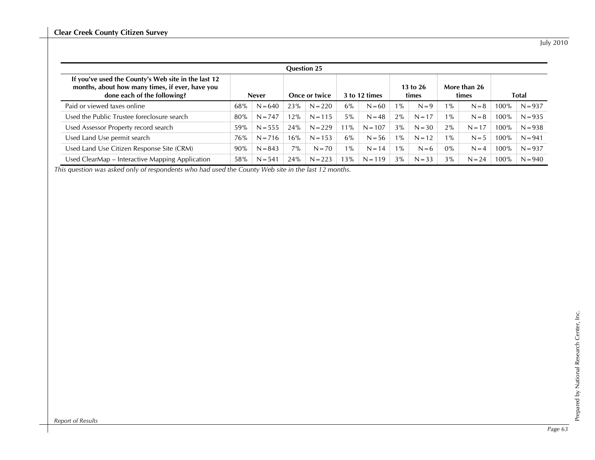| <b>Question 25</b>                                                                                                                    |              |           |               |           |               |           |                       |          |                       |          |              |           |
|---------------------------------------------------------------------------------------------------------------------------------------|--------------|-----------|---------------|-----------|---------------|-----------|-----------------------|----------|-----------------------|----------|--------------|-----------|
| If you've used the County's Web site in the last 12<br>months, about how many times, if ever, have you<br>done each of the following? | <b>Never</b> |           | Once or twice |           | 3 to 12 times |           | $13$ to $26$<br>times |          | More than 26<br>times |          | <b>Total</b> |           |
| Paid or viewed taxes online                                                                                                           | 68%          | $N = 640$ | 23%           | $N = 220$ | 6%            | $N = 60$  | $1\%$                 | $N = 9$  | $1\%$                 | $N = 8$  | 100%         | $N = 937$ |
| Used the Public Trustee foreclosure search                                                                                            | 80%          | $N = 747$ | 12%           | $N = 115$ | $5\%$         | $N = 48$  | 2%                    | $N = 17$ | $1\%$                 | $N = 8$  | 100%         | $N = 935$ |
| Used Assessor Property record search                                                                                                  | 59%          | $N = 555$ | 24%           | $N = 229$ | $11\%$        | $N = 107$ | 3%                    | $N = 30$ | 2%                    | $N = 17$ | 100%         | $N = 938$ |
| Used Land Use permit search                                                                                                           | 76%          | $N = 716$ | 16%           | $N = 153$ | $6\%$         | $N = 56$  | $1\%$                 | $N = 12$ | $1\%$                 | $N = 5$  | $100\%$      | $N = 941$ |
| Used Land Use Citizen Response Site (CRM)                                                                                             | 90%          | $N = 843$ | $7\%$         | $N = 70$  | $1\%$         | $N = 14$  | $1\%$                 | $N=6$    | $0\%$                 | $N = 4$  | 100%         | $N = 937$ |
| Used ClearMap - Interactive Mapping Application                                                                                       | 58%          | $N = 541$ | 24%           | $N = 223$ | 13%           | $N = 119$ | 3%                    | $N = 33$ | 3%                    | $N = 24$ | 100%         | $N = 940$ |

*This question was asked only of respondents who had used the County Web site in the last 12 months.*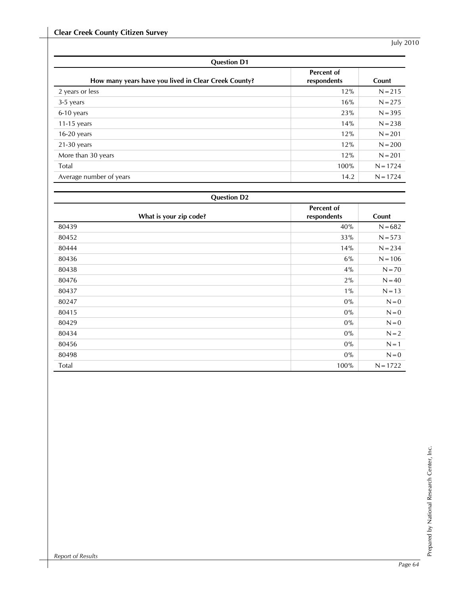| <b>Question D1</b>                                   |                                  |            |  |  |  |  |  |  |  |
|------------------------------------------------------|----------------------------------|------------|--|--|--|--|--|--|--|
| How many years have you lived in Clear Creek County? | <b>Percent of</b><br>respondents | Count      |  |  |  |  |  |  |  |
| 2 years or less                                      | 12%                              | $N = 215$  |  |  |  |  |  |  |  |
| 3-5 years                                            | 16%                              | $N = 275$  |  |  |  |  |  |  |  |
| 6-10 years                                           | 23%                              | $N = 395$  |  |  |  |  |  |  |  |
| 11-15 years                                          | 14%                              | $N = 238$  |  |  |  |  |  |  |  |
| $16-20$ years                                        | 12%                              | $N = 201$  |  |  |  |  |  |  |  |
| $21-30$ years                                        | 12%                              | $N = 200$  |  |  |  |  |  |  |  |
| More than 30 years                                   | 12%                              | $N = 201$  |  |  |  |  |  |  |  |
| Total                                                | 100%                             | $N = 1724$ |  |  |  |  |  |  |  |
| Average number of years                              | 14.2                             | $N = 1724$ |  |  |  |  |  |  |  |

| <b>Question D2</b>     |                           |            |  |  |  |  |  |  |  |
|------------------------|---------------------------|------------|--|--|--|--|--|--|--|
| What is your zip code? | Percent of<br>respondents | Count      |  |  |  |  |  |  |  |
| 80439                  | 40%                       | $N = 682$  |  |  |  |  |  |  |  |
| 80452                  | 33%                       | $N = 573$  |  |  |  |  |  |  |  |
| 80444                  | 14%                       | $N = 234$  |  |  |  |  |  |  |  |
| 80436                  | 6%                        | $N = 106$  |  |  |  |  |  |  |  |
| 80438                  | 4%                        | $N = 70$   |  |  |  |  |  |  |  |
| 80476                  | 2%                        | $N = 40$   |  |  |  |  |  |  |  |
| 80437                  | $1\%$                     | $N = 13$   |  |  |  |  |  |  |  |
| 80247                  | $0\%$                     | $N = 0$    |  |  |  |  |  |  |  |
| 80415                  | $0\%$                     | $N = 0$    |  |  |  |  |  |  |  |
| 80429                  | $0\%$                     | $N = 0$    |  |  |  |  |  |  |  |
| 80434                  | $0\%$                     | $N = 2$    |  |  |  |  |  |  |  |
| 80456                  | $0\%$                     | $N = 1$    |  |  |  |  |  |  |  |
| 80498                  | $0\%$                     | $N = 0$    |  |  |  |  |  |  |  |
| Total                  | 100%                      | $N = 1722$ |  |  |  |  |  |  |  |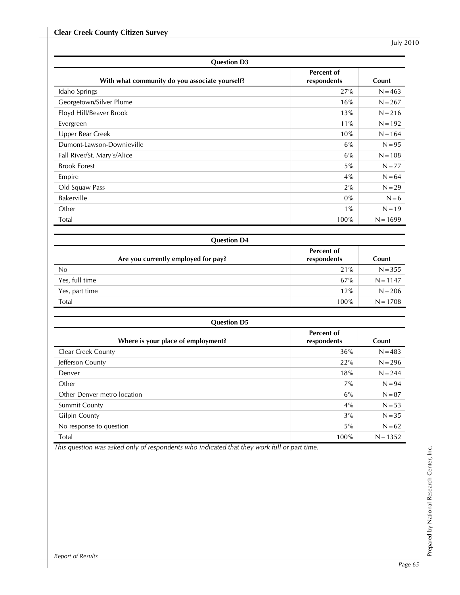| <b>Question D3</b>                             |                           |            |  |  |
|------------------------------------------------|---------------------------|------------|--|--|
| With what community do you associate yourself? | Percent of<br>respondents | Count      |  |  |
| Idaho Springs                                  | 27%                       | $N = 463$  |  |  |
| Georgetown/Silver Plume                        | 16%                       | $N = 267$  |  |  |
| Floyd Hill/Beaver Brook                        | 13%                       | $N = 216$  |  |  |
| Evergreen                                      | 11%                       | $N = 192$  |  |  |
| Upper Bear Creek                               | 10%                       | $N = 164$  |  |  |
| Dumont-Lawson-Downieville                      | 6%                        | $N = 95$   |  |  |
| Fall River/St. Mary's/Alice                    | 6%                        | $N = 108$  |  |  |
| <b>Brook Forest</b>                            | 5%                        | $N = 77$   |  |  |
| Empire                                         | 4%                        | $N = 64$   |  |  |
| Old Squaw Pass                                 | 2%                        | $N = 29$   |  |  |
| Bakerville                                     | $0\%$                     | $N = 6$    |  |  |
| Other                                          | $1\%$                     | $N = 19$   |  |  |
| Total                                          | 100%                      | $N = 1699$ |  |  |

| <b>Question D4</b>                  |                                  |            |  |  |  |
|-------------------------------------|----------------------------------|------------|--|--|--|
| Are you currently employed for pay? | <b>Percent of</b><br>respondents | Count      |  |  |  |
| No                                  | 21%                              | $N = 355$  |  |  |  |
| Yes, full time                      | 67%                              | $N = 1147$ |  |  |  |
| Yes, part time                      | 12%                              | $N = 206$  |  |  |  |
| Total                               | 100%                             | $N = 1708$ |  |  |  |

| <b>Question D5</b>                 |                           |            |  |  |
|------------------------------------|---------------------------|------------|--|--|
| Where is your place of employment? | Percent of<br>respondents | Count      |  |  |
| Clear Creek County                 | 36%                       | $N = 483$  |  |  |
| Jefferson County                   | 22%                       | $N = 296$  |  |  |
| Denver                             | 18%                       | $N = 244$  |  |  |
| Other                              | 7%                        | $N = 94$   |  |  |
| Other Denver metro location        | $6\%$                     | $N = 87$   |  |  |
| <b>Summit County</b>               | 4%                        | $N = 53$   |  |  |
| <b>Gilpin County</b>               | 3%                        | $N = 35$   |  |  |
| No response to question            | $5\%$                     | $N = 62$   |  |  |
| Total                              | 100%                      | $N = 1352$ |  |  |

*This question was asked only of respondents who indicated that they work full or part time.*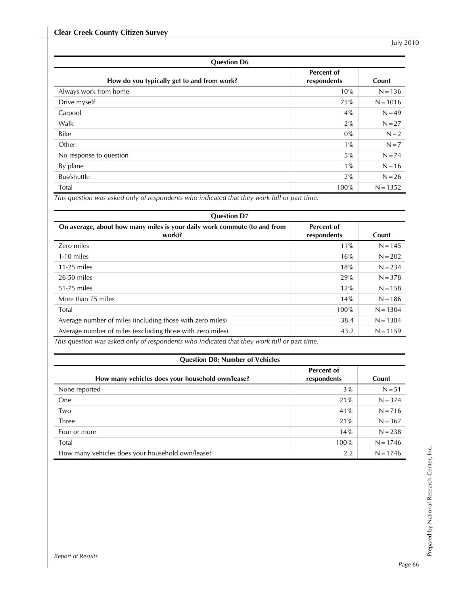| <b>Question D6</b>                         |                           |            |  |  |
|--------------------------------------------|---------------------------|------------|--|--|
| How do you typically get to and from work? | Percent of<br>respondents | Count      |  |  |
| Always work from home                      | 10%                       | $N = 136$  |  |  |
| Drive myself                               | 75%                       | $N = 1016$ |  |  |
| Carpool                                    | 4%                        | $N = 49$   |  |  |
| Walk                                       | 2%                        | $N = 27$   |  |  |
| <b>Bike</b>                                | $0\%$                     | $N = 2$    |  |  |
| Other                                      | $1\%$                     | $N = 7$    |  |  |
| No response to question                    | $5\%$                     | $N = 74$   |  |  |
| By plane                                   | $1\%$                     | $N = 16$   |  |  |
| Bus/shuttle                                | 2%                        | $N = 26$   |  |  |
| Total                                      | 100%                      | $N = 1352$ |  |  |

*This question was asked only of respondents who indicated that they work full or part time.* 

| <b>Question D7</b>                                                                          |                           |            |  |  |
|---------------------------------------------------------------------------------------------|---------------------------|------------|--|--|
| On average, about how many miles is your daily work commute (to and from<br>work)?          | Percent of<br>respondents | Count      |  |  |
| Zero miles                                                                                  | 11%                       | $N = 145$  |  |  |
| 1-10 miles                                                                                  | 16%                       | $N = 202$  |  |  |
| $11-25$ miles                                                                               | 18%                       | $N = 234$  |  |  |
| 26-50 miles                                                                                 | 29%                       | $N = 378$  |  |  |
| 51-75 miles                                                                                 | 12%                       | $N = 158$  |  |  |
| More than 75 miles                                                                          | 14%                       | $N = 186$  |  |  |
| Total                                                                                       | 100%                      | $N = 1304$ |  |  |
| Average number of miles (including those with zero miles)                                   | 38.4                      | $N = 1304$ |  |  |
| Average number of miles (excluding those with zero miles)                                   | 43.2                      | $N = 1159$ |  |  |
| This question was asked only of respondents who indicated that they work full or part time. |                           |            |  |  |

| <b>Question D8: Number of Vehicles</b>           |                                  |            |  |  |
|--------------------------------------------------|----------------------------------|------------|--|--|
| How many vehicles does your household own/lease? | <b>Percent of</b><br>respondents | Count      |  |  |
| None reported                                    | 3%                               | $N = 51$   |  |  |
| One                                              | 21%                              | $N = 374$  |  |  |
| Two                                              | 41%                              | $N = 716$  |  |  |
| Three                                            | 21%                              | $N = 367$  |  |  |
| Four or more                                     | 14%                              | $N = 238$  |  |  |
| Total                                            | 100%                             | $N = 1746$ |  |  |
| How many vehicles does your household own/lease? | 2.2                              | $N = 1746$ |  |  |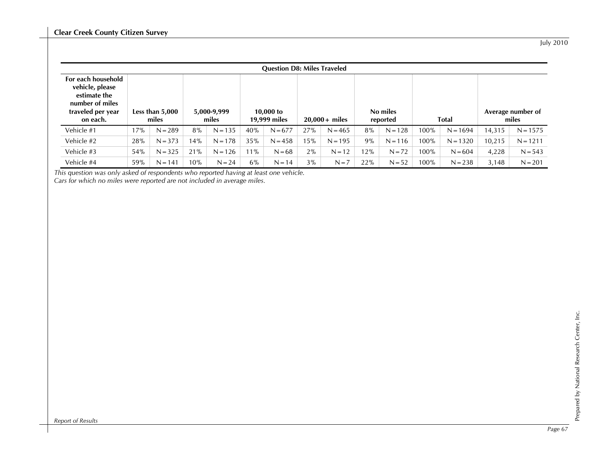|                                                                                                           | <b>Question D8: Miles Traveled</b> |           |                      |           |                           |           |                 |           |                      |           |              |            |        |                            |
|-----------------------------------------------------------------------------------------------------------|------------------------------------|-----------|----------------------|-----------|---------------------------|-----------|-----------------|-----------|----------------------|-----------|--------------|------------|--------|----------------------------|
| For each household<br>vehicle, please<br>estimate the<br>number of miles<br>traveled per year<br>on each. | Less than $5,000$<br>miles         |           | 5,000-9,999<br>miles |           | 10,000 to<br>19,999 miles |           | $20,000+$ miles |           | No miles<br>reported |           | <b>Total</b> |            |        | Average number of<br>miles |
| Vehicle #1                                                                                                | 17%                                | $N = 289$ | 8%                   | $N = 135$ | 40%                       | $N = 677$ | 27%             | $N = 465$ | 8%                   | $N = 128$ | 100%         | $N = 1694$ | 14,315 | $N = 1575$                 |
| Vehicle #2                                                                                                | 28%                                | $N = 373$ | 14%                  | $N = 178$ | 35%                       | $N = 458$ | 15%             | $N = 195$ | 9%                   | $N = 116$ | 100%         | $N = 1320$ | 10.215 | $N = 1211$                 |
| Vehicle #3                                                                                                | 54%                                | $N = 325$ | 21%                  | $N = 126$ | 11%                       | $N = 68$  | 2%              | $N = 12$  | 12%                  | $N = 72$  | 100%         | $N = 604$  | 4,228  | $N = 543$                  |
| Vehicle #4                                                                                                | 59%                                | $N = 141$ | 10%                  | $N = 24$  | 6%                        | $N = 14$  | 3%              | $N = 7$   | 22%                  | $N = 52$  | 100%         | $N = 238$  | 3,148  | $N = 201$                  |

*This question was only asked of respondents who reported having at least one vehicle.* 

*Cars for which no miles were reported are not included in average miles.*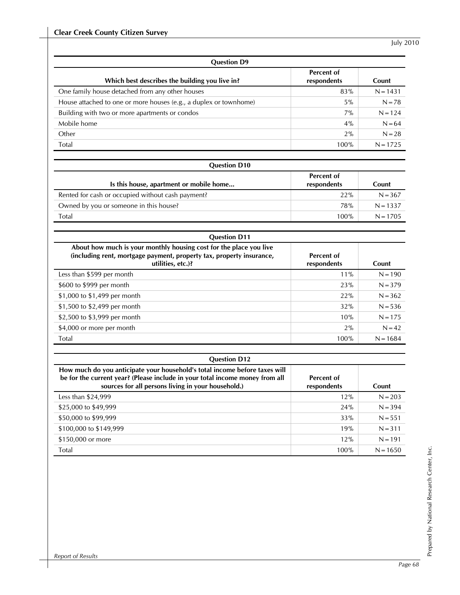| <b>Question D9</b>                                                |                           |            |  |
|-------------------------------------------------------------------|---------------------------|------------|--|
| Which best describes the building you live in?                    | Percent of<br>respondents | Count      |  |
| One family house detached from any other houses                   | 83%                       | $N = 1431$ |  |
| House attached to one or more houses (e.g., a duplex or townhome) | $5\%$                     | $N = 78$   |  |
| Building with two or more apartments or condos                    | $7\%$                     | $N = 124$  |  |
| Mobile home                                                       | $4\%$                     | $N = 64$   |  |
| Other                                                             | 2%                        | $N = 28$   |  |
| Total                                                             | 100%                      | $N = 1725$ |  |

| <b>Question D10</b>                               |                           |            |  |  |  |
|---------------------------------------------------|---------------------------|------------|--|--|--|
| Is this house, apartment or mobile home           | Percent of<br>respondents | Count      |  |  |  |
| Rented for cash or occupied without cash payment? | 22%                       | $N = 367$  |  |  |  |
| Owned by you or someone in this house?            | <b>78%</b>                | $N = 1337$ |  |  |  |
| Total                                             | 100%                      | $N = 1705$ |  |  |  |

| <b>Question D11</b>                                                                                                                                             |                           |            |  |
|-----------------------------------------------------------------------------------------------------------------------------------------------------------------|---------------------------|------------|--|
| About how much is your monthly housing cost for the place you live<br>(including rent, mortgage payment, property tax, property insurance,<br>utilities, etc.)? | Percent of<br>respondents | Count      |  |
| Less than \$599 per month                                                                                                                                       | 11%                       | $N = 190$  |  |
| \$600 to \$999 per month                                                                                                                                        | 23%                       | $N = 379$  |  |
| \$1,000 to \$1,499 per month                                                                                                                                    | 22%                       | $N = 362$  |  |
| \$1,500 to \$2,499 per month                                                                                                                                    | 32%                       | $N = 536$  |  |
| \$2,500 to \$3,999 per month                                                                                                                                    | 10%                       | $N = 175$  |  |
| \$4,000 or more per month                                                                                                                                       | 2%                        | $N = 42$   |  |
| <b>Total</b>                                                                                                                                                    | 100%                      | $N = 1684$ |  |

| <b>Question D12</b>                                                                                                                                                                                              |                           |            |  |  |
|------------------------------------------------------------------------------------------------------------------------------------------------------------------------------------------------------------------|---------------------------|------------|--|--|
| How much do you anticipate your household's total income before taxes will<br>be for the current year? (Please include in your total income money from all<br>sources for all persons living in your household.) | Percent of<br>respondents | Count      |  |  |
| Less than \$24,999                                                                                                                                                                                               | 12%                       | $N = 203$  |  |  |
| \$25,000 to \$49,999                                                                                                                                                                                             | 24%                       | $N = 394$  |  |  |
| \$50,000 to \$99,999                                                                                                                                                                                             | 33%                       | $N = 551$  |  |  |
| \$100,000 to \$149,999                                                                                                                                                                                           | 19%                       | $N = 311$  |  |  |
| \$150,000 or more                                                                                                                                                                                                | 12%                       | $N = 191$  |  |  |
| Total                                                                                                                                                                                                            | 100%                      | $N = 1650$ |  |  |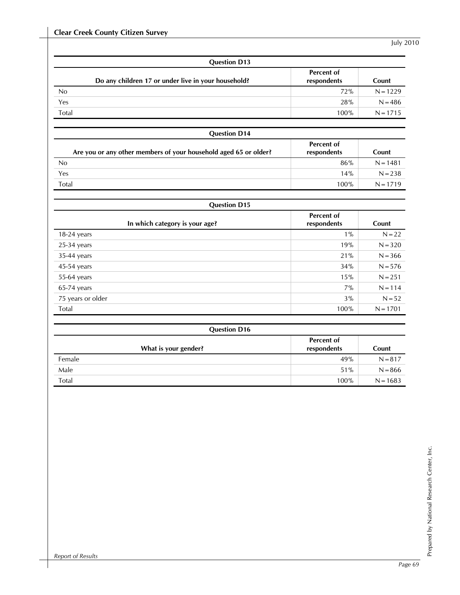| <b>Question D13</b> |                                                     |                                  |            |  |  |
|---------------------|-----------------------------------------------------|----------------------------------|------------|--|--|
|                     | Do any children 17 or under live in your household? | <b>Percent of</b><br>respondents | Count      |  |  |
| No                  |                                                     | 72%                              | $N = 1229$ |  |  |
| Yes                 |                                                     | 28%                              | $N = 486$  |  |  |
| Total               |                                                     | 100%                             | $N = 1715$ |  |  |

| <b>Question D14</b>                                              |                                  |            |
|------------------------------------------------------------------|----------------------------------|------------|
| Are you or any other members of your household aged 65 or older? | <b>Percent of</b><br>respondents | Count      |
| No                                                               | 86%                              | $N = 1481$ |
| Yes                                                              | 14%                              | $N = 238$  |
| Total                                                            | 100%                             | $N = 1719$ |

| <b>Question D15</b>            |                           |            |  |
|--------------------------------|---------------------------|------------|--|
| In which category is your age? | Percent of<br>respondents | Count      |  |
| $18-24$ years                  | $1\%$                     | $N = 22$   |  |
| $25-34$ years                  | 19%                       | $N = 320$  |  |
| 35-44 years                    | 21%                       | $N = 366$  |  |
| 45-54 years                    | 34%                       | $N = 576$  |  |
| 55-64 years                    | 15%                       | $N = 251$  |  |
| $65-74$ years                  | $7\%$                     | $N = 114$  |  |
| 75 years or older              | 3%                        | $N = 52$   |  |
| Total                          | 100%                      | $N = 1701$ |  |

| <b>Question D16</b>  |                           |            |
|----------------------|---------------------------|------------|
| What is your gender? | Percent of<br>respondents | Count      |
| Female               | 49%                       | $N = 817$  |
| Male                 | 51%                       | $N = 866$  |
| Total                | 100%                      | $N = 1683$ |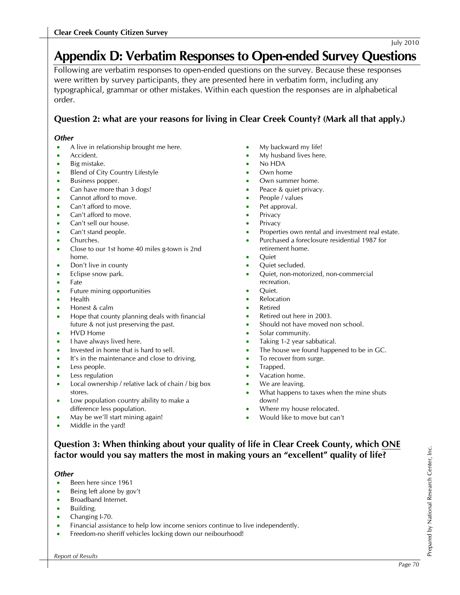# **Appendix D: Verbatim Responses to Open-ended Survey Questions**

Following are verbatim responses to open-ended questions on the survey. Because these responses were written by survey participants, they are presented here in verbatim form, including any typographical, grammar or other mistakes. Within each question the responses are in alphabetical order.

# **Question 2: what are your reasons for living in Clear Creek County? (Mark all that apply.)**

#### *Other*

- A live in relationship brought me here.
- Accident.
- Big mistake.
- **Blend of City Country Lifestyle**
- Business popper.
- Can have more than 3 dogs!
- Cannot afford to move.
- Can't afford to move.
- Can't afford to move.
- Can't sell our house.
- Can't stand people.
- Churches.
- Close to our 1st home 40 miles g-town is 2nd home.
- Don't live in county
- Eclipse snow park.
- Fate
- Future mining opportunities
- Health
- Honest & calm
- Hope that county planning deals with financial future & not just preserving the past.
- HVD Home
- I have always lived here.
- Invested in home that is hard to sell.
- It's in the maintenance and close to driving.
- Less people.
- Less regulation
- Local ownership / relative lack of chain / big box stores.
- Low population country ability to make a difference less population.
- May be we'll start mining again!
- Middle in the yard!
- My backward my life!
- My husband lives here.
- No HDA
- Own home
- Own summer home.
- Peace & quiet privacy.
- People / values
- Pet approval.
- **Privacy**
- **Privacy**
- Properties own rental and investment real estate.
- Purchased a foreclosure residential 1987 for
- retirement home.
- Quiet
- Quiet secluded.
- Quiet, non-motorized, non-commercial recreation.
- Quiet.
- **Relocation**
- **Retired**
- Retired out here in 2003.
- Should not have moved non school.
- Solar community.
- Taking 1-2 year sabbatical.
- The house we found happened to be in GC.
- To recover from surge.
- Trapped.
- Vacation home.
- We are leaving.
- What happens to taxes when the mine shuts down?
- Where my house relocated.
- Would like to move but can't

## **Question 3: When thinking about your quality of life in Clear Creek County, which ONE factor would you say matters the most in making yours an "excellent" quality of life?**

#### *Other*

- Been here since 1961
- Being left alone by gov't
- Broadband Internet.
- Building.
- Changing I-70.
- Financial assistance to help low income seniors continue to live independently.
- Freedom-no sheriff vehicles locking down our neibourhood!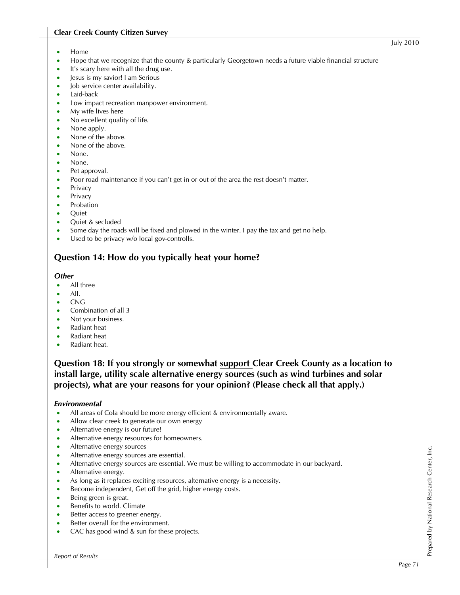- Home
- Hope that we recognize that the county & particularly Georgetown needs a future viable financial structure
- It's scary here with all the drug use.
- Jesus is my savior! I am Serious
- Job service center availability.
- Laid-back
- Low impact recreation manpower environment.
- My wife lives here
- No excellent quality of life.
- None apply.
- None of the above.
- None of the above.
- None.
- None.
- Pet approval.
- Poor road maintenance if you can't get in or out of the area the rest doesn't matter.
- Privacy
- Privacy
- Probation
- Quiet
- Quiet & secluded
- Some day the roads will be fixed and plowed in the winter. I pay the tax and get no help.
- Used to be privacy w/o local gov-controlls.

## **Question 14: How do you typically heat your home?**

#### *Other*

- All three
- All.
- CNG
- Combination of all 3
- Not your business.
- Radiant heat
- Radiant heat
- Radiant heat.

**Question 18: If you strongly or somewhat support Clear Creek County as a location to install large, utility scale alternative energy sources (such as wind turbines and solar projects), what are your reasons for your opinion? (Please check all that apply.)** 

#### *Environmental*

- All areas of Cola should be more energy efficient & environmentally aware.
- Allow clear creek to generate our own energy
- Alternative energy is our future!
- Alternative energy resources for homeowners.
- Alternative energy sources
- Alternative energy sources are essential.
- Alternative energy sources are essential. We must be willing to accommodate in our backyard.
- Alternative energy.
- As long as it replaces exciting resources, alternative energy is a necessity.
- Become independent, Get off the grid, higher energy costs.
- Being green is great.
- Benefits to world. Climate
- Better access to greener energy.
- Better overall for the environment.
- CAC has good wind & sun for these projects.

Prepared by National Research Center, Inc.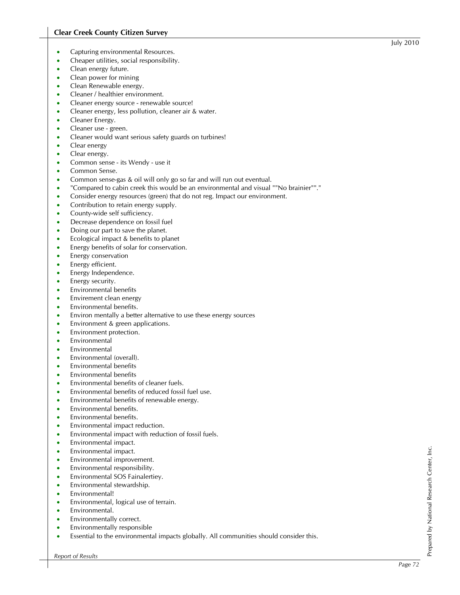- Capturing environmental Resources.
- Cheaper utilities, social responsibility.
- Clean energy future.
- Clean power for mining
- Clean Renewable energy.
- Cleaner / healthier environment.
- Cleaner energy source renewable source!
- Cleaner energy, less pollution, cleaner air & water.
- Cleaner Energy.
- Cleaner use green.
- Cleaner would want serious safety guards on turbines!
- Clear energy
- Clear energy.
- Common sense its Wendy use it
- Common Sense.
- Common sense-gas & oil will only go so far and will run out eventual.
- "Compared to cabin creek this would be an environmental and visual ""No brainier""."
- Consider energy resources (green) that do not reg. Impact our environment.
- Contribution to retain energy supply.
- County-wide self sufficiency.
- Decrease dependence on fossil fuel
- Doing our part to save the planet.
- Ecological impact & benefits to planet
- Energy benefits of solar for conservation.
- Energy conservation
- Energy efficient.
- Energy Independence.
- Energy security.
- Environmental benefits
- Envirement clean energy
- Environmental benefits.
- Environ mentally a better alternative to use these energy sources
- Environment & green applications.
- Environment protection.
- **Environmental**
- Environmental
- Environmental (overall).
- Environmental benefits
- Environmental benefits
- Environmental benefits of cleaner fuels.
- Environmental benefits of reduced fossil fuel use.
- Environmental benefits of renewable energy.
- Environmental benefits.
- Environmental benefits.
- Environmental impact reduction.
- Environmental impact with reduction of fossil fuels.
- Environmental impact.
- Environmental impact.
- Environmental improvement.
- Environmental responsibility.
- Environmental SOS Fainalertiey.
- Environmental stewardship.
- Environmental!
- Environmental, logical use of terrain.
- Environmental.
- Environmentally correct.
- Environmentally responsible
- Essential to the environmental impacts globally. All communities should consider this.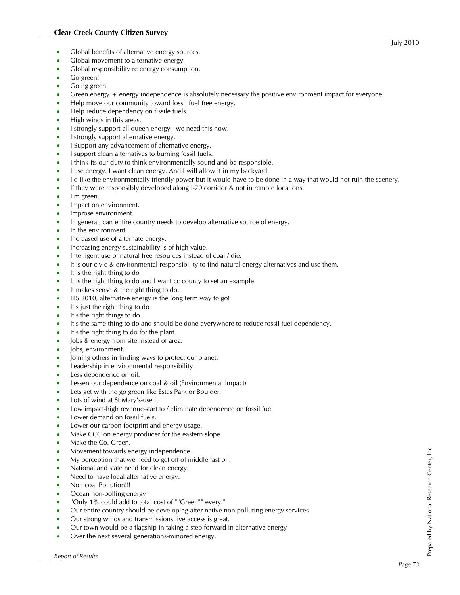- Global benefits of alternative energy sources.
- Global movement to alternative energy.
- Global responsibility re energy consumption.
- Go green!
- Going green
- Green energy + energy independence is absolutely necessary the positive environment impact for everyone.
- Help move our community toward fossil fuel free energy.
- Help reduce dependency on fissile fuels.
- High winds in this areas.
- I strongly support all queen energy we need this now.
- I strongly support alternative energy.
- I Support any advancement of alternative energy.
- I support clean alternatives to burning fossil fuels.
- I think its our duty to think environmentally sound and be responsible.
- I use energy. I want clean energy. And I will allow it in my backyard.
- I'd like the environmentally friendly power but it would have to be done in a way that would not ruin the scenery.
- If they were responsibly developed along I-70 corridor & not in remote locations.
- I'm green.
- Impact on environment.
- Improse environment.
- In general, can entire country needs to develop alternative source of energy.
- In the environment
- Increased use of alternate energy.
- Increasing energy sustainability is of high value.
- Intelligent use of natural free resources instead of coal / die.
- It is our civic & environmental responsibility to find natural energy alternatives and use them.
- It is the right thing to do
- It is the right thing to do and I want cc county to set an example.
- It makes sense & the right thing to do.
- ITS 2010, alternative energy is the long term way to go!
- It's just the right thing to do
- It's the right things to do.
- It's the same thing to do and should be done everywhere to reduce fossil fuel dependency.
- It's the right thing to do for the plant.
- Jobs & energy from site instead of area.
- Jobs, environment.
- Joining others in finding ways to protect our planet.
- Leadership in environmental responsibility.
- Less dependence on oil.
- Lessen our dependence on coal & oil (Environmental Impact)
- Lets get with the go green like Estes Park or Boulder.
- Lots of wind at St Mary's-use it.
- Low impact-high revenue-start to / eliminate dependence on fossil fuel
- Lower demand on fossil fuels.
- Lower our carbon footprint and energy usage.
- Make CCC on energy producer for the eastern slope.
- Make the Co. Green.
- Movement towards energy independence.
- My perception that we need to get off of middle fast oil.
- National and state need for clean energy.
- Need to have local alternative energy.
- Non coal Pollution!!!
- Ocean non-polling energy
- "Only 1% could add to total cost of ""Green"" every."
- Our entire country should be developing after native non polluting energy services
- Our strong winds and transmissions live access is great.
- Our town would be a flagship in taking a step forward in alternative energy
- Over the next several generations-minored energy.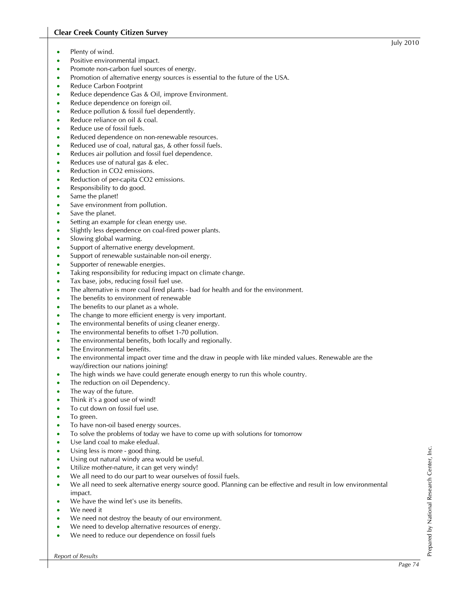- Plenty of wind.
- Positive environmental impact.
- Promote non-carbon fuel sources of energy.
- Promotion of alternative energy sources is essential to the future of the USA.
- Reduce Carbon Footprint
- Reduce dependence Gas & Oil, improve Environment.
- Reduce dependence on foreign oil.
- Reduce pollution & fossil fuel dependently.
- Reduce reliance on oil & coal.
- Reduce use of fossil fuels.
- Reduced dependence on non-renewable resources.
- Reduced use of coal, natural gas, & other fossil fuels.
- Reduces air pollution and fossil fuel dependence.
- Reduces use of natural gas & elec.
- Reduction in CO2 emissions.
- Reduction of per-capita CO2 emissions.
- Responsibility to do good.
- Same the planet!
- Save environment from pollution.
- Save the planet.
- Setting an example for clean energy use.
- Slightly less dependence on coal-fired power plants.
- Slowing global warming.
- Support of alternative energy development.
- Support of renewable sustainable non-oil energy.
- Supporter of renewable energies.
- Taking responsibility for reducing impact on climate change.
- Tax base, jobs, reducing fossil fuel use.
- The alternative is more coal fired plants bad for health and for the environment.
- The benefits to environment of renewable
- The benefits to our planet as a whole.
- The change to more efficient energy is very important.
- The environmental benefits of using cleaner energy.
- The environmental benefits to offset 1-70 pollution.
- The environmental benefits, both locally and regionally.
- The Environmental benefits.
- The environmental impact over time and the draw in people with like minded values. Renewable are the way/direction our nations joining!
- The high winds we have could generate enough energy to run this whole country.
- The reduction on oil Dependency.
- The way of the future.
- Think it's a good use of wind!
- To cut down on fossil fuel use.
- To green.
- To have non-oil based energy sources.
- To solve the problems of today we have to come up with solutions for tomorrow
- Use land coal to make eledual.
- Using less is more good thing.
- Using out natural windy area would be useful.
- Utilize mother-nature, it can get very windy!
- We all need to do our part to wear ourselves of fossil fuels.
- We all need to seek alternative energy source good. Planning can be effective and result in low environmental impact.
- We have the wind let's use its benefits.
- We need it
- We need not destroy the beauty of our environment.
- We need to develop alternative resources of energy.
- We need to reduce our dependence on fossil fuels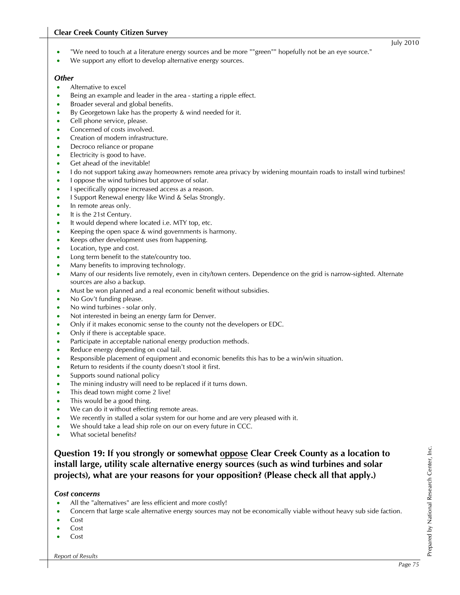#### **Clear Creek County Citizen Survey**

- "We need to touch at a literature energy sources and be more ""green"" hopefully not be an eye source."
- We support any effort to develop alternative energy sources.

#### *Other*

- Alternative to excel
- Being an example and leader in the area starting a ripple effect.
- Broader several and global benefits.
- By Georgetown lake has the property & wind needed for it.
- Cell phone service, please.
- Concerned of costs involved.
- Creation of modern infrastructure.
- Decroco reliance or propane
- Electricity is good to have.
- Get ahead of the inevitable!
- I do not support taking away homeowners remote area privacy by widening mountain roads to install wind turbines!
- I oppose the wind turbines but approve of solar.
- I specifically oppose increased access as a reason.
- I Support Renewal energy like Wind & Selas Strongly.
- In remote areas only.
- It is the 21st Century.
- It would depend where located i.e. MTY top, etc.
- Keeping the open space & wind governments is harmony.
- Keeps other development uses from happening.
- Location, type and cost.
- Long term benefit to the state/country too.
- Many benefits to improving technology.
- Many of our residents live remotely, even in city/town centers. Dependence on the grid is narrow-sighted. Alternate sources are also a backup.
- Must be won planned and a real economic benefit without subsidies.
- No Gov't funding please.
- No wind turbines solar only.
- Not interested in being an energy farm for Denver.
- Only if it makes economic sense to the county not the developers or EDC.
- Only if there is acceptable space.
- Participate in acceptable national energy production methods.
- Reduce energy depending on coal tail.
- Responsible placement of equipment and economic benefits this has to be a win/win situation.
- Return to residents if the county doesn't stool it first.
- Supports sound national policy
- The mining industry will need to be replaced if it turns down.
- This dead town might come 2 live!
- This would be a good thing.
- We can do it without effecting remote areas.
- We recently in stalled a solar system for our home and are very pleased with it.
- We should take a lead ship role on our on every future in CCC.
- What societal benefits?

### **Question 19: If you strongly or somewhat oppose Clear Creek County as a location to install large, utility scale alternative energy sources (such as wind turbines and solar projects), what are your reasons for your opposition? (Please check all that apply.)**

#### *Cost concerns*

- All the "alternatives" are less efficient and more costly!
- Concern that large scale alternative energy sources may not be economically viable without heavy sub side faction.
- Cost
- Cost
- Cost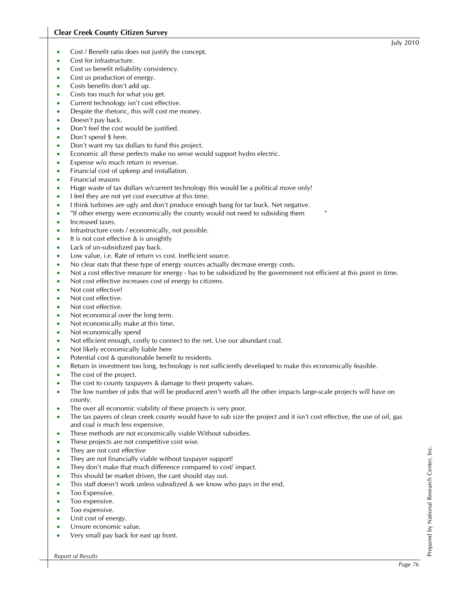- Cost / Benefit ratio does not justify the concept.
- Cost for infrastructure.
- Cost us benefit reliability consistency.
- Cost us production of energy.
- Costs benefits don't add up.
- Costs too much for what you get.
- Current technology isn't cost effective.
- Despite the rhetoric, this will cost me money.
- Doesn't pay back.
- Don't feel the cost would be justified.
- Don't spend \$ here.
- Don't want my tax dollars to fund this project.
- Economic all these perfects make no sense would support hydro electric.
- Expense w/o much return in revenue.
- Financial cost of upkeep and installation.
- Financial reasons
- Huge waste of tax dollars w/current technology this would be a political move only!
- I feel they are not yet cost executive at this time.
- I think turbines are ugly and don't produce enough bang for tar buck. Net negative.
- "If other energy were economically the county would not need to subsiding them
- Increased taxes.
- Infrastructure costs / economically, not possible.
- It is not cost effective & is unsightly
- Lack of un-subsidized pay back.
- Low value, i.e. Rate of return vs cost. Inefficient source.
- No clear stats that these type of energy sources actually decrease energy costs.
- Not a cost effective measure for energy has to be subsidized by the government not efficient at this point in time.
- Not cost effective increases cost of energy to citizens.
- Not cost effective!
- Not cost effective.
- Not cost effective.
- Not economical over the long term.
- Not economically make at this time.
- Not economically spend
- Not efficient enough, costly to connect to the net. Use our abundant coal.
- Not likely economically liable here
- Potential cost & questionable benefit to residents.
- Return in investment too long, technology is not sufficiently developed to make this economically feasible.
- The cost of the project.
- The cost to county taxpayers & damage to their property values.
- The low number of jobs that will be produced aren't worth all the other impacts large-scale projects will have on county.
- The over all economic viability of these projects is very poor.
- The tax payers of clean creek county would have to sub size the project and it isn't cost effective, the use of oil, gas and coal is much less expensive.
- These methods are not economically viable Without subsidies.
- These projects are not competitive cost wise.
- They are not cost effective
- They are not financially viable without taxpayer support!
- They don't make that much difference compared to cost/impact.
- This should be market driven, the cant should stay out.
- This staff doesn't work unless subsidized & we know who pays in the end.
- Too Expensive.
- Too expensive.
- Too expensive.
- Unit cost of energy.
- Unsure economic value.
- Very small pay back for east up front.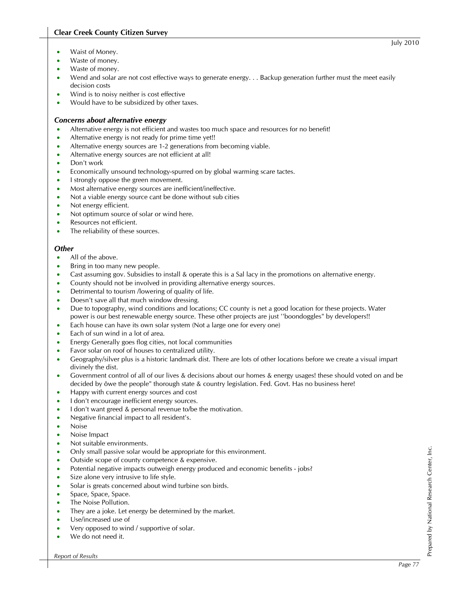#### **Clear Creek County Citizen Survey**

- Waist of Money.
- Waste of money.
- Waste of money.
- Wend and solar are not cost effective ways to generate energy. . . Backup generation further must the meet easily decision costs
- Wind is to noisy neither is cost effective
- Would have to be subsidized by other taxes.

#### *Concerns about alternative energy*

- Alternative energy is not efficient and wastes too much space and resources for no benefit!
- Alternative energy is not ready for prime time yet!!
- Alternative energy sources are 1-2 generations from becoming viable.
- Alternative energy sources are not efficient at all!
- Don't work
- Economically unsound technology-spurred on by global warming scare tactes.
- I strongly oppose the green movement.
- Most alternative energy sources are inefficient/ineffective.
- Not a viable energy source cant be done without sub cities
- Not energy efficient.
- Not optimum source of solar or wind here.
- Resources not efficient.
- The reliability of these sources.

#### *Other*

- All of the above.
- Bring in too many new people.
- Cast assuming gov. Subsidies to install & operate this is a Sal lacy in the promotions on alternative energy.
- County should not be involved in providing alternative energy sources.
- Detrimental to tourism /lowering of quality of life.
- Doesn't save all that much window dressing.
- Due to topography, wind conditions and locations; CC county is net a good location for these projects. Water power is our best renewable energy source. These other projects are just ''boondoggles" by developers!!
- Each house can have its own solar system (Not a large one for every one)
- Each of sun wind in a lot of area.
- Energy Generally goes flog cities, not local communities
- Favor solar on roof of houses to centralized utility.
- Geography/silver plus is a historic landmark dist. There are lots of other locations before we create a visual impart divinely the dist.
- Government control of all of our lives & decisions about our homes & energy usages! these should voted on and be decided by ôwe the people" thorough state & country legislation. Fed. Govt. Has no business here!
- Happy with current energy sources and cost
- I don't encourage inefficient energy sources.
- I don't want greed & personal revenue to/be the motivation.
- Negative financial impact to all resident's.
- Noise
- Noise Impact
- Not suitable environments.
- Only small passive solar would be appropriate for this environment.
- Outside scope of county competence & expensive.
- Potential negative impacts outweigh energy produced and economic benefits jobs?
- Size alone very intrusive to life style.
- Solar is greats concerned about wind turbine son birds.
- Space, Space, Space.
- The Noise Pollution.
- They are a joke. Let energy be determined by the market.
- Use/increased use of
- Very opposed to wind / supportive of solar.
- We do not need it.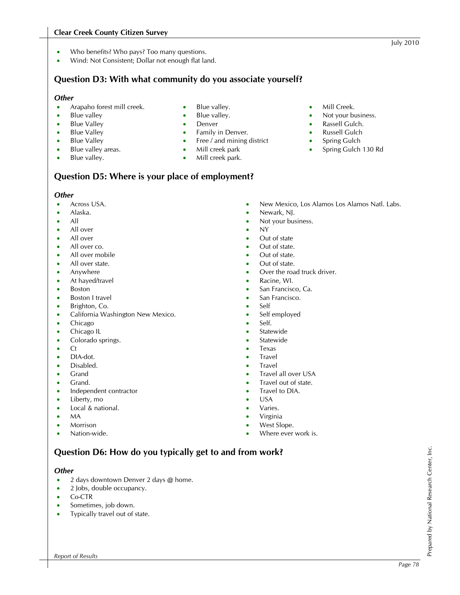#### **Clear Creek County Citizen Survey**

- Who benefits? Who pays? Too many questions.
- Wind: Not Consistent; Dollar not enough flat land.

## **Question D3: With what community do you associate yourself?**

Blue valley. • Blue valley. • Denver

• Mill creek park Mill creek park.

Family in Denver. Free / and mining district

#### *Other*

- Arapaho forest mill creek.
- Blue valley
- Blue Valley
- Blue Valley
- Blue Valley
- Blue valley areas.
- Blue valley.
- 

### **Question D5: Where is your place of employment?**

#### *Other*

- Across USA.
- Alaska.
- All
- All over
- All over
- All over co.
- All over mobile
- All over state.
- Anywhere
- At hayed/travel
- Boston
- Boston I travel
- Brighton, Co.
- California Washington New Mexico.
- Chicago
- Chicago IL
- Colorado springs.
- Ct
- DIA-dot.
- Disabled.
- Grand
- Grand.
- Independent contractor
- Liberty, mo
- Local & national.
- MA
- Morrison
- Nation-wide.
- 

#### *Other*

- 2 days downtown Denver 2 days @ home.
- 2 Jobs, double occupancy.
- Co-CTR
- Sometimes, job down.
- Typically travel out of state.

• Mill Creek.

Not your business. Rassell Gulch. • Russell Gulch • Spring Gulch • Spring Gulch 130 Rd

- New Mexico, Los Alamos Los Alamos Natl. Labs.
- Newark, NJ.
- Not your business.
- NY
- Out of state
- Out of state.
- Out of state.
- Out of state.
- Over the road truck driver.
- Racine, WI.
- San Francisco, Ca.
- San Francisco.
- Self
- Self employed
- Self.
- **Statewide**
- **Statewide**
- Texas
- **Travel**
- **Travel**
- Travel all over USA
- Travel out of state.
- Travel to DIA.
- USA
- Varies.
- Virginia
- West Slope.
- Where ever work is.

# **Question D6: How do you typically get to and from work?**

Prepared by National Research Center, Inc.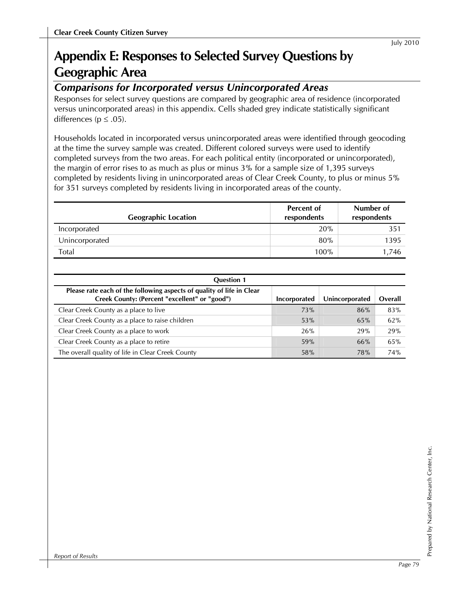# **Appendix E: Responses to Selected Survey Questions by Geographic Area**

# *Comparisons for Incorporated versus Unincorporated Areas*

Responses for select survey questions are compared by geographic area of residence (incorporated versus unincorporated areas) in this appendix. Cells shaded grey indicate statistically significant differences ( $p \leq .05$ ).

Households located in incorporated versus unincorporated areas were identified through geocoding at the time the survey sample was created. Different colored surveys were used to identify completed surveys from the two areas. For each political entity (incorporated or unincorporated), the margin of error rises to as much as plus or minus 3% for a sample size of 1,395 surveys completed by residents living in unincorporated areas of Clear Creek County, to plus or minus 5% for 351 surveys completed by residents living in incorporated areas of the county.

| <b>Geographic Location</b> | <b>Percent of</b><br>respondents | Number of<br>respondents |
|----------------------------|----------------------------------|--------------------------|
| Incorporated               | 20%                              | 351                      |
| Unincorporated             | 80%                              | 1395                     |
| Total                      | 100%                             | 1,746                    |

| <b>Question 1</b>                                                                                                      |              |                |         |
|------------------------------------------------------------------------------------------------------------------------|--------------|----------------|---------|
| Please rate each of the following aspects of quality of life in Clear<br>Creek County: (Percent "excellent" or "good") | Incorporated | Unincorporated | Overall |
| Clear Creek County as a place to live                                                                                  | 73%          | 86%            | 83%     |
| Clear Creek County as a place to raise children                                                                        | 53%          | 65%            | 62%     |
| Clear Creek County as a place to work                                                                                  | 26%          | 29%            | 29%     |
| Clear Creek County as a place to retire                                                                                | 59%          | 66%            | 65%     |
| The overall quality of life in Clear Creek County                                                                      | 58%          | 78%            | 74%     |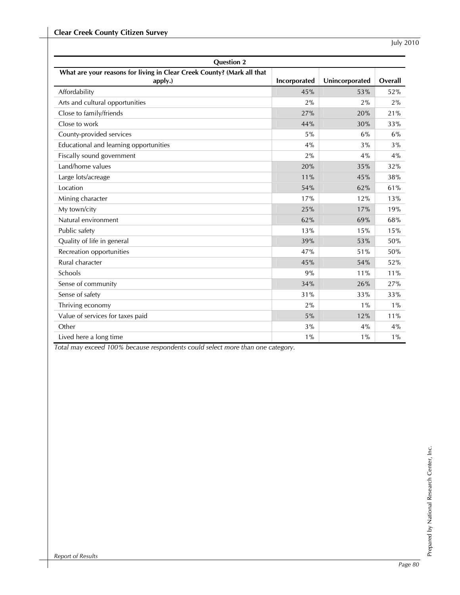| <b>Question 2</b>                                                                 |              |                |         |
|-----------------------------------------------------------------------------------|--------------|----------------|---------|
| What are your reasons for living in Clear Creek County? (Mark all that<br>apply.) | Incorporated | Unincorporated | Overall |
| Affordability                                                                     | 45%          | 53%            | 52%     |
| Arts and cultural opportunities                                                   | 2%           | 2%             | 2%      |
| Close to family/friends                                                           | 27%          | 20%            | 21%     |
| Close to work                                                                     | 44%          | 30%            | 33%     |
| County-provided services                                                          | 5%           | 6%             | 6%      |
| Educational and learning opportunities                                            | 4%           | 3%             | 3%      |
| Fiscally sound government                                                         | 2%           | 4%             | 4%      |
| Land/home values                                                                  | 20%          | 35%            | 32%     |
| Large lots/acreage                                                                | 11%          | 45%            | 38%     |
| Location                                                                          | 54%          | 62%            | 61%     |
| Mining character                                                                  | 17%          | 12%            | 13%     |
| My town/city                                                                      | 25%          | 17%            | 19%     |
| Natural environment                                                               | 62%          | 69%            | 68%     |
| Public safety                                                                     | 13%          | 15%            | 15%     |
| Quality of life in general                                                        | 39%          | 53%            | 50%     |
| Recreation opportunities                                                          | 47%          | 51%            | 50%     |
| Rural character                                                                   | 45%          | 54%            | 52%     |
| Schools                                                                           | 9%           | 11%            | 11%     |
| Sense of community                                                                | 34%          | 26%            | 27%     |
| Sense of safety                                                                   | 31%          | 33%            | 33%     |
| Thriving economy                                                                  | 2%           | $1\%$          | $1\%$   |
| Value of services for taxes paid                                                  | 5%           | 12%            | 11%     |
| Other                                                                             | 3%           | 4%             | 4%      |
| Lived here a long time                                                            | $1\%$        | $1\%$          | $1\%$   |

*Total may exceed 100% because respondents could select more than one category.*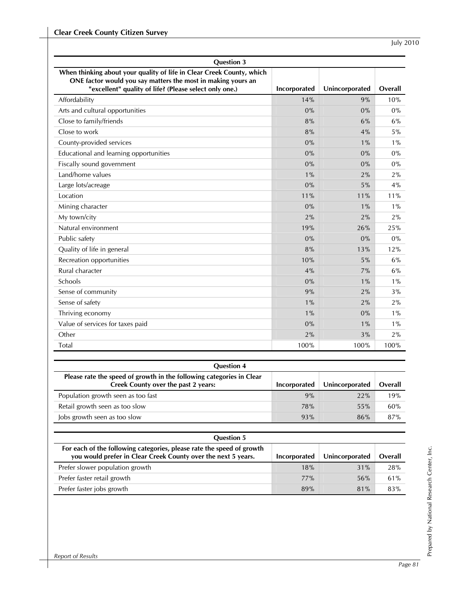| <b>Question 3</b>                                                                                                                                                                               |              |                |         |
|-------------------------------------------------------------------------------------------------------------------------------------------------------------------------------------------------|--------------|----------------|---------|
| When thinking about your quality of life in Clear Creek County, which<br>ONE factor would you say matters the most in making yours an<br>"excellent" quality of life? (Please select only one.) | Incorporated | Unincorporated | Overall |
| Affordability                                                                                                                                                                                   | 14%          | 9%             | 10%     |
| Arts and cultural opportunities                                                                                                                                                                 | $0\%$        | $0\%$          | $0\%$   |
| Close to family/friends                                                                                                                                                                         | 8%           | 6%             | 6%      |
| Close to work                                                                                                                                                                                   | 8%           | 4%             | $5\%$   |
| County-provided services                                                                                                                                                                        | 0%           | $1\%$          | $1\%$   |
| Educational and learning opportunities                                                                                                                                                          | $0\%$        | 0%             | 0%      |
| Fiscally sound government                                                                                                                                                                       | 0%           | 0%             | $0\%$   |
| Land/home values                                                                                                                                                                                | $1\%$        | 2%             | 2%      |
| Large lots/acreage                                                                                                                                                                              | $0\%$        | 5%             | 4%      |
| Location                                                                                                                                                                                        | 11%          | 11%            | 11%     |
| Mining character                                                                                                                                                                                | 0%           | $1\%$          | $1\%$   |
| My town/city                                                                                                                                                                                    | 2%           | 2%             | 2%      |
| Natural environment                                                                                                                                                                             | 19%          | 26%            | 25%     |
| Public safety                                                                                                                                                                                   | 0%           | 0%             | 0%      |
| Quality of life in general                                                                                                                                                                      | 8%           | 13%            | 12%     |
| Recreation opportunities                                                                                                                                                                        | 10%          | 5%             | $6\%$   |
| Rural character                                                                                                                                                                                 | 4%           | 7%             | 6%      |
| Schools                                                                                                                                                                                         | 0%           | $1\%$          | $1\%$   |
| Sense of community                                                                                                                                                                              | 9%           | 2%             | 3%      |
| Sense of safety                                                                                                                                                                                 | $1\%$        | 2%             | 2%      |
| Thriving economy                                                                                                                                                                                | $1\%$        | 0%             | $1\%$   |
| Value of services for taxes paid                                                                                                                                                                | $0\%$        | $1\%$          | $1\%$   |
| Other                                                                                                                                                                                           | 2%           | 3%             | 2%      |
| Total                                                                                                                                                                                           | 100%         | 100%           | 100%    |

| <b>Question 4</b>                                                                                           |              |                |         |
|-------------------------------------------------------------------------------------------------------------|--------------|----------------|---------|
| Please rate the speed of growth in the following categories in Clear<br>Creek County over the past 2 years: | Incorporated | Unincorporated | Overall |
| Population growth seen as too fast                                                                          | 9%           | 22%            | 19%     |
| Retail growth seen as too slow                                                                              | 78%          | 55%            | 60%     |
| Jobs growth seen as too slow                                                                                | 93%          | 86%            | 87%     |

| <b>Question 5</b>                                                                                                                      |              |                |         |
|----------------------------------------------------------------------------------------------------------------------------------------|--------------|----------------|---------|
| For each of the following categories, please rate the speed of growth<br>you would prefer in Clear Creek County over the next 5 years. | Incorporated | Unincorporated | Overall |
| Prefer slower population growth                                                                                                        | 18%          | 31%            | 28%     |
| Prefer faster retail growth                                                                                                            | 77%          | 56%            | 61%     |
| Prefer faster jobs growth                                                                                                              | 89%          | 81%            | 83%     |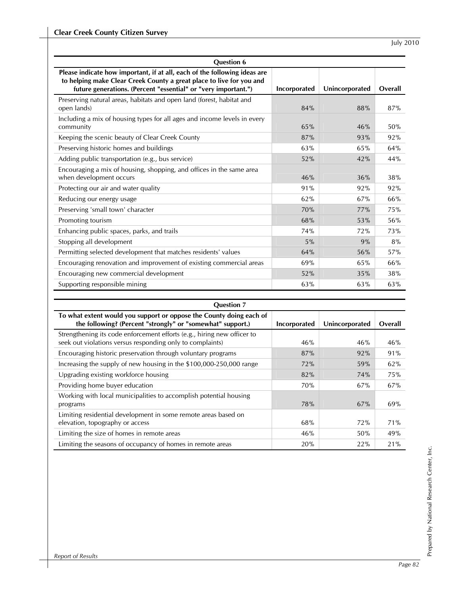| <b>Ouestion 6</b>                                                                                                                                                                                                   |              |                |         |
|---------------------------------------------------------------------------------------------------------------------------------------------------------------------------------------------------------------------|--------------|----------------|---------|
| Please indicate how important, if at all, each of the following ideas are<br>to helping make Clear Creek County a great place to live for you and<br>future generations. (Percent "essential" or "very important.") | Incorporated | Unincorporated | Overall |
| Preserving natural areas, habitats and open land (forest, habitat and<br>open lands)                                                                                                                                | 84%          | 88%            | 87%     |
| Including a mix of housing types for all ages and income levels in every<br>community                                                                                                                               | 65%          | 46%            | 50%     |
| Keeping the scenic beauty of Clear Creek County                                                                                                                                                                     | 87%          | 93%            | 92%     |
| Preserving historic homes and buildings                                                                                                                                                                             | 63%          | 65%            | 64%     |
| Adding public transportation (e.g., bus service)                                                                                                                                                                    | 52%          | 42%            | 44%     |
| Encouraging a mix of housing, shopping, and offices in the same area<br>when development occurs                                                                                                                     | 46%          | 36%            | 38%     |
| Protecting our air and water quality                                                                                                                                                                                | 91%          | 92%            | 92%     |
| Reducing our energy usage                                                                                                                                                                                           | 62%          | 67%            | 66%     |
| Preserving 'small town' character                                                                                                                                                                                   | 70%          | 77%            | 75%     |
| Promoting tourism                                                                                                                                                                                                   | 68%          | 53%            | 56%     |
| Enhancing public spaces, parks, and trails                                                                                                                                                                          | 74%          | 72%            | 73%     |
| Stopping all development                                                                                                                                                                                            | 5%           | 9%             | 8%      |
| Permitting selected development that matches residents' values                                                                                                                                                      | 64%          | 56%            | 57%     |
| Encouraging renovation and improvement of existing commercial areas                                                                                                                                                 | 69%          | 65%            | 66%     |
| Encouraging new commercial development                                                                                                                                                                              | 52%          | 35%            | 38%     |
| Supporting responsible mining                                                                                                                                                                                       | 63%          | 63%            | 63%     |

| <b>Question 7</b>                                                                                                                    |              |                |         |
|--------------------------------------------------------------------------------------------------------------------------------------|--------------|----------------|---------|
| To what extent would you support or oppose the County doing each of<br>the following? (Percent "strongly" or "somewhat" support.)    | Incorporated | Unincorporated | Overall |
| Strengthening its code enforcement efforts (e.g., hiring new officer to<br>seek out violations versus responding only to complaints) | 46%          | 46%            | 46%     |
| Encouraging historic preservation through voluntary programs                                                                         | 87%          | 92%            | 91%     |
| Increasing the supply of new housing in the \$100,000-250,000 range                                                                  | 72%          | 59%            | 62%     |
| Upgrading existing workforce housing                                                                                                 | 82%          | 74%            | 75%     |
| Providing home buyer education                                                                                                       | 70%          | 67%            | 67%     |
| Working with local municipalities to accomplish potential housing<br>programs                                                        | 78%          | 67%            | 69%     |
| Limiting residential development in some remote areas based on<br>elevation, topography or access                                    | 68%          | 72%            | 71%     |
| Limiting the size of homes in remote areas                                                                                           | 46%          | 50%            | 49%     |
| Limiting the seasons of occupancy of homes in remote areas                                                                           | 20%          | 22%            | 21%     |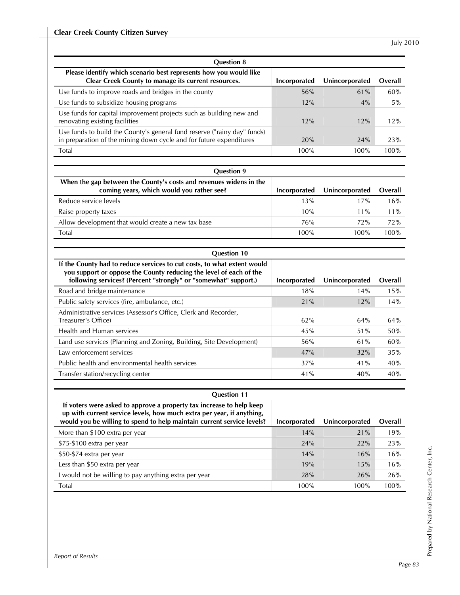| <b>Question 8</b>                                                                                                                               |              |                |         |
|-------------------------------------------------------------------------------------------------------------------------------------------------|--------------|----------------|---------|
| Please identify which scenario best represents how you would like<br>Clear Creek County to manage its current resources.                        | Incorporated | Unincorporated | Overall |
| Use funds to improve roads and bridges in the county                                                                                            | 56%          | 61%            | 60%     |
| Use funds to subsidize housing programs                                                                                                         | 12%          | 4%             | 5%      |
| Use funds for capital improvement projects such as building new and<br>renovating existing facilities                                           | 12%          | 12%            | 12%     |
| Use funds to build the County's general fund reserve ("rainy day" funds)<br>in preparation of the mining down cycle and for future expenditures | 20%          | 24%            | 23%     |
| Total                                                                                                                                           | 100%         | 100%           | 100%    |

| <b>Question 9</b>                                                                                               |              |                |         |
|-----------------------------------------------------------------------------------------------------------------|--------------|----------------|---------|
| When the gap between the County's costs and revenues widens in the<br>coming years, which would you rather see? | Incorporated | Unincorporated | Overall |
| Reduce service levels                                                                                           | 13%          | 17%            | 16%     |
| Raise property taxes                                                                                            | 10%          | $11\%$         | $11\%$  |
| Allow development that would create a new tax base                                                              | 76%          | 72%            | 72%     |
| Total                                                                                                           | 100%         | 100%           | 100%    |

| <b>Question 10</b>                                                                                                                                                                                               |              |                |         |
|------------------------------------------------------------------------------------------------------------------------------------------------------------------------------------------------------------------|--------------|----------------|---------|
| If the County had to reduce services to cut costs, to what extent would<br>you support or oppose the County reducing the level of each of the<br>following services? (Percent "strongly" or "somewhat" support.) | Incorporated | Unincorporated | Overall |
| Road and bridge maintenance                                                                                                                                                                                      | 18%          | 14%            | 15%     |
| Public safety services (fire, ambulance, etc.)                                                                                                                                                                   | 21%          | 12%            | 14%     |
| Administrative services (Assessor's Office, Clerk and Recorder,<br>Treasurer's Office)                                                                                                                           | 62%          | 64%            | 64%     |
| Health and Human services                                                                                                                                                                                        | 45%          | 51%            | 50%     |
| Land use services (Planning and Zoning, Building, Site Development)                                                                                                                                              | 56%          | 61%            | 60%     |
| Law enforcement services                                                                                                                                                                                         | 47%          | 32%            | 35%     |
| Public health and environmental health services                                                                                                                                                                  | 37%          | 41%            | 40%     |
| Transfer station/recycling center                                                                                                                                                                                | 41%          | 40%            | 40%     |

| <b>Question 11</b>                                                                                                                                                                                                      |              |                |         |
|-------------------------------------------------------------------------------------------------------------------------------------------------------------------------------------------------------------------------|--------------|----------------|---------|
| If voters were asked to approve a property tax increase to help keep<br>up with current service levels, how much extra per year, if anything,<br>would you be willing to spend to help maintain current service levels? | Incorporated | Unincorporated | Overall |
| More than \$100 extra per year                                                                                                                                                                                          | 14%          | 21%            | 19%     |
| \$75-\$100 extra per year                                                                                                                                                                                               | 24%          | 22%            | 23%     |
| \$50-\$74 extra per year                                                                                                                                                                                                | 14%          | 16%            | 16%     |
| Less than \$50 extra per year                                                                                                                                                                                           | 19%          | 15%            | 16%     |
| I would not be willing to pay anything extra per year                                                                                                                                                                   | 28%          | 26%            | 26%     |
| Total                                                                                                                                                                                                                   | 100%         | 100%           | 100%    |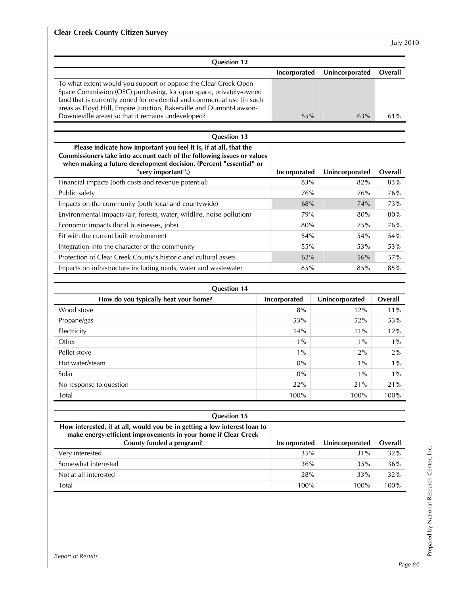| <b>Question 12</b>                                                                                                                                                                                                                                                                                                                             |              |                |         |
|------------------------------------------------------------------------------------------------------------------------------------------------------------------------------------------------------------------------------------------------------------------------------------------------------------------------------------------------|--------------|----------------|---------|
|                                                                                                                                                                                                                                                                                                                                                | Incorporated | Unincorporated | Overall |
| To what extent would you support or oppose the Clear Creek Open<br>Space Commission (OSC) purchasing, for open space, privately-owned<br>land that is currently zoned for residential and commercial use (in such<br>areas as Floyd Hill, Empire Junction, Bakerville and Dumont-Lawson-<br>Downieville areas) so that it remains undeveloped? | 55%          | 63%            | 61%     |
| <b>Question 13</b>                                                                                                                                                                                                                                                                                                                             |              |                |         |
| Please indicate how important you feel it is, if at all, that the<br>Commissioners take into account each of the following issues or values<br>when making a future development decision. (Percent "essential" or<br>"very important".)                                                                                                        | Incorporated | Unincorporated | Overall |
| Financial impacts (both costs and revenue potential)                                                                                                                                                                                                                                                                                           | 83%          | 82%            | 83%     |
| Public safety                                                                                                                                                                                                                                                                                                                                  | 76%          | 76%            | 76%     |
| Impacts on the community (both local and countywide)                                                                                                                                                                                                                                                                                           | 68%          | 74%            | 73%     |
| Environmental impacts (air, forests, water, wildlife, noise pollution)                                                                                                                                                                                                                                                                         | 79%          | 80%            | 80%     |
| Economic impacts (local businesses, jobs)                                                                                                                                                                                                                                                                                                      | 80%          | 75%            | 76%     |
| Fit with the current built environment                                                                                                                                                                                                                                                                                                         | 54%          | 54%            | 54%     |
| Integration into the character of the community                                                                                                                                                                                                                                                                                                | 55%          | 53%            | 53%     |
| Protection of Clear Creek County's historic and cultural assets                                                                                                                                                                                                                                                                                | 62%          | 56%            | 57%     |
| Impacts on infrastructure including roads, water and wastewater                                                                                                                                                                                                                                                                                | 85%          | 85%            | 85%     |
|                                                                                                                                                                                                                                                                                                                                                |              |                |         |

| <b>Question 14</b>                   |                     |                |         |
|--------------------------------------|---------------------|----------------|---------|
| How do you typically heat your home? | <b>Incorporated</b> | Unincorporated | Overall |
| Wood stove                           | 8%                  | 12%            | 11%     |
| Propane/gas                          | 53%                 | 52%            | 53%     |
| Electricity                          | 14%                 | 11%            | 12%     |
| Other                                | $1\%$               | $1\%$          | $1\%$   |
| Pellet stove                         | $1\%$               | 2%             | 2%      |
| Hot water/steam                      | $0\%$               | $1\%$          | $1\%$   |
| Solar                                | $0\%$               | $1\%$          | $1\%$   |
| No response to question              | 22%                 | 21%            | 21%     |
| Total                                | 100%                | 100%           | 100%    |

| <b>Question 15</b>                                                                                                                          |              |                |         |
|---------------------------------------------------------------------------------------------------------------------------------------------|--------------|----------------|---------|
| How interested, if at all, would you be in getting a low interest loan to<br>make energy-efficient improvements in your home if Clear Creek |              |                |         |
| County funded a program?                                                                                                                    | Incorporated | Unincorporated | Overall |
| Very interested                                                                                                                             | 35%          | 31%            | 32%     |
| Somewhat interested                                                                                                                         | 36%          | 35%            | 36%     |
| Not at all interested                                                                                                                       | 28%          | 33%            | 32%     |
| Total                                                                                                                                       | 100%         | 100%           | 100%    |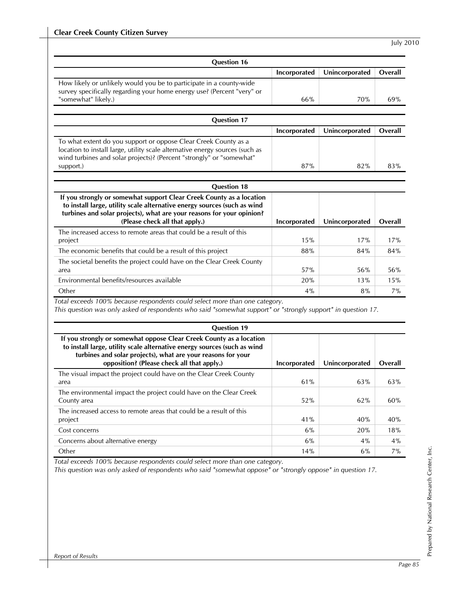| <b>Question 16</b>                                                                                                                                                                                                                                                                        |              |                |         |
|-------------------------------------------------------------------------------------------------------------------------------------------------------------------------------------------------------------------------------------------------------------------------------------------|--------------|----------------|---------|
|                                                                                                                                                                                                                                                                                           | Incorporated | Unincorporated | Overall |
| How likely or unlikely would you be to participate in a county-wide<br>survey specifically regarding your home energy use? (Percent "very" or<br>"somewhat" likely.)                                                                                                                      | 66%          | 70%            | 69%     |
|                                                                                                                                                                                                                                                                                           |              |                |         |
| <b>Question 17</b>                                                                                                                                                                                                                                                                        |              |                |         |
|                                                                                                                                                                                                                                                                                           | Incorporated | Unincorporated | Overall |
| To what extent do you support or oppose Clear Creek County as a<br>location to install large, utility scale alternative energy sources (such as<br>wind turbines and solar projects)? (Percent "strongly" or "somewhat"<br>support.)                                                      | 87%          | 82%            | 83%     |
| <b>Question 18</b>                                                                                                                                                                                                                                                                        |              |                |         |
| If you strongly or somewhat support Clear Creek County as a location<br>to install large, utility scale alternative energy sources (such as wind<br>turbines and solar projects), what are your reasons for your opinion?<br>(Please check all that apply.)                               | Incorporated | Unincorporated | Overall |
| The increased access to remote areas that could be a result of this                                                                                                                                                                                                                       |              |                |         |
| project                                                                                                                                                                                                                                                                                   | 15%          | 17%            | 17%     |
| The economic benefits that could be a result of this project                                                                                                                                                                                                                              | 88%          | 84%            | 84%     |
| The societal benefits the project could have on the Clear Creek County<br>area                                                                                                                                                                                                            | 57%          | 56%            | 56%     |
| Environmental benefits/resources available                                                                                                                                                                                                                                                | 20%          | 13%            | 15%     |
| Other                                                                                                                                                                                                                                                                                     | 4%           | 8%             | 7%      |
| Total exceeds 100% because respondents could select more than one category.<br>This question was only asked of respondents who said "somewhat support" or "strongly support" in question 17.<br><b>Question 19</b><br>If you strongly or somewhat oppose Clear Creek County as a location |              |                |         |
| to install large, utility scale alternative energy sources (such as wind<br>turbines and solar projects), what are your reasons for your<br>opposition? (Please check all that apply.)                                                                                                    | Incorporated | Unincorporated | Overall |
| The visual impact the project could have on the Clear Creek County<br>area                                                                                                                                                                                                                | 61%          | 63%            | 63%     |
| The environmental impact the project could have on the Clear Creek<br>County area                                                                                                                                                                                                         | 52%          | 62%            | 60%     |
| The increased access to remote areas that could be a result of this<br>project                                                                                                                                                                                                            | 41%          | 40%            | 40%     |
| Cost concerns                                                                                                                                                                                                                                                                             | $6\%$        | 20%            | 18%     |
| Concerns about alternative energy                                                                                                                                                                                                                                                         | $6\%$        | $4\%$          | 4%      |
| Other                                                                                                                                                                                                                                                                                     | 14%          | $6\%$          | 7%      |

*Total exceeds 100% because respondents could select more than one category.* 

*This question was only asked of respondents who said "somewhat oppose" or "strongly oppose" in question 17.*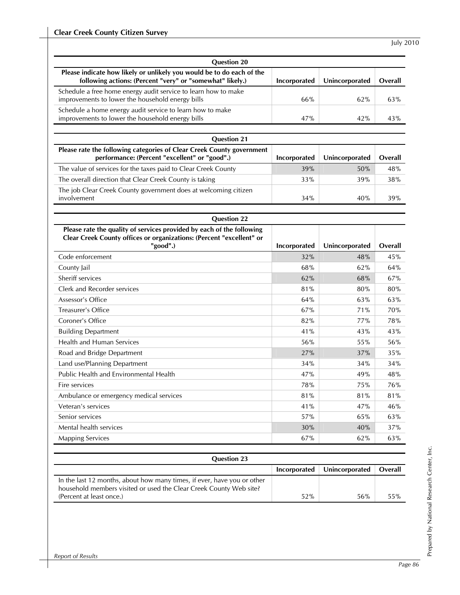| <b>Question 20</b>                                                                                                                                                        |              |                |         |
|---------------------------------------------------------------------------------------------------------------------------------------------------------------------------|--------------|----------------|---------|
| Please indicate how likely or unlikely you would be to do each of the<br>following actions: (Percent "very" or "somewhat" likely.)                                        | Incorporated | Unincorporated | Overall |
| Schedule a free home energy audit service to learn how to make<br>improvements to lower the household energy bills                                                        | 66%          | 62%            | 63%     |
| Schedule a home energy audit service to learn how to make<br>improvements to lower the household energy bills                                                             | 47%          | 42%            | 43%     |
|                                                                                                                                                                           |              |                |         |
| <b>Question 21</b><br>Please rate the following categories of Clear Creek County government                                                                               |              |                |         |
| performance: (Percent "excellent" or "good".)                                                                                                                             | Incorporated | Unincorporated | Overall |
| The value of services for the taxes paid to Clear Creek County                                                                                                            | 39%          | 50%            | 48%     |
| The overall direction that Clear Creek County is taking                                                                                                                   | 33%          | 39%            | 38%     |
| The job Clear Creek County government does at welcoming citizen<br>involvement                                                                                            | 34%          | 40%            | 39%     |
|                                                                                                                                                                           |              |                |         |
| <b>Question 22</b><br>Please rate the quality of services provided by each of the following                                                                               |              |                |         |
| Clear Creek County offices or organizations: (Percent "excellent" or                                                                                                      |              |                |         |
| "good".)                                                                                                                                                                  | Incorporated | Unincorporated | Overall |
| Code enforcement                                                                                                                                                          | 32%          | 48%            | 45%     |
| County Jail                                                                                                                                                               | 68%          | 62%            | 64%     |
| Sheriff services                                                                                                                                                          | 62%          | 68%            | 67%     |
| Clerk and Recorder services                                                                                                                                               | 81%          | 80%            | 80%     |
| Assessor's Office                                                                                                                                                         | 64%          | 63%            | 63%     |
| <b>Treasurer's Office</b>                                                                                                                                                 | 67%          | 71%            | 70%     |
| Coroner's Office                                                                                                                                                          | 82%          | 77%            | 78%     |
| <b>Building Department</b>                                                                                                                                                | 41%          | 43%            | 43%     |
| Health and Human Services                                                                                                                                                 | 56%          | 55%            | 56%     |
| Road and Bridge Department                                                                                                                                                | 27%          | 37%            | 35%     |
| Land use/Planning Department                                                                                                                                              | 34%          | 34%            | 34%     |
| Public Health and Environmental Health                                                                                                                                    | 47%          | 49%            | 48%     |
| Fire services                                                                                                                                                             | $78%$        | 75%            | 76%     |
| Ambulance or emergency medical services                                                                                                                                   | 81%          | 81%            | 81%     |
| Veteran's services                                                                                                                                                        | 41%          | 47%            | 46%     |
| Senior services                                                                                                                                                           | 57%          | 65%            | 63%     |
| Mental health services                                                                                                                                                    | 30%          | 40%            | 37%     |
| <b>Mapping Services</b>                                                                                                                                                   | 67%          | 62%            | 63%     |
| <b>Question 23</b>                                                                                                                                                        |              |                |         |
|                                                                                                                                                                           | Incorporated | Unincorporated | Overall |
| In the last 12 months, about how many times, if ever, have you or other<br>household members visited or used the Clear Creek County Web site?<br>(Percent at least once.) | 52%          | 56%            | $55\%$  |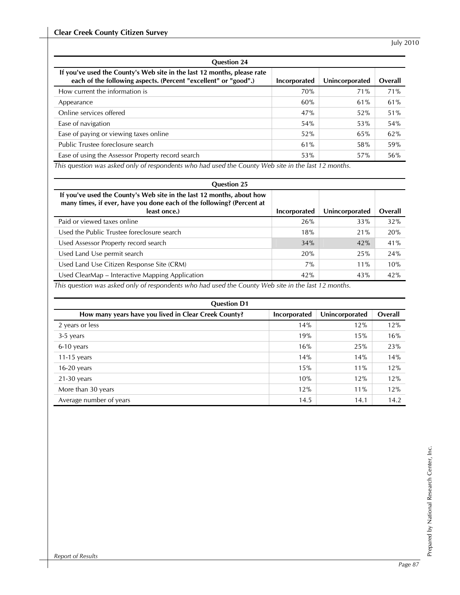| <b>Question 24</b>                                                                                                                         |              |                |         |
|--------------------------------------------------------------------------------------------------------------------------------------------|--------------|----------------|---------|
| If you've used the County's Web site in the last 12 months, please rate<br>each of the following aspects. (Percent "excellent" or "good".) | Incorporated | Unincorporated | Overall |
| How current the information is                                                                                                             | 70%          | 71%            | 71%     |
| Appearance                                                                                                                                 | 60%          | 61%            | 61%     |
| Online services offered                                                                                                                    | 47%          | 52%            | 51%     |
| Ease of navigation                                                                                                                         | 54%          | 53%            | 54%     |
| Ease of paying or viewing taxes online                                                                                                     | 52%          | 65%            | 62%     |
| Public Trustee foreclosure search                                                                                                          | 61%          | 58%            | 59%     |
| Ease of using the Assessor Property record search                                                                                          | 53%          | 57%            | 56%     |

*This question was asked only of respondents who had used the County Web site in the last 12 months.* 

| <b>Question 25</b>                                                                                                                                             |              |                |         |
|----------------------------------------------------------------------------------------------------------------------------------------------------------------|--------------|----------------|---------|
| If you've used the County's Web site in the last 12 months, about how<br>many times, if ever, have you done each of the following? (Percent at<br>least once.) | Incorporated | Unincorporated | Overall |
| Paid or viewed taxes online                                                                                                                                    | 26%          | 33%            | 32%     |
| Used the Public Trustee foreclosure search                                                                                                                     | 18%          | 21%            | 20%     |
| Used Assessor Property record search                                                                                                                           | 34%          | 42%            | 41%     |
| Used Land Use permit search                                                                                                                                    | 20%          | 25%            | 24%     |
| Used Land Use Citizen Response Site (CRM)                                                                                                                      | $7\%$        | 11%            | 10%     |
| Used ClearMap - Interactive Mapping Application<br>.                                                                                                           | 42%          | 43%            | 42%     |

*This question was asked only of respondents who had used the County Web site in the last 12 months.* 

| <b>Question D1</b>                                   |              |                |         |
|------------------------------------------------------|--------------|----------------|---------|
| How many years have you lived in Clear Creek County? | Incorporated | Unincorporated | Overall |
| 2 years or less                                      | 14%          | 12%            | 12%     |
| 3-5 years                                            | 19%          | 15%            | 16%     |
| 6-10 years                                           | 16%          | 25%            | 23%     |
| 11-15 years                                          | 14%          | 14%            | 14%     |
| $16-20$ years                                        | 15%          | $11\%$         | 12%     |
| $21-30$ years                                        | 10%          | 12%            | 12%     |
| More than 30 years                                   | 12%          | 11%            | 12%     |
| Average number of years                              | 14.5         | 14.1           | 14.2    |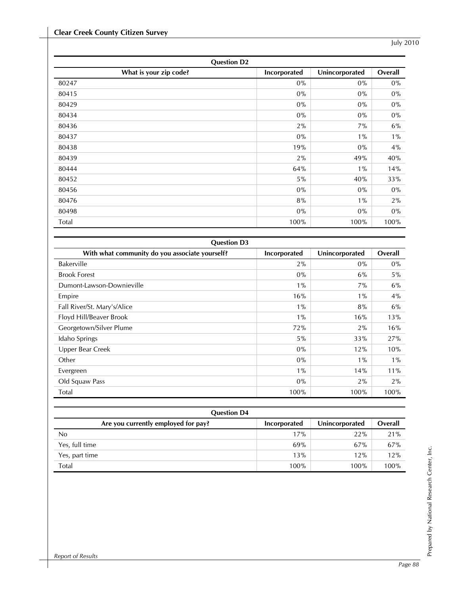| <b>Question D2</b>     |              |                |         |
|------------------------|--------------|----------------|---------|
| What is your zip code? | Incorporated | Unincorporated | Overall |
| 80247                  | $0\%$        | $0\%$          | $0\%$   |
| 80415                  | $0\%$        | $0\%$          | $0\%$   |
| 80429                  | $0\%$        | $0\%$          | $0\%$   |
| 80434                  | $0\%$        | $0\%$          | $0\%$   |
| 80436                  | 2%           | 7%             | $6\%$   |
| 80437                  | $0\%$        | $1\%$          | $1\%$   |
| 80438                  | 19%          | $0\%$          | 4%      |
| 80439                  | 2%           | 49%            | 40%     |
| 80444                  | 64%          | $1\%$          | 14%     |
| 80452                  | $5\%$        | 40%            | 33%     |
| 80456                  | $0\%$        | $0\%$          | $0\%$   |
| 80476                  | 8%           | $1\%$          | 2%      |
| 80498                  | $0\%$        | $0\%$          | $0\%$   |
| Total                  | 100%         | 100%           | 100%    |

| <b>Question D3</b><br>With what community do you associate yourself? | <b>Incorporated</b> | Unincorporated | Overall |
|----------------------------------------------------------------------|---------------------|----------------|---------|
| Bakerville                                                           | 2%                  | $0\%$          | $0\%$   |
| <b>Brook Forest</b>                                                  | $0\%$               | $6\%$          | $5\%$   |
| Dumont-Lawson-Downieville                                            | $1\%$               | 7%             | 6%      |
| Empire                                                               | 16%                 | $1\%$          | 4%      |
| Fall River/St. Mary's/Alice                                          | $1\%$               | 8%             | 6%      |
| Floyd Hill/Beaver Brook                                              | $1\%$               | 16%            | 13%     |
| Georgetown/Silver Plume                                              | 72%                 | 2%             | 16%     |
| Idaho Springs                                                        | $5\%$               | 33%            | 27%     |
| Upper Bear Creek                                                     | $0\%$               | 12%            | 10%     |
| Other                                                                | $0\%$               | $1\%$          | $1\%$   |
| Evergreen                                                            | $1\%$               | 14%            | 11%     |
| Old Squaw Pass                                                       | $0\%$               | $2\%$          | $2\%$   |
| Total                                                                | 100%                | 100%           | 100%    |

| <b>Question D4</b>                  |              |                |         |
|-------------------------------------|--------------|----------------|---------|
| Are you currently employed for pay? | Incorporated | Unincorporated | Overall |
| No                                  | 17%          | 22%            | 21%     |
| Yes, full time                      | 69%          | 67%            | 67%     |
| Yes, part time                      | 13%          | 12%            | 12%     |
| Total                               | 100%         | 100%           | 100%    |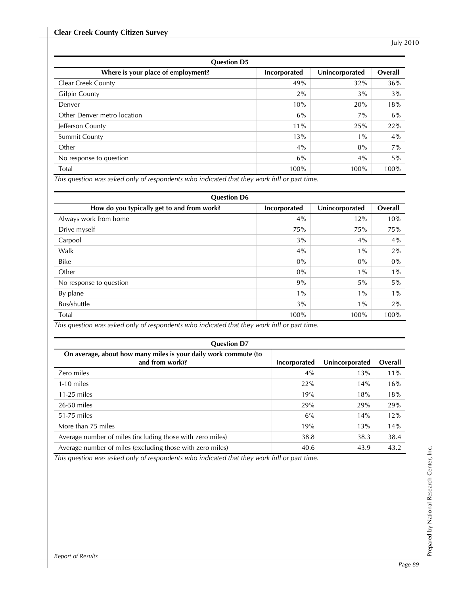| <b>Question D5</b>                 |              |                |         |
|------------------------------------|--------------|----------------|---------|
| Where is your place of employment? | Incorporated | Unincorporated | Overall |
| <b>Clear Creek County</b>          | 49%          | 32%            | 36%     |
| <b>Gilpin County</b>               | $2\%$        | $3\%$          | $3\%$   |
| Denver                             | 10%          | 20%            | 18%     |
| Other Denver metro location        | 6%           | 7%             | 6%      |
| Jefferson County                   | 11%          | 25%            | 22%     |
| <b>Summit County</b>               | 13%          | $1\%$          | $4\%$   |
| Other                              | $4\%$        | 8%             | $7\%$   |
| No response to question            | 6%           | 4%             | $5\%$   |
| Total                              | 100%         | 100%           | 100%    |

*This question was asked only of respondents who indicated that they work full or part time.* 

| <b>Question D6</b>                                                                                                 |              |                |         |
|--------------------------------------------------------------------------------------------------------------------|--------------|----------------|---------|
| How do you typically get to and from work?                                                                         | Incorporated | Unincorporated | Overall |
| Always work from home                                                                                              | $4\%$        | 12%            | 10%     |
| Drive myself                                                                                                       | 75%          | 75%            | 75%     |
| Carpool                                                                                                            | 3%           | 4%             | 4%      |
| Walk                                                                                                               | $4\%$        | $1\%$          | $2\%$   |
| <b>Bike</b>                                                                                                        | $0\%$        | $0\%$          | $0\%$   |
| Other                                                                                                              | $0\%$        | $1\%$          | $1\%$   |
| No response to question                                                                                            | 9%           | 5%             | $5\%$   |
| By plane                                                                                                           | $1\%$        | $1\%$          | $1\%$   |
| Bus/shuttle                                                                                                        | 3%           | $1\%$          | 2%      |
| Total<br>This consistence on a subset on the of account dense codes in displayed that the consent full consequence | 100%         | 100%           | 100%    |

*This question was asked only of respondents who indicated that they work full or part time.* 

| <b>Question D7</b>                                                                 |              |                |         |
|------------------------------------------------------------------------------------|--------------|----------------|---------|
| On average, about how many miles is your daily work commute (to<br>and from work)? | Incorporated | Unincorporated | Overall |
| Zero miles                                                                         | 4%           | 13%            | $11\%$  |
| $1-10$ miles                                                                       | 22%          | 14%            | 16%     |
| $11-25$ miles                                                                      | 19%          | 18%            | 18%     |
| $26-50$ miles                                                                      | 29%          | 29%            | 29%     |
| 51-75 miles                                                                        | 6%           | 14%            | 12%     |
| More than 75 miles                                                                 | 19%          | 13%            | 14%     |
| Average number of miles (including those with zero miles)                          | 38.8         | 38.3           | 38.4    |
| Average number of miles (excluding those with zero miles)                          | 40.6         | 43.9           | 43.2    |

*This question was asked only of respondents who indicated that they work full or part time.*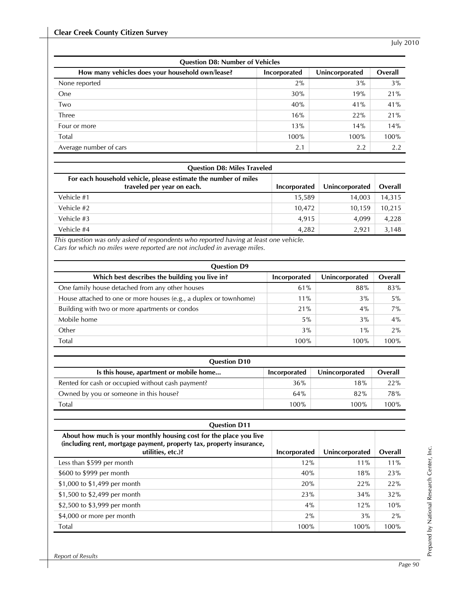| <b>Question D8: Number of Vehicles</b>           |              |                |         |
|--------------------------------------------------|--------------|----------------|---------|
| How many vehicles does your household own/lease? | Incorporated | Unincorporated | Overall |
| None reported                                    | $2\%$        | 3%             | 3%      |
| One                                              | 30%          | 19%            | 21%     |
| Two                                              | 40%          | 41%            | 41%     |
| Three                                            | 16%          | 22%            | 21%     |
| Four or more                                     | 13%          | 14%            | 14%     |
| Total                                            | 100%         | 100%           | 100%    |
| Average number of cars                           | 2.1          | 2.2            | 2.2     |

| <b>Question D8: Miles Traveled</b>                                                            |              |                |         |
|-----------------------------------------------------------------------------------------------|--------------|----------------|---------|
| For each household vehicle, please estimate the number of miles<br>traveled per year on each. | Incorporated | Unincorporated | Overall |
| Vehicle #1                                                                                    | 15,589       | 14.003         | 14,315  |
| Vehicle #2                                                                                    | 10.472       | 10.159         | 10,215  |
| Vehicle #3                                                                                    | 4,915        | 4.099          | 4,228   |
| Vehicle #4                                                                                    | 4.282        | 2.921          | 3,148   |

*This question was only asked of respondents who reported having at least one vehicle. Cars for which no miles were reported are not included in average miles.* 

| <b>Question D9</b>                                                |              |                |         |
|-------------------------------------------------------------------|--------------|----------------|---------|
| Which best describes the building you live in?                    | Incorporated | Unincorporated | Overall |
| One family house detached from any other houses                   | 61%          | 88%            | 83%     |
| House attached to one or more houses (e.g., a duplex or townhome) | $11\%$       | 3%             | 5%      |
| Building with two or more apartments or condos                    | 21%          | $4\%$          | 7%      |
| Mobile home                                                       | 5%           | 3%             | 4%      |
| Other                                                             | 3%           | $1\%$          | 2%      |
| Total                                                             | 100%         | 100%           | 100%    |

| <b>Question D10</b>                               |              |                |            |
|---------------------------------------------------|--------------|----------------|------------|
| Is this house, apartment or mobile home           | Incorporated | Unincorporated | Overall    |
| Rented for cash or occupied without cash payment? | 36%          | 18%            | 22%        |
| Owned by you or someone in this house?            | 64%          | 82%            | <b>78%</b> |
| Total                                             | 100%         | 100%           | 100%       |

| <b>Question D11</b>                                                                                                                                             |              |                |         |
|-----------------------------------------------------------------------------------------------------------------------------------------------------------------|--------------|----------------|---------|
| About how much is your monthly housing cost for the place you live<br>(including rent, mortgage payment, property tax, property insurance,<br>utilities, etc.)? | Incorporated | Unincorporated | Overall |
| Less than \$599 per month                                                                                                                                       | 12%          | $11\%$         | 11%     |
| \$600 to \$999 per month                                                                                                                                        | 40%          | 18%            | 23%     |
| \$1,000 to \$1,499 per month                                                                                                                                    | 20%          | 22%            | 22%     |
| \$1,500 to \$2,499 per month                                                                                                                                    | 23%          | 34%            | 32%     |
| \$2,500 to \$3,999 per month                                                                                                                                    | 4%           | 12%            | 10%     |
| \$4,000 or more per month                                                                                                                                       | 2%           | 3%             | 2%      |
| Total                                                                                                                                                           | 100%         | 100%           | 100%    |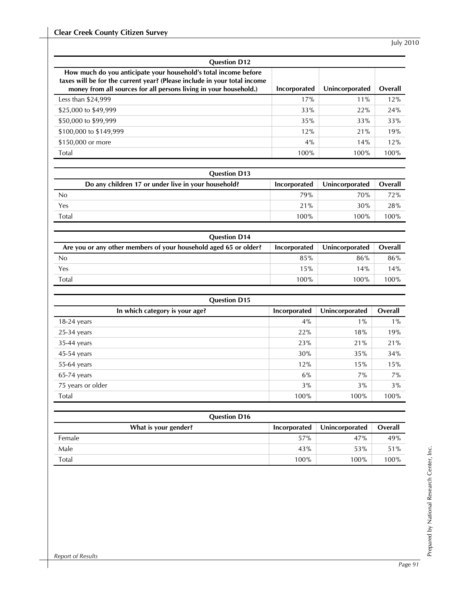| <b>Question D12</b>                                                                                                                                                                                              |              |                |         |
|------------------------------------------------------------------------------------------------------------------------------------------------------------------------------------------------------------------|--------------|----------------|---------|
| How much do you anticipate your household's total income before<br>taxes will be for the current year? (Please include in your total income<br>money from all sources for all persons living in your household.) | Incorporated | Unincorporated | Overall |
| Less than \$24,999                                                                                                                                                                                               | 17%          | $11\%$         | 12%     |
| \$25,000 to \$49,999                                                                                                                                                                                             | 33%          | 22%            | 24%     |
| \$50,000 to \$99,999                                                                                                                                                                                             | 35%          | 33%            | 33%     |
| \$100,000 to \$149,999                                                                                                                                                                                           | 12%          | 21%            | 19%     |
| \$150,000 or more                                                                                                                                                                                                | 4%           | 14%            | 12%     |
| Total                                                                                                                                                                                                            | 100%         | 100%           | 100%    |

| <b>Question D13</b>                                 |              |                |         |
|-----------------------------------------------------|--------------|----------------|---------|
| Do any children 17 or under live in your household? | Incorporated | Unincorporated | Overall |
| No                                                  | 79%          | 70%            | 72%     |
| Yes                                                 | 21%          | 30%            | 28%     |
| Total                                               | 100%         | 100%           | 100%    |

| <b>Question D14</b>                                              |              |                |         |
|------------------------------------------------------------------|--------------|----------------|---------|
| Are you or any other members of your household aged 65 or older? | Incorporated | Unincorporated | Overall |
| No                                                               | 85%          | 86%            | 86%     |
| Yes                                                              | 15%          | 14%            | 14%     |
| Total                                                            | 100%         | 100%           | 100%    |

| <b>Question D15</b>            |              |                |         |
|--------------------------------|--------------|----------------|---------|
| In which category is your age? | Incorporated | Unincorporated | Overall |
| $18-24$ years                  | 4%           | $1\%$          | $1\%$   |
| $25-34$ years                  | 22%          | 18%            | 19%     |
| $35-44$ years                  | 23%          | 21%            | 21%     |
| 45-54 years                    | 30%          | 35%            | 34%     |
| 55-64 years                    | 12%          | 15%            | 15%     |
| $65-74$ years                  | 6%           | 7%             | $7\%$   |
| 75 years or older              | 3%           | 3%             | 3%      |
| Total                          | 100%         | 100%           | 100%    |

| <b>Question D16</b>  |              |                |         |
|----------------------|--------------|----------------|---------|
| What is your gender? | Incorporated | Unincorporated | Overall |
| Female               | 57%          | 47%            | 49%     |
| Male                 | 43%          | 53%            | 51%     |
| Total                | 100%         | 100%           | 100%    |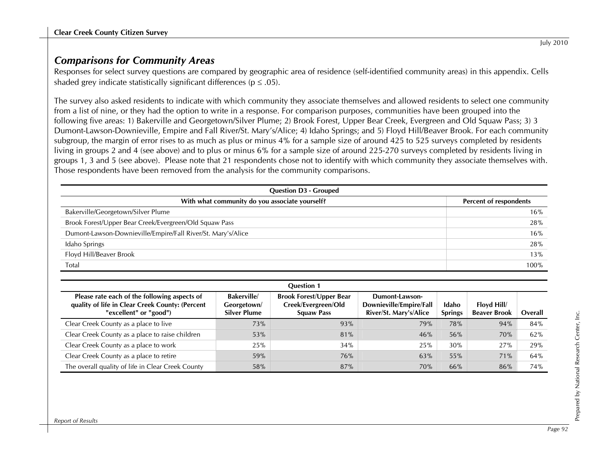# *Comparisons for Community Areas*

Responses for select survey questions are compared by geographic area of residence (self-identified community areas) in this appendix. Cells shaded grey indicate statistically significant differences ( $p \leq .05$ ).

The survey also asked residents to indicate with which community they associate themselves and allowed residents to select one community from a list of nine, or they had the option to write in a response. For comparison purposes, communities have been grouped into the following five areas: 1) Bakerville and Georgetown/Silver Plume; 2) Brook Forest, Upper Bear Creek, Evergreen and Old Squaw Pass; 3) 3 Dumont-Lawson-Downieville, Empire and Fall River/St. Mary's/Alice; 4) Idaho Springs; and 5) Floyd Hill/Beaver Brook. For each community subgroup, the margin of error rises to as much as plus or minus 4% for a sample size of around 425 to 525 surveys completed by residents living in groups 2 and 4 (see above) and to plus or minus 6% for a sample size of around 225-270 surveys completed by residents living in groups 1, 3 and 5 (see above). Please note that 21 respondents chose not to identify with which community they associate themselves with. Those respondents have been removed from the analysis for the community comparisons.

| <b>Question D3 - Grouped</b>                                 |                        |  |  |  |  |  |
|--------------------------------------------------------------|------------------------|--|--|--|--|--|
| With what community do you associate yourself?               | Percent of respondents |  |  |  |  |  |
| Bakerville/Georgetown/Silver Plume                           | 16%                    |  |  |  |  |  |
| Brook Forest/Upper Bear Creek/Evergreen/Old Squaw Pass       | 28%                    |  |  |  |  |  |
| Dumont-Lawson-Downieville/Empire/Fall River/St. Mary's/Alice | 16%                    |  |  |  |  |  |
| Idaho Springs                                                | 28%                    |  |  |  |  |  |
| Floyd Hill/Beaver Brook                                      | 13%                    |  |  |  |  |  |
| Total                                                        | 100%                   |  |  |  |  |  |

| <b>Ouestion 1</b>                                                                                                         |                                                         |                                                                            |                                                                     |                         |                                    |         |  |
|---------------------------------------------------------------------------------------------------------------------------|---------------------------------------------------------|----------------------------------------------------------------------------|---------------------------------------------------------------------|-------------------------|------------------------------------|---------|--|
| Please rate each of the following aspects of<br>quality of life in Clear Creek County: (Percent<br>"excellent" or "good") | <b>Bakerville</b><br>Georgetown/<br><b>Silver Plume</b> | <b>Brook Forest/Upper Bear</b><br>Creek/Evergreen/Old<br><b>Squaw Pass</b> | Dumont-Lawson-<br>Downieville/Empire/Fall<br>River/St. Mary's/Alice | Idaho<br><b>Springs</b> | Floyd Hill/<br><b>Beaver Brook</b> | Overall |  |
| Clear Creek County as a place to live                                                                                     | 73%                                                     | 93%                                                                        | 79%                                                                 | <b>78%</b>              | 94%                                | 84%     |  |
| Clear Creek County as a place to raise children                                                                           | 53%                                                     | 81%                                                                        | 46%                                                                 | 56%                     | 70%                                | 62%     |  |
| Clear Creek County as a place to work                                                                                     | 25%                                                     | 34%                                                                        | 25%                                                                 | 30%                     | 27%                                | 29%     |  |
| Clear Creek County as a place to retire                                                                                   | 59%                                                     | 76%                                                                        | 63%                                                                 | 55%                     | 71%                                | 64%     |  |
| The overall quality of life in Clear Creek County                                                                         | 58%                                                     | 87%                                                                        | 70%                                                                 | 66%                     | 86%                                | 74%     |  |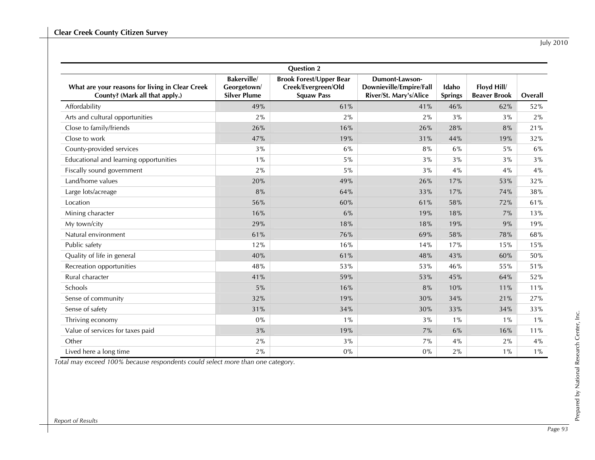|                                                                                   |                                                           | <b>Question 2</b>                                                          |                                                                            |                         |                                    |         |
|-----------------------------------------------------------------------------------|-----------------------------------------------------------|----------------------------------------------------------------------------|----------------------------------------------------------------------------|-------------------------|------------------------------------|---------|
| What are your reasons for living in Clear Creek<br>County? (Mark all that apply.) | <b>Bakerville</b> /<br>Georgetown/<br><b>Silver Plume</b> | <b>Brook Forest/Upper Bear</b><br>Creek/Evergreen/Old<br><b>Squaw Pass</b> | <b>Dumont-Lawson-</b><br>Downieville/Empire/Fall<br>River/St. Mary's/Alice | Idaho<br><b>Springs</b> | Floyd Hill/<br><b>Beaver Brook</b> | Overall |
| Affordability                                                                     | 49%                                                       | 61%                                                                        | 41%                                                                        | 46%                     | 62%                                | 52%     |
| Arts and cultural opportunities                                                   | 2%                                                        | 2%                                                                         | 2%                                                                         | 3%                      | 3%                                 | 2%      |
| Close to family/friends                                                           | 26%                                                       | 16%                                                                        | 26%                                                                        | 28%                     | 8%                                 | 21%     |
| Close to work                                                                     | 47%                                                       | 19%                                                                        | 31%                                                                        | 44%                     | 19%                                | 32%     |
| County-provided services                                                          | 3%                                                        | 6%                                                                         | 8%                                                                         | 6%                      | 5%                                 | $6\%$   |
| Educational and learning opportunities                                            | $1\%$                                                     | 5%                                                                         | 3%                                                                         | 3%                      | 3%                                 | 3%      |
| Fiscally sound government                                                         | 2%                                                        | $5\%$                                                                      | 3%                                                                         | 4%                      | 4%                                 | $4\%$   |
| Land/home values                                                                  | 20%                                                       | 49%                                                                        | 26%                                                                        | 17%                     | 53%                                | 32%     |
| Large lots/acreage                                                                | 8%                                                        | 64%                                                                        | 33%                                                                        | 17%                     | 74%                                | 38%     |
| Location                                                                          | 56%                                                       | 60%                                                                        | 61%                                                                        | 58%                     | 72%                                | 61%     |
| Mining character                                                                  | 16%                                                       | 6%                                                                         | 19%                                                                        | 18%                     | 7%                                 | 13%     |
| My town/city                                                                      | 29%                                                       | 18%                                                                        | 18%                                                                        | 19%                     | 9%                                 | 19%     |
| Natural environment                                                               | 61%                                                       | 76%                                                                        | 69%                                                                        | 58%                     | 78%                                | 68%     |
| Public safety                                                                     | 12%                                                       | 16%                                                                        | 14%                                                                        | 17%                     | 15%                                | 15%     |
| Quality of life in general                                                        | 40%                                                       | 61%                                                                        | 48%                                                                        | 43%                     | 60%                                | 50%     |
| Recreation opportunities                                                          | 48%                                                       | 53%                                                                        | 53%                                                                        | 46%                     | 55%                                | 51%     |
| Rural character                                                                   | 41%                                                       | 59%                                                                        | 53%                                                                        | 45%                     | 64%                                | 52%     |
| Schools                                                                           | 5%                                                        | 16%                                                                        | 8%                                                                         | 10%                     | 11%                                | 11%     |
| Sense of community                                                                | 32%                                                       | 19%                                                                        | 30%                                                                        | 34%                     | 21%                                | 27%     |
| Sense of safety                                                                   | 31%                                                       | 34%                                                                        | 30%                                                                        | 33%                     | 34%                                | 33%     |
| Thriving economy                                                                  | $0\%$                                                     | $1\%$                                                                      | 3%                                                                         | $1\%$                   | $1\%$                              | $1\%$   |
| Value of services for taxes paid                                                  | 3%                                                        | 19%                                                                        | 7%                                                                         | 6%                      | 16%                                | 11%     |
| Other                                                                             | 2%                                                        | 3%                                                                         | 7%                                                                         | 4%                      | 2%                                 | 4%      |
| Lived here a long time                                                            | 2%                                                        | $0\%$                                                                      | 0%                                                                         | 2%                      | $1\%$                              | $1\%$   |

*Total may exceed 100% because respondents could select more than one category.* 

Prepared by National Research Center, Inc.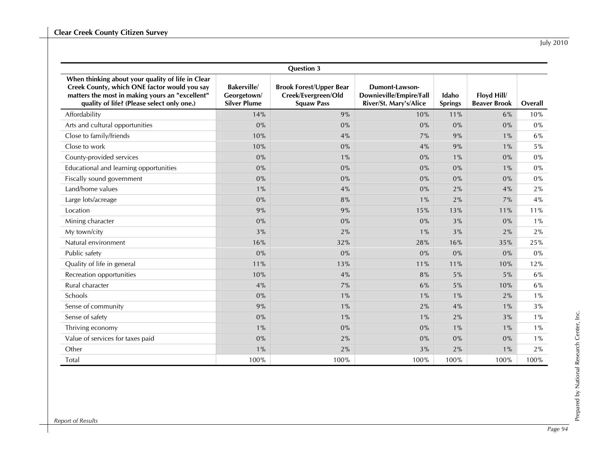|                                                                                                                                                                                                    |                                                         | <b>Question 3</b>                                                          |                                                                            |                         |                                    |         |
|----------------------------------------------------------------------------------------------------------------------------------------------------------------------------------------------------|---------------------------------------------------------|----------------------------------------------------------------------------|----------------------------------------------------------------------------|-------------------------|------------------------------------|---------|
| When thinking about your quality of life in Clear<br>Creek County, which ONE factor would you say<br>matters the most in making yours an "excellent"<br>quality of life? (Please select only one.) | <b>Bakerville</b><br>Georgetown/<br><b>Silver Plume</b> | <b>Brook Forest/Upper Bear</b><br>Creek/Evergreen/Old<br><b>Squaw Pass</b> | <b>Dumont-Lawson-</b><br>Downieville/Empire/Fall<br>River/St. Mary's/Alice | Idaho<br><b>Springs</b> | Floyd Hill/<br><b>Beaver Brook</b> | Overall |
| Affordability                                                                                                                                                                                      | 14%                                                     | 9%                                                                         | 10%                                                                        | 11%                     | 6%                                 | 10%     |
| Arts and cultural opportunities                                                                                                                                                                    | 0%                                                      | 0%                                                                         | 0%                                                                         | 0%                      | $0\%$                              | $0\%$   |
| Close to family/friends                                                                                                                                                                            | 10%                                                     | 4%                                                                         | 7%                                                                         | 9%                      | $1\%$                              | 6%      |
| Close to work                                                                                                                                                                                      | 10%                                                     | 0%                                                                         | 4%                                                                         | 9%                      | $1\%$                              | $5\%$   |
| County-provided services                                                                                                                                                                           | 0%                                                      | $1\%$                                                                      | 0%                                                                         | $1\%$                   | 0%                                 | $0\%$   |
| Educational and learning opportunities                                                                                                                                                             | 0%                                                      | $0\%$                                                                      | $0\%$                                                                      | 0%                      | $1\%$                              | $0\%$   |
| Fiscally sound government                                                                                                                                                                          | 0%                                                      | 0%                                                                         | 0%                                                                         | 0%                      | 0%                                 | $0\%$   |
| Land/home values                                                                                                                                                                                   | $1\%$                                                   | 4%                                                                         | 0%                                                                         | 2%                      | 4%                                 | 2%      |
| Large lots/acreage                                                                                                                                                                                 | 0%                                                      | 8%                                                                         | $1\%$                                                                      | 2%                      | 7%                                 | $4\%$   |
| Location                                                                                                                                                                                           | 9%                                                      | 9%                                                                         | 15%                                                                        | 13%                     | 11%                                | 11%     |
| Mining character                                                                                                                                                                                   | 0%                                                      | 0%                                                                         | $0\%$                                                                      | 3%                      | $0\%$                              | $1\%$   |
| My town/city                                                                                                                                                                                       | 3%                                                      | 2%                                                                         | $1\%$                                                                      | 3%                      | 2%                                 | 2%      |
| Natural environment                                                                                                                                                                                | 16%                                                     | 32%                                                                        | 28%                                                                        | 16%                     | 35%                                | 25%     |
| Public safety                                                                                                                                                                                      | 0%                                                      | 0%                                                                         | $0\%$                                                                      | 0%                      | 0%                                 | $0\%$   |
| Quality of life in general                                                                                                                                                                         | 11%                                                     | 13%                                                                        | 11%                                                                        | 11%                     | 10%                                | 12%     |
| Recreation opportunities                                                                                                                                                                           | 10%                                                     | 4%                                                                         | 8%                                                                         | 5%                      | 5%                                 | 6%      |
| Rural character                                                                                                                                                                                    | 4%                                                      | 7%                                                                         | $6\%$                                                                      | 5%                      | 10%                                | 6%      |
| Schools                                                                                                                                                                                            | 0%                                                      | $1\%$                                                                      | $1\%$                                                                      | $1\%$                   | 2%                                 | $1\%$   |
| Sense of community                                                                                                                                                                                 | 9%                                                      | $1\%$                                                                      | 2%                                                                         | 4%                      | $1\%$                              | 3%      |
| Sense of safety                                                                                                                                                                                    | 0%                                                      | $1\%$                                                                      | $1\%$                                                                      | 2%                      | 3%                                 | $1\%$   |
| Thriving economy                                                                                                                                                                                   | $1\%$                                                   | 0%                                                                         | 0%                                                                         | $1\%$                   | $1\%$                              | $1\%$   |
| Value of services for taxes paid                                                                                                                                                                   | 0%                                                      | 2%                                                                         | $0\%$                                                                      | 0%                      | 0%                                 | $1\%$   |
| Other                                                                                                                                                                                              | $1\%$                                                   | 2%                                                                         | 3%                                                                         | 2%                      | $1\%$                              | 2%      |
| Total                                                                                                                                                                                              | 100%                                                    | 100%                                                                       | 100%                                                                       | 100%                    | 100%                               | 100%    |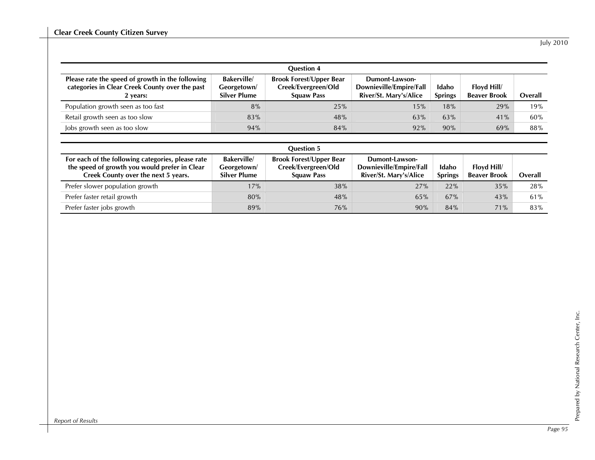| <b>Question 4</b>                                                                                              |                                                         |                                                                            |                                                                     |                         |                                    |         |  |  |
|----------------------------------------------------------------------------------------------------------------|---------------------------------------------------------|----------------------------------------------------------------------------|---------------------------------------------------------------------|-------------------------|------------------------------------|---------|--|--|
| Please rate the speed of growth in the following<br>categories in Clear Creek County over the past<br>2 years: | <b>Bakerville</b><br>Georgetown/<br><b>Silver Plume</b> | <b>Brook Forest/Upper Bear</b><br>Creek/Evergreen/Old<br><b>Squaw Pass</b> | Dumont-Lawson-<br>Downieville/Empire/Fall<br>River/St. Mary's/Alice | Idaho<br><b>Springs</b> | Floyd Hill/<br><b>Beaver Brook</b> | Overall |  |  |
| Population growth seen as too fast                                                                             | 8%                                                      | 25%                                                                        | 15%                                                                 | 18%                     | 29%                                | 19%     |  |  |
| Retail growth seen as too slow                                                                                 | 83%                                                     | 48%                                                                        | 63%                                                                 | 63%                     | 41%                                | 60%     |  |  |
| lobs growth seen as too slow                                                                                   | 94%                                                     | 84%                                                                        | 92%                                                                 | 90%                     | 69%                                | 88%     |  |  |
|                                                                                                                |                                                         |                                                                            |                                                                     |                         |                                    |         |  |  |
| <b>Ouestion 5</b>                                                                                              |                                                         |                                                                            |                                                                     |                         |                                    |         |  |  |

| For each of the following categories, please rate<br>the speed of growth you would prefer in Clear<br>Creek County over the next 5 years. | <b>Bakerville</b><br>Georgetown/<br><b>Silver Plume</b> | <b>Brook Forest/Upper Bear</b><br>Creek/Evergreen/Old<br><b>Squaw Pass</b> | Dumont-Lawson-<br>Downieville/Empire/Fall<br>River/St. Mary's/Alice | Idaho<br><b>Springs</b> | Floyd Hill/<br><b>Beaver Brook</b> | Overall |
|-------------------------------------------------------------------------------------------------------------------------------------------|---------------------------------------------------------|----------------------------------------------------------------------------|---------------------------------------------------------------------|-------------------------|------------------------------------|---------|
| Prefer slower population growth                                                                                                           | 17%                                                     | 38%                                                                        | 27%                                                                 | 22%                     | 35%                                | 28%     |
| Prefer faster retail growth                                                                                                               | 80%                                                     | 48%                                                                        | 65%                                                                 | 67%                     | 43%                                | 61%     |
| Prefer faster jobs growth                                                                                                                 | 89%                                                     | 76%                                                                        | 90%                                                                 | 84%                     | 71%                                | 83%     |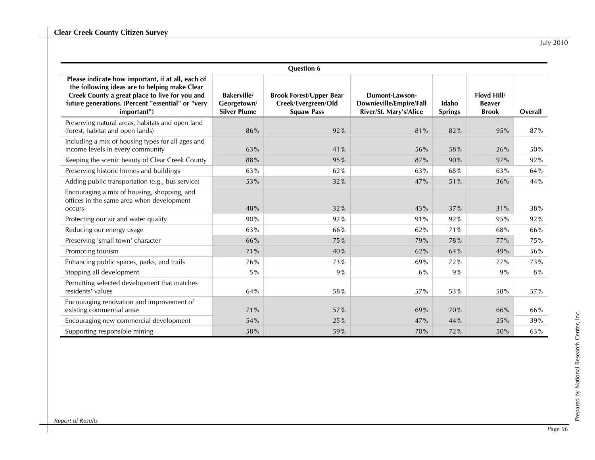|                                                                                                                                                                                                                          |                                                         | <b>Question 6</b>                                                          |                                                                            |                         |                                              |         |
|--------------------------------------------------------------------------------------------------------------------------------------------------------------------------------------------------------------------------|---------------------------------------------------------|----------------------------------------------------------------------------|----------------------------------------------------------------------------|-------------------------|----------------------------------------------|---------|
| Please indicate how important, if at all, each of<br>the following ideas are to helping make Clear<br>Creek County a great place to live for you and<br>future generations. (Percent "essential" or "very<br>important") | <b>Bakerville</b><br>Georgetown/<br><b>Silver Plume</b> | <b>Brook Forest/Upper Bear</b><br>Creek/Evergreen/Old<br><b>Squaw Pass</b> | <b>Dumont-Lawson-</b><br>Downieville/Empire/Fall<br>River/St. Mary's/Alice | Idaho<br><b>Springs</b> | Floyd Hill/<br><b>Beaver</b><br><b>Brook</b> | Overall |
| Preserving natural areas, habitats and open land<br>(forest, habitat and open lands)                                                                                                                                     | 86%                                                     | 92%                                                                        | 81%                                                                        | 82%                     | 95%                                          | 87%     |
| Including a mix of housing types for all ages and<br>income levels in every community                                                                                                                                    | 63%                                                     | 41%                                                                        | 56%                                                                        | 58%                     | 26%                                          | 50%     |
| Keeping the scenic beauty of Clear Creek County                                                                                                                                                                          | 88%                                                     | 95%                                                                        | 87%                                                                        | 90%                     | 97%                                          | 92%     |
| Preserving historic homes and buildings                                                                                                                                                                                  | 63%                                                     | 62%                                                                        | 63%                                                                        | 68%                     | 63%                                          | 64%     |
| Adding public transportation (e.g., bus service)                                                                                                                                                                         | 53%                                                     | 32%                                                                        | 47%                                                                        | 51%                     | 36%                                          | 44%     |
| Encouraging a mix of housing, shopping, and<br>offices in the same area when development<br>occurs                                                                                                                       | 48%                                                     | 32%                                                                        | 43%                                                                        | 37%                     | 31%                                          | 38%     |
| Protecting our air and water quality                                                                                                                                                                                     | 90%                                                     | 92%                                                                        | 91%                                                                        | 92%                     | 95%                                          | 92%     |
| Reducing our energy usage                                                                                                                                                                                                | 63%                                                     | 66%                                                                        | 62%                                                                        | 71%                     | 68%                                          | 66%     |
| Preserving 'small town' character                                                                                                                                                                                        | 66%                                                     | 75%                                                                        | 79%                                                                        | 78%                     | 77%                                          | 75%     |
| Promoting tourism                                                                                                                                                                                                        | 71%                                                     | 40%                                                                        | 62%                                                                        | 64%                     | 49%                                          | 56%     |
| Enhancing public spaces, parks, and trails                                                                                                                                                                               | 76%                                                     | 73%                                                                        | 69%                                                                        | 72%                     | 77%                                          | 73%     |
| Stopping all development                                                                                                                                                                                                 | 5%                                                      | 9%                                                                         | 6%                                                                         | 9%                      | 9%                                           | 8%      |
| Permitting selected development that matches<br>residents' values                                                                                                                                                        | 64%                                                     | 58%                                                                        | 57%                                                                        | 53%                     | 58%                                          | 57%     |
| Encouraging renovation and improvement of<br>existing commercial areas                                                                                                                                                   | 71%                                                     | 57%                                                                        | 69%                                                                        | 70%                     | 66%                                          | 66%     |
| Encouraging new commercial development                                                                                                                                                                                   | 54%                                                     | 25%                                                                        | 47%                                                                        | 44%                     | 25%                                          | 39%     |
| Supporting responsible mining                                                                                                                                                                                            | 58%                                                     | 59%                                                                        | 70%                                                                        | 72%                     | 50%                                          | 63%     |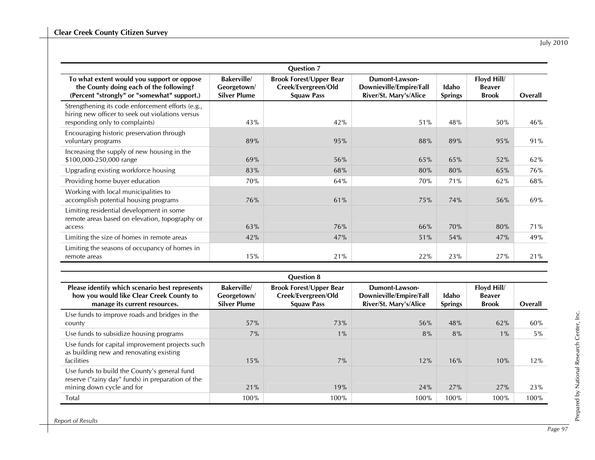|                                                                                                                                         |                                                         | <b>Question 7</b>                                                          |                                                                     |                         |                                              |         |
|-----------------------------------------------------------------------------------------------------------------------------------------|---------------------------------------------------------|----------------------------------------------------------------------------|---------------------------------------------------------------------|-------------------------|----------------------------------------------|---------|
| To what extent would you support or oppose<br>the County doing each of the following?<br>(Percent "strongly" or "somewhat" support.)    | <b>Bakerville</b><br>Georgetown/<br><b>Silver Plume</b> | <b>Brook Forest/Upper Bear</b><br>Creek/Evergreen/Old<br><b>Squaw Pass</b> | Dumont-Lawson-<br>Downieville/Empire/Fall<br>River/St. Mary's/Alice | Idaho<br><b>Springs</b> | Floyd Hill/<br><b>Beaver</b><br><b>Brook</b> | Overall |
| Strengthening its code enforcement efforts (e.g.,<br>hiring new officer to seek out violations versus<br>responding only to complaints) | 43%                                                     | 42%                                                                        | 51%                                                                 | 48%                     | 50%                                          | 46%     |
| Encouraging historic preservation through<br>voluntary programs                                                                         | 89%                                                     | 95%                                                                        | 88%                                                                 | 89%                     | 95%                                          | 91%     |
| Increasing the supply of new housing in the<br>\$100,000-250,000 range                                                                  | 69%                                                     | 56%                                                                        | 65%                                                                 | 65%                     | 52%                                          | 62%     |
| Upgrading existing workforce housing                                                                                                    | 83%                                                     | 68%                                                                        | 80%                                                                 | 80%                     | 65%                                          | 76%     |
| Providing home buyer education                                                                                                          | <b>70%</b>                                              | 64%                                                                        | 70%                                                                 | 71%                     | 62%                                          | 68%     |
| Working with local municipalities to<br>accomplish potential housing programs                                                           | 76%                                                     | 61%                                                                        | 75%                                                                 | 74%                     | 56%                                          | 69%     |
| Limiting residential development in some<br>remote areas based on elevation, topography or                                              |                                                         |                                                                            |                                                                     |                         |                                              |         |
| access                                                                                                                                  | 63%                                                     | 76%                                                                        | 66%                                                                 | 70%                     | 80%                                          | 71%     |
| Limiting the size of homes in remote areas                                                                                              | 42%                                                     | 47%                                                                        | 51%                                                                 | 54%                     | 47%                                          | 49%     |
| Limiting the seasons of occupancy of homes in<br>remote areas                                                                           | 15%                                                     | 21%                                                                        | 22%                                                                 | 23%                     | 27%                                          | 21%     |

| <b>Ouestion 8</b>                                                                                                              |                                                         |                                                                            |                                                                     |                         |                                              |         |  |
|--------------------------------------------------------------------------------------------------------------------------------|---------------------------------------------------------|----------------------------------------------------------------------------|---------------------------------------------------------------------|-------------------------|----------------------------------------------|---------|--|
| Please identify which scenario best represents<br>how you would like Clear Creek County to<br>manage its current resources.    | <b>Bakerville</b><br>Georgetown/<br><b>Silver Plume</b> | <b>Brook Forest/Upper Bear</b><br>Creek/Evergreen/Old<br><b>Squaw Pass</b> | Dumont-Lawson-<br>Downieville/Empire/Fall<br>River/St. Mary's/Alice | Idaho<br><b>Springs</b> | Floyd Hill/<br><b>Beaver</b><br><b>Brook</b> | Overall |  |
| Use funds to improve roads and bridges in the<br>county                                                                        | 57%                                                     | 73%                                                                        | 56%                                                                 | 48%                     | 62%                                          | 60%     |  |
| Use funds to subsidize housing programs                                                                                        | $7\%$                                                   | $1\%$                                                                      | 8%                                                                  | 8%                      | $1\%$                                        | $5\%$   |  |
| Use funds for capital improvement projects such<br>as building new and renovating existing<br>facilities                       | 15%                                                     | 7%                                                                         | 12%                                                                 | 16%                     | 10%                                          | 12%     |  |
| Use funds to build the County's general fund<br>reserve ("rainy day" funds) in preparation of the<br>mining down cycle and for | 21%                                                     | 19%                                                                        | 24%                                                                 | 27%                     | 27%                                          | 23%     |  |
| Total                                                                                                                          | 100%                                                    | 100%                                                                       | 100%                                                                | 100%                    | 100%                                         | 100%    |  |

Prepared by National Research Center, Inc.

Prepared by National Research Center, Inc.

*Report of Results*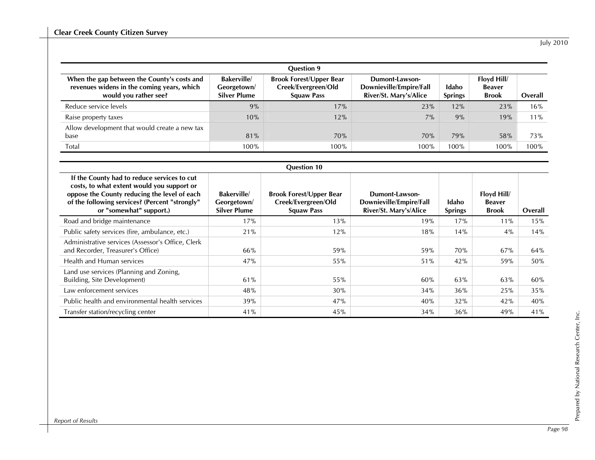| <b>Ouestion 9</b>                                                                                                  |                                                         |                                                                            |                                                                     |                         |                                              |         |  |
|--------------------------------------------------------------------------------------------------------------------|---------------------------------------------------------|----------------------------------------------------------------------------|---------------------------------------------------------------------|-------------------------|----------------------------------------------|---------|--|
| When the gap between the County's costs and<br>revenues widens in the coming years, which<br>would you rather see? | <b>Bakerville</b><br>Georgetown/<br><b>Silver Plume</b> | <b>Brook Forest/Upper Bear</b><br>Creek/Evergreen/Old<br><b>Squaw Pass</b> | Dumont-Lawson-<br>Downieville/Empire/Fall<br>River/St. Mary's/Alice | Idaho<br><b>Springs</b> | Floyd Hill/<br><b>Beaver</b><br><b>Brook</b> | Overall |  |
| Reduce service levels                                                                                              | 9%                                                      | 17%                                                                        | 23%                                                                 | 12%                     | 23%                                          | 16%     |  |
| Raise property taxes                                                                                               | 10%                                                     | 12%                                                                        | 7%                                                                  | 9%                      | 19%                                          | $11\%$  |  |
| Allow development that would create a new tax<br>base                                                              | 81%                                                     | 70%                                                                        | 70%                                                                 | 79%                     | 58%                                          | 73%     |  |
| Total                                                                                                              | 100%                                                    | 100%                                                                       | 100%                                                                | 100%                    | 100%                                         | 100%    |  |

|                                                                                                                                                                                                                        | <b>Question 10</b>                                      |                                                                            |                                                                     |                         |                                              |         |  |  |  |  |
|------------------------------------------------------------------------------------------------------------------------------------------------------------------------------------------------------------------------|---------------------------------------------------------|----------------------------------------------------------------------------|---------------------------------------------------------------------|-------------------------|----------------------------------------------|---------|--|--|--|--|
| If the County had to reduce services to cut<br>costs, to what extent would you support or<br>oppose the County reducing the level of each<br>of the following services? (Percent "strongly"<br>or "somewhat" support.) | <b>Bakerville</b><br>Georgetown/<br><b>Silver Plume</b> | <b>Brook Forest/Upper Bear</b><br>Creek/Evergreen/Old<br><b>Squaw Pass</b> | Dumont-Lawson-<br>Downieville/Empire/Fall<br>River/St. Mary's/Alice | Idaho<br><b>Springs</b> | Floyd Hill/<br><b>Beaver</b><br><b>Brook</b> | Overall |  |  |  |  |
| Road and bridge maintenance                                                                                                                                                                                            | 17%                                                     | 13%                                                                        | 19%                                                                 | 17%                     | 11%                                          | 15%     |  |  |  |  |
| Public safety services (fire, ambulance, etc.)                                                                                                                                                                         | 21%                                                     | 12%                                                                        | 18%                                                                 | 14%                     | 4%                                           | 14%     |  |  |  |  |
| Administrative services (Assessor's Office, Clerk<br>and Recorder, Treasurer's Office)                                                                                                                                 | 66%                                                     | 59%                                                                        | 59%                                                                 | 70%                     | 67%                                          | 64%     |  |  |  |  |
| Health and Human services                                                                                                                                                                                              | 47%                                                     | 55%                                                                        | 51%                                                                 | 42%                     | 59%                                          | 50%     |  |  |  |  |
| Land use services (Planning and Zoning,<br>Building, Site Development)                                                                                                                                                 | 61%                                                     | 55%                                                                        | 60%                                                                 | 63%                     | 63%                                          | 60%     |  |  |  |  |
| Law enforcement services                                                                                                                                                                                               | 48%                                                     | 30%                                                                        | 34%                                                                 | 36%                     | 25%                                          | 35%     |  |  |  |  |
| Public health and environmental health services                                                                                                                                                                        | 39%                                                     | 47%                                                                        | 40%                                                                 | 32%                     | 42%                                          | 40%     |  |  |  |  |
| Transfer station/recycling center                                                                                                                                                                                      | 41%                                                     | 45%                                                                        | 34%                                                                 | 36%                     | 49%                                          | 41%     |  |  |  |  |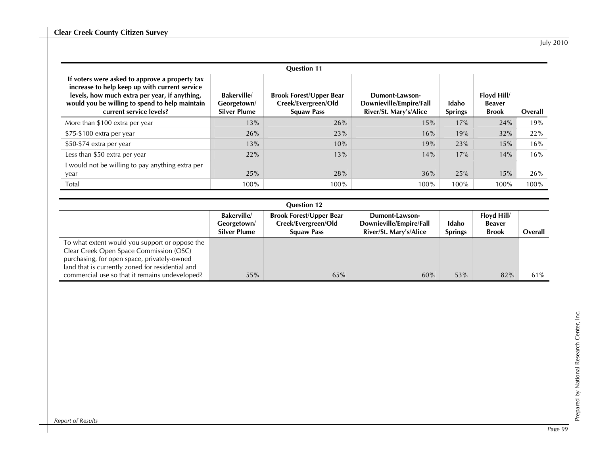|                                                                                                                                                                                                                               |                                                         | <b>Question 11</b>                                                         |                                                                     |                         |                                              |         |
|-------------------------------------------------------------------------------------------------------------------------------------------------------------------------------------------------------------------------------|---------------------------------------------------------|----------------------------------------------------------------------------|---------------------------------------------------------------------|-------------------------|----------------------------------------------|---------|
| If voters were asked to approve a property tax<br>increase to help keep up with current service<br>levels, how much extra per year, if anything,<br>would you be willing to spend to help maintain<br>current service levels? | <b>Bakerville</b><br>Georgetown/<br><b>Silver Plume</b> | <b>Brook Forest/Upper Bear</b><br>Creek/Evergreen/Old<br><b>Squaw Pass</b> | Dumont-Lawson-<br>Downieville/Empire/Fall<br>River/St. Mary's/Alice | Idaho<br><b>Springs</b> | Floyd Hill/<br><b>Beaver</b><br><b>Brook</b> | Overall |
| More than \$100 extra per year                                                                                                                                                                                                | 13%                                                     | 26%                                                                        | 15%                                                                 | 17%                     | 24%                                          | 19%     |
| \$75-\$100 extra per year                                                                                                                                                                                                     | 26%                                                     | 23%                                                                        | 16%                                                                 | 19%                     | 32%                                          | 22%     |
| \$50-\$74 extra per year                                                                                                                                                                                                      | 13%                                                     | 10%                                                                        | 19%                                                                 | 23%                     | 15%                                          | 16%     |
| Less than \$50 extra per year                                                                                                                                                                                                 | 22%                                                     | 13%                                                                        | 14%                                                                 | 17%                     | 14%                                          | 16%     |
| I would not be willing to pay anything extra per<br>year                                                                                                                                                                      | 25%                                                     | 28%                                                                        | 36%                                                                 | 25%                     | 15%                                          | 26%     |
| Total                                                                                                                                                                                                                         | 100%                                                    | 100%                                                                       | 100%                                                                | 100%                    | 100%                                         | 100%    |

| <b>Question 12</b>                                                                                                                                                                           |                                                         |                                                                            |                                                                     |                         |                                              |         |  |  |
|----------------------------------------------------------------------------------------------------------------------------------------------------------------------------------------------|---------------------------------------------------------|----------------------------------------------------------------------------|---------------------------------------------------------------------|-------------------------|----------------------------------------------|---------|--|--|
|                                                                                                                                                                                              | <b>Bakerville</b><br>Georgetown/<br><b>Silver Plume</b> | <b>Brook Forest/Upper Bear</b><br>Creek/Evergreen/Old<br><b>Squaw Pass</b> | Dumont-Lawson-<br>Downieville/Empire/Fall<br>River/St. Mary's/Alice | Idaho<br><b>Springs</b> | Floyd Hill/<br><b>Beaver</b><br><b>Brook</b> | Overall |  |  |
| To what extent would you support or oppose the<br>Clear Creek Open Space Commission (OSC)<br>purchasing, for open space, privately-owned<br>land that is currently zoned for residential and |                                                         |                                                                            |                                                                     |                         |                                              |         |  |  |
| commercial use so that it remains undeveloped?                                                                                                                                               | 55%                                                     | 65%                                                                        | 60%                                                                 | 53%                     | 82%                                          | 61%     |  |  |

*Report of Results*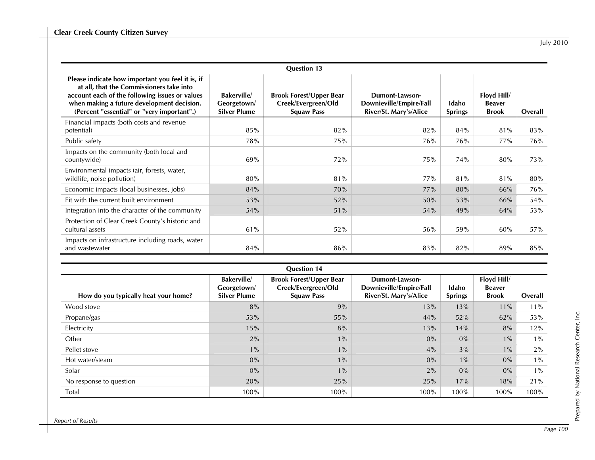|                                                                                                                                                                                                                                            |                                                         | <b>Question 13</b>                                                         |                                                                     |                         |                                              |         |
|--------------------------------------------------------------------------------------------------------------------------------------------------------------------------------------------------------------------------------------------|---------------------------------------------------------|----------------------------------------------------------------------------|---------------------------------------------------------------------|-------------------------|----------------------------------------------|---------|
| Please indicate how important you feel it is, if<br>at all, that the Commissioners take into<br>account each of the following issues or values<br>when making a future development decision.<br>(Percent "essential" or "very important".) | <b>Bakerville</b><br>Georgetown/<br><b>Silver Plume</b> | <b>Brook Forest/Upper Bear</b><br>Creek/Evergreen/Old<br><b>Squaw Pass</b> | Dumont-Lawson-<br>Downieville/Empire/Fall<br>River/St. Mary's/Alice | Idaho<br><b>Springs</b> | Floyd Hill/<br><b>Beaver</b><br><b>Brook</b> | Overall |
| Financial impacts (both costs and revenue<br>potential)                                                                                                                                                                                    | 85%                                                     | 82%                                                                        | 82%                                                                 | 84%                     | 81%                                          | 83%     |
| Public safety                                                                                                                                                                                                                              | 78%                                                     | 75%                                                                        | 76%                                                                 | 76%                     | 77%                                          | 76%     |
| Impacts on the community (both local and<br>countywide)                                                                                                                                                                                    | 69%                                                     | 72%                                                                        | 75%                                                                 | 74%                     | 80%                                          | 73%     |
| Environmental impacts (air, forests, water,<br>wildlife, noise pollution)                                                                                                                                                                  | 80%                                                     | 81%                                                                        | 77%                                                                 | 81%                     | 81%                                          | 80%     |
| Economic impacts (local businesses, jobs)                                                                                                                                                                                                  | 84%                                                     | 70%                                                                        | 77%                                                                 | 80%                     | 66%                                          | 76%     |
| Fit with the current built environment                                                                                                                                                                                                     | 53%                                                     | 52%                                                                        | 50%                                                                 | 53%                     | 66%                                          | 54%     |
| Integration into the character of the community                                                                                                                                                                                            | 54%                                                     | 51%                                                                        | 54%                                                                 | 49%                     | 64%                                          | 53%     |
| Protection of Clear Creek County's historic and<br>cultural assets                                                                                                                                                                         | 61%                                                     | 52%                                                                        | 56%                                                                 | 59%                     | 60%                                          | 57%     |
| Impacts on infrastructure including roads, water<br>and wastewater                                                                                                                                                                         | 84%                                                     | 86%                                                                        | 83%                                                                 | 82%                     | 89%                                          | 85%     |

| <b>Question 14</b>                   |                                                         |                                                                            |                                                                     |                         |                                              |         |  |  |  |
|--------------------------------------|---------------------------------------------------------|----------------------------------------------------------------------------|---------------------------------------------------------------------|-------------------------|----------------------------------------------|---------|--|--|--|
| How do you typically heat your home? | <b>Bakerville</b><br>Georgetown/<br><b>Silver Plume</b> | <b>Brook Forest/Upper Bear</b><br>Creek/Evergreen/Old<br><b>Squaw Pass</b> | Dumont-Lawson-<br>Downieville/Empire/Fall<br>River/St. Mary's/Alice | Idaho<br><b>Springs</b> | Floyd Hill/<br><b>Beaver</b><br><b>Brook</b> | Overall |  |  |  |
| Wood stove                           | 8%                                                      | 9%                                                                         | 13%                                                                 | 13%                     | 11%                                          | $11\%$  |  |  |  |
| Propane/gas                          | 53%                                                     | 55%                                                                        | 44%                                                                 | 52%                     | 62%                                          | 53%     |  |  |  |
| Electricity                          | 15%                                                     | 8%                                                                         | 13%                                                                 | 14%                     | 8%                                           | 12%     |  |  |  |
| Other                                | 2%                                                      | $1\%$                                                                      | $0\%$                                                               | $0\%$                   | $1\%$                                        | $1\%$   |  |  |  |
| Pellet stove                         | $1\%$                                                   | $1\%$                                                                      | 4%                                                                  | 3%                      | $1\%$                                        | 2%      |  |  |  |
| Hot water/steam                      | $0\%$                                                   | $1\%$                                                                      | $0\%$                                                               | $1\%$                   | 0%                                           | $1\%$   |  |  |  |
| Solar                                | $0\%$                                                   | $1\%$                                                                      | 2%                                                                  | $0\%$                   | 0%                                           | $1\%$   |  |  |  |
| No response to question              | 20%                                                     | 25%                                                                        | 25%                                                                 | 17%                     | 18%                                          | 21%     |  |  |  |
| Total                                | 100%                                                    | 100%                                                                       | 100%                                                                | 100%                    | 100%                                         | 100%    |  |  |  |

Prepared by National Research Center, Inc.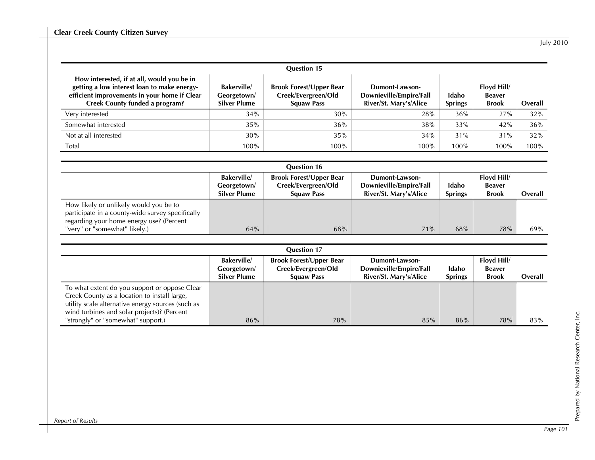| <b>Question 15</b>                                                                                                                                                          |                                                         |                                                                            |                                                                     |                         |                                              |         |  |  |  |
|-----------------------------------------------------------------------------------------------------------------------------------------------------------------------------|---------------------------------------------------------|----------------------------------------------------------------------------|---------------------------------------------------------------------|-------------------------|----------------------------------------------|---------|--|--|--|
| How interested, if at all, would you be in<br>getting a low interest loan to make energy-<br>efficient improvements in your home if Clear<br>Creek County funded a program? | <b>Bakerville</b><br>Georgetown/<br><b>Silver Plume</b> | <b>Brook Forest/Upper Bear</b><br>Creek/Evergreen/Old<br><b>Squaw Pass</b> | Dumont-Lawson-<br>Downieville/Empire/Fall<br>River/St. Mary's/Alice | Idaho<br><b>Springs</b> | Floyd Hill/<br><b>Beaver</b><br><b>Brook</b> | Overall |  |  |  |
| Very interested                                                                                                                                                             | 34%                                                     | 30%                                                                        | 28%                                                                 | 36%                     | 27%                                          | 32%     |  |  |  |
| Somewhat interested                                                                                                                                                         | 35%                                                     | 36%                                                                        | 38%                                                                 | 33%                     | 42%                                          | 36%     |  |  |  |
| Not at all interested                                                                                                                                                       | 30%                                                     | 35%                                                                        | 34%                                                                 | 31%                     | 31%                                          | 32%     |  |  |  |
| Total                                                                                                                                                                       | 100%                                                    | 100%                                                                       | 100%                                                                | 100%                    | 100%                                         | 100%    |  |  |  |

| <b>Question 16</b>                                                                                                                     |                                                         |                                                                            |                                                                     |                         |                                              |         |  |
|----------------------------------------------------------------------------------------------------------------------------------------|---------------------------------------------------------|----------------------------------------------------------------------------|---------------------------------------------------------------------|-------------------------|----------------------------------------------|---------|--|
|                                                                                                                                        | <b>Bakerville</b><br>Georgetown/<br><b>Silver Plume</b> | <b>Brook Forest/Upper Bear</b><br>Creek/Evergreen/Old<br><b>Squaw Pass</b> | Dumont-Lawson-<br>Downieville/Empire/Fall<br>River/St. Mary's/Alice | Idaho<br><b>Springs</b> | Floyd Hill/<br><b>Beaver</b><br><b>Brook</b> | Overall |  |
| How likely or unlikely would you be to<br>participate in a county-wide survey specifically<br>regarding your home energy use? (Percent |                                                         |                                                                            |                                                                     |                         |                                              |         |  |
| "very" or "somewhat" likely.)                                                                                                          | 64%                                                     | 68%                                                                        | 71%                                                                 | 68%                     | 78%                                          | $69\%$  |  |

| <b>Question 17</b>                                                                                                                                                                                                                      |                                                         |                                                                            |                                                                     |                         |                                              |         |  |  |
|-----------------------------------------------------------------------------------------------------------------------------------------------------------------------------------------------------------------------------------------|---------------------------------------------------------|----------------------------------------------------------------------------|---------------------------------------------------------------------|-------------------------|----------------------------------------------|---------|--|--|
|                                                                                                                                                                                                                                         | <b>Bakerville</b><br>Georgetown/<br><b>Silver Plume</b> | <b>Brook Forest/Upper Bear</b><br>Creek/Evergreen/Old<br><b>Squaw Pass</b> | Dumont-Lawson-<br>Downieville/Empire/Fall<br>River/St. Mary's/Alice | Idaho<br><b>Springs</b> | Floyd Hill/<br><b>Beaver</b><br><b>Brook</b> | Overall |  |  |
| To what extent do you support or oppose Clear<br>Creek County as a location to install large,<br>utility scale alternative energy sources (such as<br>wind turbines and solar projects)? (Percent<br>"strongly" or "somewhat" support.) | 86%                                                     | 78%                                                                        | 85%                                                                 | 86%                     | 78%                                          | 83%     |  |  |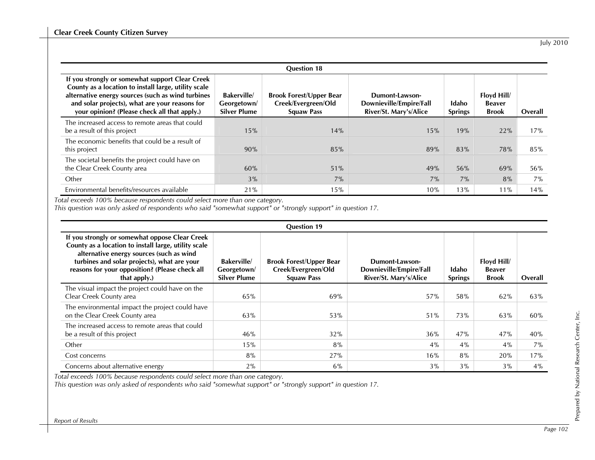|                                                                                                                                                                                                                                                                | <b>Question 18</b>                                      |                                                                            |                                                                     |                         |                                              |         |  |  |  |
|----------------------------------------------------------------------------------------------------------------------------------------------------------------------------------------------------------------------------------------------------------------|---------------------------------------------------------|----------------------------------------------------------------------------|---------------------------------------------------------------------|-------------------------|----------------------------------------------|---------|--|--|--|
| If you strongly or somewhat support Clear Creek<br>County as a location to install large, utility scale<br>alternative energy sources (such as wind turbines<br>and solar projects), what are your reasons for<br>your opinion? (Please check all that apply.) | <b>Bakerville</b><br>Georgetown/<br><b>Silver Plume</b> | <b>Brook Forest/Upper Bear</b><br>Creek/Evergreen/Old<br><b>Squaw Pass</b> | Dumont-Lawson-<br>Downieville/Empire/Fall<br>River/St. Mary's/Alice | Idaho<br><b>Springs</b> | Floyd Hill/<br><b>Beaver</b><br><b>Brook</b> | Overall |  |  |  |
| The increased access to remote areas that could<br>be a result of this project                                                                                                                                                                                 | 15%                                                     | 14%                                                                        | 15%                                                                 | 19%                     | 22%                                          | 17%     |  |  |  |
| The economic benefits that could be a result of<br>this project                                                                                                                                                                                                | 90%                                                     | 85%                                                                        | 89%                                                                 | 83%                     | 78%                                          | 85%     |  |  |  |
| The societal benefits the project could have on<br>the Clear Creek County area                                                                                                                                                                                 | 60%                                                     | 51%                                                                        | 49%                                                                 | 56%                     | 69%                                          | 56%     |  |  |  |
| Other                                                                                                                                                                                                                                                          | 3%                                                      | 7%                                                                         | 7%                                                                  | 7%                      | 8%                                           | $7\%$   |  |  |  |
| Environmental benefits/resources available                                                                                                                                                                                                                     | 21%                                                     | 15%                                                                        | 10%                                                                 | 13%                     | 11%                                          | 14%     |  |  |  |

*Total exceeds 100% because respondents could select more than one category.* 

*This question was only asked of respondents who said "somewhat support" or "strongly support" in question 17.* 

| <b>Question 19</b>                                                                                                                                                                                                                                                  |                                                         |                                                                            |                                                                     |                         |                                       |         |  |  |
|---------------------------------------------------------------------------------------------------------------------------------------------------------------------------------------------------------------------------------------------------------------------|---------------------------------------------------------|----------------------------------------------------------------------------|---------------------------------------------------------------------|-------------------------|---------------------------------------|---------|--|--|
| If you strongly or somewhat oppose Clear Creek<br>County as a location to install large, utility scale<br>alternative energy sources (such as wind<br>turbines and solar projects), what are your<br>reasons for your opposition? (Please check all<br>that apply.) | <b>Bakerville</b><br>Georgetown/<br><b>Silver Plume</b> | <b>Brook Forest/Upper Bear</b><br>Creek/Evergreen/Old<br><b>Squaw Pass</b> | Dumont-Lawson-<br>Downieville/Empire/Fall<br>River/St. Mary's/Alice | Idaho<br><b>Springs</b> | Floyd Hill/<br>Beaver<br><b>Brook</b> | Overall |  |  |
| The visual impact the project could have on the<br>Clear Creek County area                                                                                                                                                                                          | 65%                                                     | 69%                                                                        | 57%                                                                 | 58%                     | 62%                                   | 63%     |  |  |
| The environmental impact the project could have<br>on the Clear Creek County area                                                                                                                                                                                   | 63%                                                     | 53%                                                                        | 51%                                                                 | 73%                     | 63%                                   | 60%     |  |  |
| The increased access to remote areas that could<br>be a result of this project                                                                                                                                                                                      | 46%                                                     | 32%                                                                        | 36%                                                                 | 47%                     | 47%                                   | 40%     |  |  |
| Other                                                                                                                                                                                                                                                               | 15%                                                     | 8%                                                                         | 4%                                                                  | 4%                      | 4%                                    | $7\%$   |  |  |
| Cost concerns                                                                                                                                                                                                                                                       | 8%                                                      | 27%                                                                        | 16%                                                                 | 8%                      | 20%                                   | 17%     |  |  |
| Concerns about alternative energy                                                                                                                                                                                                                                   | 2%                                                      | $6\%$                                                                      | 3%                                                                  | 3%                      | 3%                                    | $4\%$   |  |  |

*Total exceeds 100% because respondents could select more than one category.* 

*This question was only asked of respondents who said "somewhat support" or "strongly support" in question 17.*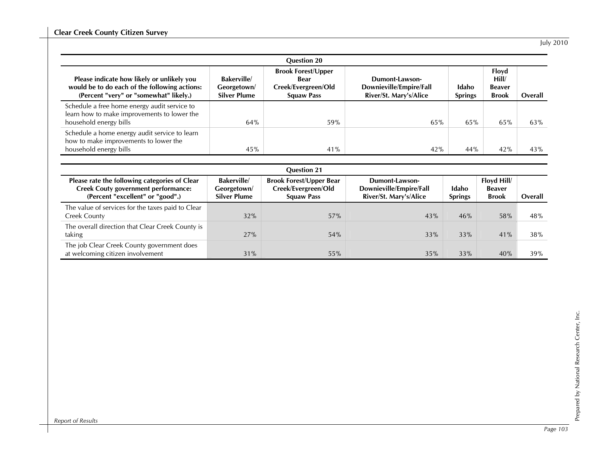| <b>Question 20</b>                                                                                                                    |                                                         |                                                                               |                                                                     |                         |                                                 |         |  |  |  |
|---------------------------------------------------------------------------------------------------------------------------------------|---------------------------------------------------------|-------------------------------------------------------------------------------|---------------------------------------------------------------------|-------------------------|-------------------------------------------------|---------|--|--|--|
| Please indicate how likely or unlikely you<br>would be to do each of the following actions:<br>(Percent "very" or "somewhat" likely.) | <b>Bakerville</b><br>Georgetown/<br><b>Silver Plume</b> | <b>Brook Forest/Upper</b><br>Bear<br>Creek/Evergreen/Old<br><b>Squaw Pass</b> | Dumont-Lawson-<br>Downieville/Empire/Fall<br>River/St. Mary's/Alice | Idaho<br><b>Springs</b> | Floyd<br>Hill/<br><b>Beaver</b><br><b>Brook</b> | Overall |  |  |  |
| Schedule a free home energy audit service to<br>learn how to make improvements to lower the<br>household energy bills                 | 64%                                                     | 59%                                                                           | 65%                                                                 | 65%                     | 65%                                             | 63%     |  |  |  |
| Schedule a home energy audit service to learn<br>how to make improvements to lower the<br>household energy bills                      | 45%                                                     | 41%                                                                           | 42%                                                                 | 44%                     | 42%                                             | 43%     |  |  |  |

| <b>Ouestion 21</b>                                                                                                              |                                                         |                                                                            |                                                                     |                         |                                             |         |  |  |
|---------------------------------------------------------------------------------------------------------------------------------|---------------------------------------------------------|----------------------------------------------------------------------------|---------------------------------------------------------------------|-------------------------|---------------------------------------------|---------|--|--|
| Please rate the following categories of Clear<br><b>Creek Couty government performance:</b><br>(Percent "excellent" or "good".) | <b>Bakerville</b><br>Georgetown/<br><b>Silver Plume</b> | <b>Brook Forest/Upper Bear</b><br>Creek/Evergreen/Old<br><b>Squaw Pass</b> | Dumont-Lawson-<br>Downieville/Empire/Fall<br>River/St. Mary's/Alice | Idaho<br><b>Springs</b> | Floyd Hill<br><b>Beaver</b><br><b>Brook</b> | Overall |  |  |
| The value of services for the taxes paid to Clear<br>Creek County                                                               | 32%                                                     | 57%                                                                        | 43%                                                                 | 46%                     | 58%                                         | 48%     |  |  |
| The overall direction that Clear Creek County is<br>taking                                                                      | 27%                                                     | 54%                                                                        | 33%                                                                 | 33%                     | 41%                                         | 38%     |  |  |
| The job Clear Creek County government does<br>at welcoming citizen involvement                                                  | 31%                                                     | 55%                                                                        | 35%                                                                 | 33%                     | 40%                                         | 39%     |  |  |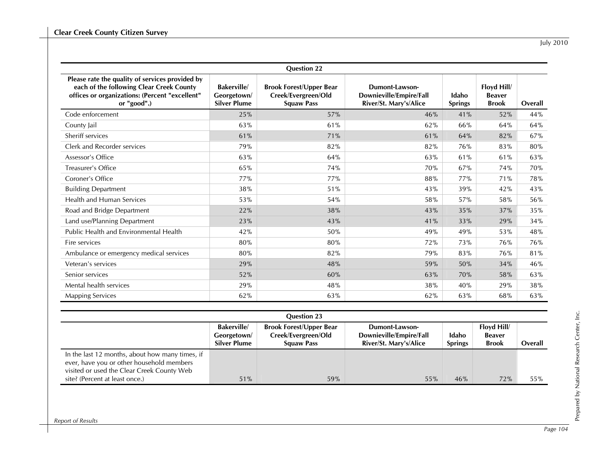|                                                                                                                                                              |                                                         | <b>Question 22</b>                                                         |                                                                     |                         |                                              |         |
|--------------------------------------------------------------------------------------------------------------------------------------------------------------|---------------------------------------------------------|----------------------------------------------------------------------------|---------------------------------------------------------------------|-------------------------|----------------------------------------------|---------|
| Please rate the quality of services provided by<br>each of the following Clear Creek County<br>offices or organizations: (Percent "excellent"<br>or "good".) | <b>Bakerville</b><br>Georgetown/<br><b>Silver Plume</b> | <b>Brook Forest/Upper Bear</b><br>Creek/Evergreen/Old<br><b>Squaw Pass</b> | Dumont-Lawson-<br>Downieville/Empire/Fall<br>River/St. Mary's/Alice | Idaho<br><b>Springs</b> | Floyd Hill/<br><b>Beaver</b><br><b>Brook</b> | Overall |
| Code enforcement                                                                                                                                             | 25%                                                     | 57%                                                                        | 46%                                                                 | 41%                     | 52%                                          | 44%     |
| County Jail                                                                                                                                                  | 63%                                                     | 61%                                                                        | 62%                                                                 | 66%                     | 64%                                          | 64%     |
| Sheriff services                                                                                                                                             | 61%                                                     | 71%                                                                        | 61%                                                                 | 64%                     | 82%                                          | 67%     |
| Clerk and Recorder services                                                                                                                                  | 79%                                                     | 82%                                                                        | 82%                                                                 | 76%                     | 83%                                          | 80%     |
| Assessor's Office                                                                                                                                            | 63%                                                     | 64%                                                                        | 63%                                                                 | 61%                     | 61%                                          | 63%     |
| Treasurer's Office                                                                                                                                           | 65%                                                     | 74%                                                                        | 70%                                                                 | 67%                     | 74%                                          | 70%     |
| Coroner's Office                                                                                                                                             | 77%                                                     | 77%                                                                        | 88%                                                                 | 77%                     | 71%                                          | 78%     |
| <b>Building Department</b>                                                                                                                                   | 38%                                                     | 51%                                                                        | 43%                                                                 | 39%                     | 42%                                          | 43%     |
| <b>Health and Human Services</b>                                                                                                                             | 53%                                                     | 54%                                                                        | 58%                                                                 | 57%                     | 58%                                          | 56%     |
| Road and Bridge Department                                                                                                                                   | 22%                                                     | 38%                                                                        | 43%                                                                 | 35%                     | 37%                                          | 35%     |
| Land use/Planning Department                                                                                                                                 | 23%                                                     | 43%                                                                        | 41%                                                                 | 33%                     | 29%                                          | 34%     |
| Public Health and Environmental Health                                                                                                                       | 42%                                                     | 50%                                                                        | 49%                                                                 | 49%                     | 53%                                          | 48%     |
| Fire services                                                                                                                                                | 80%                                                     | 80%                                                                        | 72%                                                                 | 73%                     | 76%                                          | 76%     |
| Ambulance or emergency medical services                                                                                                                      | 80%                                                     | 82%                                                                        | 79%                                                                 | 83%                     | 76%                                          | 81%     |
| Veteran's services                                                                                                                                           | 29%                                                     | 48%                                                                        | 59%                                                                 | 50%                     | 34%                                          | 46%     |
| Senior services                                                                                                                                              | 52%                                                     | 60%                                                                        | 63%                                                                 | 70%                     | 58%                                          | 63%     |
| Mental health services                                                                                                                                       | 29%                                                     | 48%                                                                        | 38%                                                                 | 40%                     | 29%                                          | 38%     |
| <b>Mapping Services</b>                                                                                                                                      | 62%                                                     | 63%                                                                        | 62%                                                                 | 63%                     | 68%                                          | 63%     |

| <b>Question 23</b>                                                                                                                         |                                                  |                                                                            |                                                                     |                         |                                              |         |  |
|--------------------------------------------------------------------------------------------------------------------------------------------|--------------------------------------------------|----------------------------------------------------------------------------|---------------------------------------------------------------------|-------------------------|----------------------------------------------|---------|--|
|                                                                                                                                            | <b>Bakerville</b><br>Georgetown/<br>Silver Plume | <b>Brook Forest/Upper Bear</b><br>Creek/Evergreen/Old<br><b>Squaw Pass</b> | Dumont-Lawson-<br>Downieville/Empire/Fall<br>River/St. Mary's/Alice | Idaho<br><b>Springs</b> | Floyd Hill/<br><b>Beaver</b><br><b>Brook</b> | Overall |  |
| In the last 12 months, about how many times, if<br>ever, have you or other household members<br>visited or used the Clear Creek County Web |                                                  |                                                                            |                                                                     |                         |                                              |         |  |
| site? (Percent at least once.)                                                                                                             | 51%                                              | 59%                                                                        | 55%                                                                 | 46%                     | 72%                                          | 55%     |  |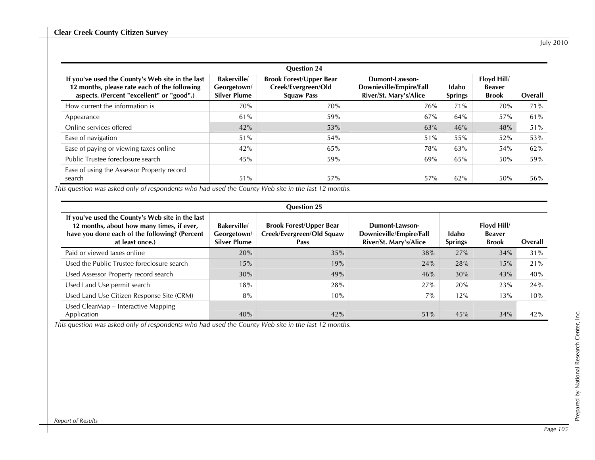| <b>Question 24</b>                                                                                                                            |                                                         |                                                                            |                                                                     |                         |                                              |         |  |  |  |
|-----------------------------------------------------------------------------------------------------------------------------------------------|---------------------------------------------------------|----------------------------------------------------------------------------|---------------------------------------------------------------------|-------------------------|----------------------------------------------|---------|--|--|--|
| If you've used the County's Web site in the last<br>12 months, please rate each of the following<br>aspects. (Percent "excellent" or "good".) | <b>Bakerville</b><br>Georgetown/<br><b>Silver Plume</b> | <b>Brook Forest/Upper Bear</b><br>Creek/Evergreen/Old<br><b>Squaw Pass</b> | Dumont-Lawson-<br>Downieville/Empire/Fall<br>River/St. Mary's/Alice | Idaho<br><b>Springs</b> | Floyd Hill/<br><b>Beaver</b><br><b>Brook</b> | Overall |  |  |  |
| How current the information is                                                                                                                | 70%                                                     | 70%                                                                        | 76%                                                                 | 71%                     | 70%                                          | 71%     |  |  |  |
| Appearance                                                                                                                                    | 61%                                                     | 59%                                                                        | 67%                                                                 | 64%                     | 57%                                          | 61%     |  |  |  |
| Online services offered                                                                                                                       | 42%                                                     | 53%                                                                        | 63%                                                                 | 46%                     | 48%                                          | 51%     |  |  |  |
| Ease of navigation                                                                                                                            | 51%                                                     | 54%                                                                        | 51%                                                                 | 55%                     | 52%                                          | 53%     |  |  |  |
| Ease of paying or viewing taxes online                                                                                                        | 42%                                                     | 65%                                                                        | <b>78%</b>                                                          | 63%                     | 54%                                          | 62%     |  |  |  |
| Public Trustee foreclosure search                                                                                                             | 45%                                                     | 59%                                                                        | 69%                                                                 | 65%                     | 50%                                          | 59%     |  |  |  |
| Ease of using the Assessor Property record<br>search                                                                                          | 51%                                                     | 57%                                                                        | 57%                                                                 | 62%                     | 50%                                          | 56%     |  |  |  |

*This question was asked only of respondents who had used the County Web site in the last 12 months.* 

| <b>Question 25</b>                                                                                                                                                |                                                         |                                                                            |                                                                     |                         |                                              |         |  |  |  |  |
|-------------------------------------------------------------------------------------------------------------------------------------------------------------------|---------------------------------------------------------|----------------------------------------------------------------------------|---------------------------------------------------------------------|-------------------------|----------------------------------------------|---------|--|--|--|--|
| If you've used the County's Web site in the last<br>12 months, about how many times, if ever,<br>have you done each of the following? (Percent<br>at least once.) | <b>Bakerville</b><br>Georgetown/<br><b>Silver Plume</b> | <b>Brook Forest/Upper Bear</b><br>Creek/Evergreen/Old Squaw<br><b>Pass</b> | Dumont-Lawson-<br>Downieville/Empire/Fall<br>River/St. Mary's/Alice | Idaho<br><b>Springs</b> | Floyd Hill/<br><b>Beaver</b><br><b>Brook</b> | Overall |  |  |  |  |
| Paid or viewed taxes online                                                                                                                                       | 20%                                                     | 35%                                                                        | 38%                                                                 | 27%                     | 34%                                          | 31%     |  |  |  |  |
| Used the Public Trustee foreclosure search                                                                                                                        | 15%                                                     | 19%                                                                        | 24%                                                                 | 28%                     | 15%                                          | 21%     |  |  |  |  |
| Used Assessor Property record search                                                                                                                              | 30%                                                     | 49%                                                                        | 46%                                                                 | 30%                     | 43%                                          | 40%     |  |  |  |  |
| Used Land Use permit search                                                                                                                                       | 18%                                                     | 28%                                                                        | 27%                                                                 | 20%                     | 23%                                          | 24%     |  |  |  |  |
| Used Land Use Citizen Response Site (CRM)                                                                                                                         | 8%                                                      | 10%                                                                        | 7%                                                                  | 12%                     | 13%                                          | 10%     |  |  |  |  |
| Used ClearMap - Interactive Mapping<br>Application                                                                                                                | 40%                                                     | 42%                                                                        | 51%                                                                 | 45%                     | 34%                                          | 42%     |  |  |  |  |

*This question was asked only of respondents who had used the County Web site in the last 12 months.*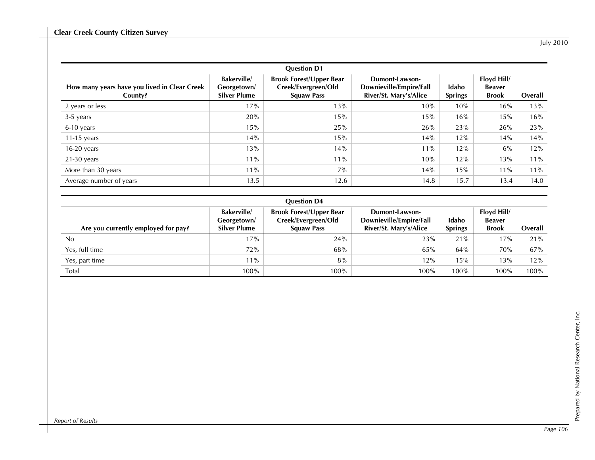|                                                         | <b>Question D1</b>                                      |                                                                            |                                                                     |                         |                                              |         |  |  |  |
|---------------------------------------------------------|---------------------------------------------------------|----------------------------------------------------------------------------|---------------------------------------------------------------------|-------------------------|----------------------------------------------|---------|--|--|--|
| How many years have you lived in Clear Creek<br>County? | <b>Bakerville</b><br>Georgetown/<br><b>Silver Plume</b> | <b>Brook Forest/Upper Bear</b><br>Creek/Evergreen/Old<br><b>Squaw Pass</b> | Dumont-Lawson-<br>Downieville/Empire/Fall<br>River/St. Mary's/Alice | Idaho<br><b>Springs</b> | Floyd Hill/<br><b>Beaver</b><br><b>Brook</b> | Overall |  |  |  |
| 2 years or less                                         | 17%                                                     | 13%                                                                        | 10%                                                                 | 10%                     | 16%                                          | 13%     |  |  |  |
| $3-5$ years                                             | 20%                                                     | 15%                                                                        | 15%                                                                 | 16%                     | 15%                                          | 16%     |  |  |  |
| 6-10 years                                              | 15%                                                     | 25%                                                                        | 26%                                                                 | 23%                     | 26%                                          | 23%     |  |  |  |
| $11-15$ years                                           | 14%                                                     | 15%                                                                        | 14%                                                                 | 12%                     | 14%                                          | 14%     |  |  |  |
| $16-20$ years                                           | 13%                                                     | 14%                                                                        | 11%                                                                 | 12%                     | $6\%$                                        | 12%     |  |  |  |
| $21-30$ years                                           | 11%                                                     | 11%                                                                        | 10%                                                                 | 12%                     | 13%                                          | 11%     |  |  |  |
| More than 30 years                                      | 11%                                                     | 7%                                                                         | 14%                                                                 | 15%                     | 11%                                          | 11%     |  |  |  |
| Average number of years                                 | 13.5                                                    | 12.6                                                                       | 14.8                                                                | 15.7                    | 13.4                                         | 14.0    |  |  |  |

| <b>Ouestion D4</b>                  |                                                         |                                                                            |                                                                     |                         |                                              |         |  |  |
|-------------------------------------|---------------------------------------------------------|----------------------------------------------------------------------------|---------------------------------------------------------------------|-------------------------|----------------------------------------------|---------|--|--|
| Are you currently employed for pay? | <b>Bakerville</b><br>Georgetown/<br><b>Silver Plume</b> | <b>Brook Forest/Upper Bear</b><br>Creek/Evergreen/Old<br><b>Squaw Pass</b> | Dumont-Lawson-<br>Downieville/Empire/Fall<br>River/St. Mary's/Alice | Idaho<br><b>Springs</b> | Floyd Hill/<br><b>Beaver</b><br><b>Brook</b> | Overall |  |  |
| No                                  | 17%                                                     | 24%                                                                        | 23%                                                                 | 21%                     | 17%                                          | 21%     |  |  |
| Yes, full time                      | 72%                                                     | 68%                                                                        | 65%                                                                 | 64%                     | 70%                                          | 67%     |  |  |
| Yes, part time                      | 11%                                                     | 8%                                                                         | 12%                                                                 | 15%                     | 13%                                          | 12%     |  |  |
| Total                               | 100%                                                    | 100%                                                                       | 100%                                                                | 100%                    | 100%                                         | 100%    |  |  |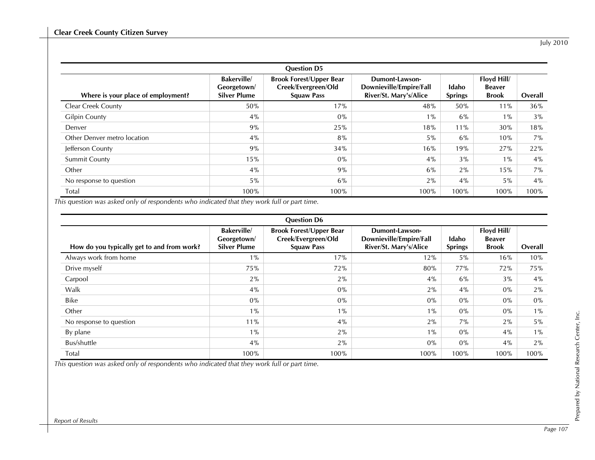|                                    | <b>Question D5</b>                                      |                                                                            |                                                                     |                         |                                              |         |  |  |  |
|------------------------------------|---------------------------------------------------------|----------------------------------------------------------------------------|---------------------------------------------------------------------|-------------------------|----------------------------------------------|---------|--|--|--|
| Where is your place of employment? | <b>Bakerville</b><br>Georgetown/<br><b>Silver Plume</b> | <b>Brook Forest/Upper Bear</b><br>Creek/Evergreen/Old<br><b>Squaw Pass</b> | Dumont-Lawson-<br>Downieville/Empire/Fall<br>River/St. Mary's/Alice | Idaho<br><b>Springs</b> | Floyd Hill/<br><b>Beaver</b><br><b>Brook</b> | Overall |  |  |  |
| <b>Clear Creek County</b>          | 50%                                                     | 17%                                                                        | 48%                                                                 | 50%                     | 11%                                          | 36%     |  |  |  |
| <b>Gilpin County</b>               | $4\%$                                                   | $0\%$                                                                      | $1\%$                                                               | 6%                      | $1\%$                                        | 3%      |  |  |  |
| Denver                             | 9%                                                      | 25%                                                                        | 18%                                                                 | 11%                     | 30%                                          | 18%     |  |  |  |
| Other Denver metro location        | 4%                                                      | 8%                                                                         | $5\%$                                                               | 6%                      | 10%                                          | $7\%$   |  |  |  |
| Jefferson County                   | 9%                                                      | 34%                                                                        | 16%                                                                 | 19%                     | 27%                                          | 22%     |  |  |  |
| <b>Summit County</b>               | 15%                                                     | $0\%$                                                                      | 4%                                                                  | 3%                      | $1\%$                                        | 4%      |  |  |  |
| Other                              | $4\%$                                                   | 9%                                                                         | 6%                                                                  | 2%                      | 15%                                          | $7\%$   |  |  |  |
| No response to question            | $5\%$                                                   | $6\%$                                                                      | 2%                                                                  | 4%                      | $5\%$                                        | 4%      |  |  |  |
| Total                              | 100%                                                    | 100%                                                                       | 100%                                                                | 100%                    | 100%                                         | 100%    |  |  |  |

*This question was asked only of respondents who indicated that they work full or part time.* 

| <b>Question D6</b>                         |                                                         |                                                                            |                                                                     |                         |                                              |         |  |  |
|--------------------------------------------|---------------------------------------------------------|----------------------------------------------------------------------------|---------------------------------------------------------------------|-------------------------|----------------------------------------------|---------|--|--|
| How do you typically get to and from work? | <b>Bakerville</b><br>Georgetown/<br><b>Silver Plume</b> | <b>Brook Forest/Upper Bear</b><br>Creek/Evergreen/Old<br><b>Squaw Pass</b> | Dumont-Lawson-<br>Downieville/Empire/Fall<br>River/St. Mary's/Alice | Idaho<br><b>Springs</b> | Floyd Hill/<br><b>Beaver</b><br><b>Brook</b> | Overall |  |  |
| Always work from home                      | $1\%$                                                   | 17%                                                                        | 12%                                                                 | $5\%$                   | 16%                                          | 10%     |  |  |
| Drive myself                               | 75%                                                     | 72%                                                                        | 80%                                                                 | 77%                     | 72%                                          | 75%     |  |  |
| Carpool                                    | 2%                                                      | 2%                                                                         | 4%                                                                  | $6\%$                   | 3%                                           | 4%      |  |  |
| Walk                                       | 4%                                                      | $0\%$                                                                      | 2%                                                                  | $4\%$                   | $0\%$                                        | $2\%$   |  |  |
| <b>Bike</b>                                | $0\%$                                                   | $0\%$                                                                      | $0\%$                                                               | $0\%$                   | $0\%$                                        | $0\%$   |  |  |
| Other                                      | $1\%$                                                   | $1\%$                                                                      | $1\%$                                                               | $0\%$                   | $0\%$                                        | $1\%$   |  |  |
| No response to question                    | 11%                                                     | $4\%$                                                                      | 2%                                                                  | 7%                      | 2%                                           | $5\%$   |  |  |
| By plane                                   | $1\%$                                                   | 2%                                                                         | $1\%$                                                               | $0\%$                   | 4%                                           | $1\%$   |  |  |
| Bus/shuttle                                | 4%                                                      | 2%                                                                         | $0\%$                                                               | $0\%$                   | 4%                                           | $2\%$   |  |  |
| Total                                      | 100%                                                    | 100%                                                                       | 100%                                                                | 100%                    | 100%                                         | 100%    |  |  |

*This question was asked only of respondents who indicated that they work full or part time.* 

Prepared by National Research Center, Inc.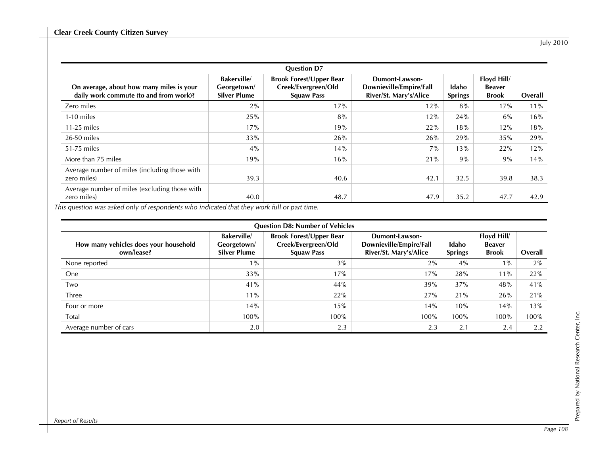| <b>Question D7</b>                                                                 |                                                         |                                                                            |                                                                     |                         |                                              |         |  |  |
|------------------------------------------------------------------------------------|---------------------------------------------------------|----------------------------------------------------------------------------|---------------------------------------------------------------------|-------------------------|----------------------------------------------|---------|--|--|
| On average, about how many miles is your<br>daily work commute (to and from work)? | <b>Bakerville</b><br>Georgetown/<br><b>Silver Plume</b> | <b>Brook Forest/Upper Bear</b><br>Creek/Evergreen/Old<br><b>Squaw Pass</b> | Dumont-Lawson-<br>Downieville/Empire/Fall<br>River/St. Mary's/Alice | Idaho<br><b>Springs</b> | Floyd Hill/<br><b>Beaver</b><br><b>Brook</b> | Overall |  |  |
| Zero miles                                                                         | $2\%$                                                   | 17%                                                                        | 12%                                                                 | 8%                      | 17%                                          | 11%     |  |  |
| 1-10 miles                                                                         | 25%                                                     | 8%                                                                         | 12%                                                                 | 24%                     | $6\%$                                        | 16%     |  |  |
| $11-25$ miles                                                                      | 17%                                                     | 19%                                                                        | 22%                                                                 | 18%                     | 12%                                          | 18%     |  |  |
| 26-50 miles                                                                        | 33%                                                     | 26%                                                                        | 26%                                                                 | 29%                     | 35%                                          | 29%     |  |  |
| 51-75 miles                                                                        | 4%                                                      | 14%                                                                        | 7%                                                                  | 13%                     | 22%                                          | 12%     |  |  |
| More than 75 miles                                                                 | 19%                                                     | 16%                                                                        | 21%                                                                 | 9%                      | 9%                                           | 14%     |  |  |
| Average number of miles (including those with<br>zero miles)                       | 39.3                                                    | 40.6                                                                       | 42.1                                                                | 32.5                    | 39.8                                         | 38.3    |  |  |
| Average number of miles (excluding those with<br>zero miles)                       | 40.0                                                    | 48.7                                                                       | 47.9                                                                | 35.2                    | 47.7                                         | 42.9    |  |  |

*This question was asked only of respondents who indicated that they work full or part time.* 

| <b>Question D8: Number of Vehicles</b>              |                                                         |                                                                            |                                                                     |                         |                                              |         |  |  |
|-----------------------------------------------------|---------------------------------------------------------|----------------------------------------------------------------------------|---------------------------------------------------------------------|-------------------------|----------------------------------------------|---------|--|--|
| How many vehicles does your household<br>own/lease? | <b>Bakerville</b><br>Georgetown/<br><b>Silver Plume</b> | <b>Brook Forest/Upper Bear</b><br>Creek/Evergreen/Old<br><b>Squaw Pass</b> | Dumont-Lawson-<br>Downieville/Empire/Fall<br>River/St. Mary's/Alice | Idaho<br><b>Springs</b> | Floyd Hill/<br><b>Beaver</b><br><b>Brook</b> | Overall |  |  |
| None reported                                       | $1\%$                                                   | 3%                                                                         | $2\%$                                                               | 4%                      | $1\%$                                        | 2%      |  |  |
| <b>One</b>                                          | 33%                                                     | 17%                                                                        | 17%                                                                 | 28%                     | $11\%$                                       | 22%     |  |  |
| Two                                                 | 41%                                                     | 44%                                                                        | 39%                                                                 | 37%                     | 48%                                          | 41%     |  |  |
| Three                                               | 11%                                                     | 22%                                                                        | 27%                                                                 | 21%                     | 26%                                          | 21%     |  |  |
| Four or more                                        | 14%                                                     | 15%                                                                        | 14%                                                                 | 10%                     | 14%                                          | 13%     |  |  |
| Total                                               | 100%                                                    | 100%                                                                       | 100%                                                                | 100%                    | 100%                                         | 100%    |  |  |
| Average number of cars                              | 2.0                                                     | 2.3                                                                        | 2.3                                                                 | 2.1                     | 2.4                                          | 2.2     |  |  |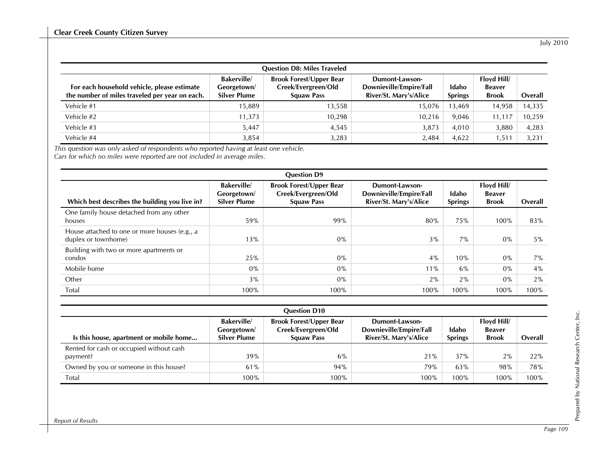| <b>Question D8: Miles Traveled</b>                                                            |                                                         |                                                                            |                                                                     |                         |                                              |         |  |  |
|-----------------------------------------------------------------------------------------------|---------------------------------------------------------|----------------------------------------------------------------------------|---------------------------------------------------------------------|-------------------------|----------------------------------------------|---------|--|--|
| For each household vehicle, please estimate<br>the number of miles traveled per year on each. | <b>Bakerville</b><br>Georgetown/<br><b>Silver Plume</b> | <b>Brook Forest/Upper Bear</b><br>Creek/Evergreen/Old<br><b>Squaw Pass</b> | Dumont-Lawson-<br>Downieville/Empire/Fall<br>River/St. Mary's/Alice | Idaho<br><b>Springs</b> | Floyd Hill/<br><b>Beaver</b><br><b>Brook</b> | Overall |  |  |
| Vehicle #1                                                                                    | 15,889                                                  | 13,558                                                                     | 15.076                                                              | 13,469                  | 14,958                                       | 14,335  |  |  |
| Vehicle #2                                                                                    | 11,373                                                  | 10,298                                                                     | 10,216                                                              | 9,046                   | 11,117                                       | 10,259  |  |  |
| Vehicle #3                                                                                    | 5,447                                                   | 4,545                                                                      | 3,873                                                               | 4,010                   | 3,880                                        | 4,283   |  |  |
| Vehicle #4                                                                                    | 3,854                                                   | 3,283                                                                      | 2,484                                                               | 4,622                   | 1,511                                        | 3,231   |  |  |

*This question was only asked of respondents who reported having at least one vehicle. Cars for which no miles were reported are not included in average miles.* 

| <b>Question D9</b>                                                   |                                                         |                                                                            |                                                                     |                         |                                              |         |  |  |
|----------------------------------------------------------------------|---------------------------------------------------------|----------------------------------------------------------------------------|---------------------------------------------------------------------|-------------------------|----------------------------------------------|---------|--|--|
| Which best describes the building you live in?                       | <b>Bakerville</b><br>Georgetown/<br><b>Silver Plume</b> | <b>Brook Forest/Upper Bear</b><br>Creek/Evergreen/Old<br><b>Squaw Pass</b> | Dumont-Lawson-<br>Downieville/Empire/Fall<br>River/St. Mary's/Alice | Idaho<br><b>Springs</b> | Floyd Hill/<br><b>Beaver</b><br><b>Brook</b> | Overall |  |  |
| One family house detached from any other<br>houses                   | 59%                                                     | 99%                                                                        | 80%                                                                 | 75%                     | 100%                                         | 83%     |  |  |
| House attached to one or more houses (e.g., a<br>duplex or townhome) | 13%                                                     | $0\%$                                                                      | 3%                                                                  | 7%                      | 0%                                           | $5\%$   |  |  |
| Building with two or more apartments or<br>condos                    | 25%                                                     | $0\%$                                                                      | 4%                                                                  | 10%                     | 0%                                           | 7%      |  |  |
| Mobile home                                                          | $0\%$                                                   | $0\%$                                                                      | 11%                                                                 | $6\%$                   | 0%                                           | 4%      |  |  |
| Other                                                                | 3%                                                      | $0\%$                                                                      | 2%                                                                  | 2%                      | $0\%$                                        | 2%      |  |  |
| Total                                                                | 100%                                                    | 100%                                                                       | 100%                                                                | 100%                    | 100%                                         | 100%    |  |  |

|                                                      |                                                         | <b>Question D10</b>                                                        |                                                                     |                         |                                              |         |
|------------------------------------------------------|---------------------------------------------------------|----------------------------------------------------------------------------|---------------------------------------------------------------------|-------------------------|----------------------------------------------|---------|
| Is this house, apartment or mobile home              | <b>Bakerville</b><br>Georgetown/<br><b>Silver Plume</b> | <b>Brook Forest/Upper Bear</b><br>Creek/Evergreen/Old<br><b>Squaw Pass</b> | Dumont-Lawson-<br>Downieville/Empire/Fall<br>River/St. Mary's/Alice | Idaho<br><b>Springs</b> | Floyd Hill/<br><b>Beaver</b><br><b>Brook</b> | Overall |
| Rented for cash or occupied without cash<br>payment? | 39%                                                     | 6%                                                                         | 21%                                                                 | 37%                     | 2%                                           | 22%     |
| Owned by you or someone in this house?               | 61%                                                     | 94%                                                                        | 79%                                                                 | 63%                     | 98%                                          | 78%     |
| Total                                                | 100%                                                    | 100%                                                                       | 100%                                                                | 100%                    | 100%                                         | 100%    |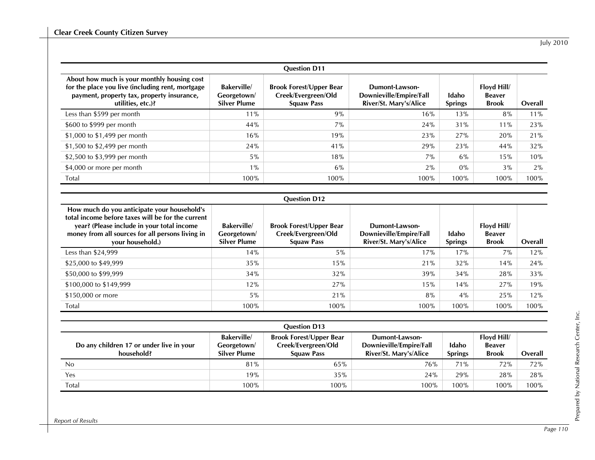| <b>Question D11</b>                                                                                                                                                |                                                         |                                                                            |                                                                     |                         |                                              |         |  |  |
|--------------------------------------------------------------------------------------------------------------------------------------------------------------------|---------------------------------------------------------|----------------------------------------------------------------------------|---------------------------------------------------------------------|-------------------------|----------------------------------------------|---------|--|--|
| About how much is your monthly housing cost<br>for the place you live (including rent, mortgage<br>payment, property tax, property insurance,<br>utilities, etc.)? | <b>Bakerville</b><br>Georgetown/<br><b>Silver Plume</b> | <b>Brook Forest/Upper Bear</b><br>Creek/Evergreen/Old<br><b>Squaw Pass</b> | Dumont-Lawson-<br>Downieville/Empire/Fall<br>River/St. Mary's/Alice | Idaho<br><b>Springs</b> | Floyd Hill/<br><b>Beaver</b><br><b>Brook</b> | Overall |  |  |
| Less than \$599 per month                                                                                                                                          | 11%                                                     | 9%                                                                         | 16%                                                                 | 13%                     | 8%                                           | 11%     |  |  |
| \$600 to \$999 per month                                                                                                                                           | 44%                                                     | $7\%$                                                                      | 24%                                                                 | 31%                     | $11\%$                                       | 23%     |  |  |
| \$1,000 to \$1,499 per month                                                                                                                                       | 16%                                                     | 19%                                                                        | 23%                                                                 | 27%                     | 20%                                          | 21%     |  |  |
| \$1,500 to \$2,499 per month                                                                                                                                       | 24%                                                     | 41%                                                                        | 29%                                                                 | 23%                     | 44%                                          | 32%     |  |  |
| \$2,500 to \$3,999 per month                                                                                                                                       | $5\%$                                                   | 18%                                                                        | 7%                                                                  | 6%                      | 15%                                          | 10%     |  |  |
| \$4,000 or more per month                                                                                                                                          | $1\%$                                                   | $6\%$                                                                      | 2%                                                                  | $0\%$                   | 3%                                           | $2\%$   |  |  |
| Total                                                                                                                                                              | 100%                                                    | 100%                                                                       | 100%                                                                | 100%                    | 100%                                         | 100%    |  |  |

### **Question D12**

| How much do you anticipate your household's<br>total income before taxes will be for the current<br>year? (Please include in your total income<br>money from all sources for all persons living in<br>your household.) | <b>Bakerville</b><br>Georgetown/<br><b>Silver Plume</b> | <b>Brook Forest/Upper Bear</b><br>Creek/Evergreen/Old<br><b>Squaw Pass</b> | Dumont-Lawson-<br>Downieville/Empire/Fall<br>River/St. Mary's/Alice | Idaho<br><b>Springs</b> | Floyd Hill/<br><b>Beaver</b><br><b>Brook</b> | Overall |
|------------------------------------------------------------------------------------------------------------------------------------------------------------------------------------------------------------------------|---------------------------------------------------------|----------------------------------------------------------------------------|---------------------------------------------------------------------|-------------------------|----------------------------------------------|---------|
| Less than $$24,999$                                                                                                                                                                                                    | 14%                                                     | $5\%$                                                                      | 17%                                                                 | 17%                     | 7%                                           | 12%     |
| \$25,000 to \$49,999                                                                                                                                                                                                   | 35%                                                     | 15%                                                                        | 21%                                                                 | 32%                     | 14%                                          | 24%     |
| \$50,000 to \$99,999                                                                                                                                                                                                   | 34%                                                     | 32%                                                                        | 39%                                                                 | 34%                     | 28%                                          | 33%     |
| \$100,000 to \$149,999                                                                                                                                                                                                 | 12%                                                     | 27%                                                                        | 15%                                                                 | 14%                     | 27%                                          | 19%     |
| \$150,000 or more                                                                                                                                                                                                      | $5\%$                                                   | 21%                                                                        | 8%                                                                  | $4\%$                   | 25%                                          | 12%     |
| Total                                                                                                                                                                                                                  | 100%                                                    | 100%                                                                       | 100%                                                                | 100%                    | 100%                                         | 100%    |

|                                                        |                                                         | <b>Question D13</b>                                                        |                                                                     |                         |                                              |         |
|--------------------------------------------------------|---------------------------------------------------------|----------------------------------------------------------------------------|---------------------------------------------------------------------|-------------------------|----------------------------------------------|---------|
| Do any children 17 or under live in your<br>household? | <b>Bakerville</b><br>Georgetown/<br><b>Silver Plume</b> | <b>Brook Forest/Upper Bear</b><br>Creek/Evergreen/Old<br><b>Squaw Pass</b> | Dumont-Lawson-<br>Downieville/Empire/Fall<br>River/St. Mary's/Alice | Idaho<br><b>Springs</b> | Floyd Hill/<br><b>Beaver</b><br><b>Brook</b> | Overall |
| No                                                     | 81%                                                     | 65%                                                                        | 76%                                                                 | $71\%$                  | 72%                                          | 72%     |
| Yes                                                    | 19%                                                     | 35%                                                                        | 24%                                                                 | 29%                     | 28%                                          | 28%     |
| Total                                                  | 100%                                                    | 100%                                                                       | 100%                                                                | $100\%$                 | 100%                                         | 100%    |

Prepared by National Research Center, Inc.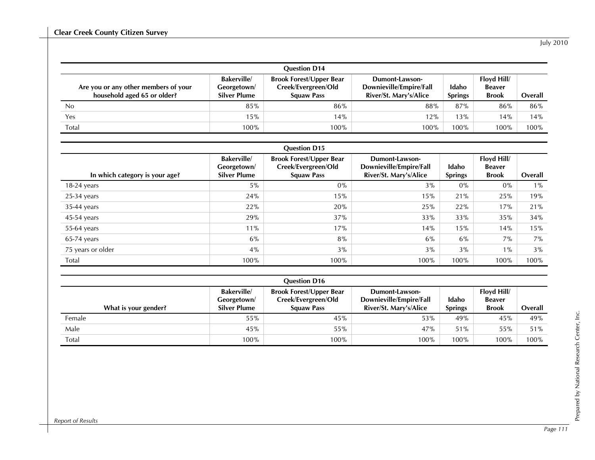|                                                                     |                                                         | <b>Question D14</b>                                                        |                                                                     |                         |                                              |         |
|---------------------------------------------------------------------|---------------------------------------------------------|----------------------------------------------------------------------------|---------------------------------------------------------------------|-------------------------|----------------------------------------------|---------|
| Are you or any other members of your<br>household aged 65 or older? | <b>Bakerville</b><br>Georgetown/<br><b>Silver Plume</b> | <b>Brook Forest/Upper Bear</b><br>Creek/Evergreen/Old<br><b>Squaw Pass</b> | Dumont-Lawson-<br>Downieville/Empire/Fall<br>River/St. Mary's/Alice | Idaho<br><b>Springs</b> | Floyd Hill/<br><b>Beaver</b><br><b>Brook</b> | Overall |
| No                                                                  | 85%                                                     | 86%                                                                        | 88%                                                                 | 87%                     | 86%                                          | 86%     |
| Yes                                                                 | 15%                                                     | 14%                                                                        | 12%                                                                 | 13%                     | 14%                                          | 14%     |
| Total                                                               | 100%                                                    | 100%                                                                       | 100%                                                                | 100%                    | 100%                                         | 100%    |

#### **Question D15**

| In which category is your age? | <b>Bakerville</b><br>Georgetown/<br><b>Silver Plume</b> | <b>Brook Forest/Upper Bear</b><br>Creek/Evergreen/Old<br><b>Squaw Pass</b> | Dumont-Lawson-<br>Downieville/Empire/Fall<br>River/St. Mary's/Alice | Idaho<br><b>Springs</b> | Floyd Hill/<br><b>Beaver</b><br><b>Brook</b> | Overall |
|--------------------------------|---------------------------------------------------------|----------------------------------------------------------------------------|---------------------------------------------------------------------|-------------------------|----------------------------------------------|---------|
| $18-24$ years                  | $5\%$                                                   | $0\%$                                                                      | 3%                                                                  | $0\%$                   | $0\%$                                        | $1\%$   |
| $25-34$ years                  | 24%                                                     | 15%                                                                        | 15%                                                                 | 21%                     | 25%                                          | 19%     |
| $35-44$ years                  | 22%                                                     | 20%                                                                        | 25%                                                                 | 22%                     | 17%                                          | 21%     |
| $45-54$ years                  | 29%                                                     | 37%                                                                        | 33%                                                                 | 33%                     | 35%                                          | 34%     |
| 55-64 years                    | 11%                                                     | 17%                                                                        | 14%                                                                 | 15%                     | 14%                                          | 15%     |
| $65-74$ years                  | $6\%$                                                   | 8%                                                                         | $6\%$                                                               | 6%                      | 7%                                           | 7%      |
| 75 years or older              | 4%                                                      | 3%                                                                         | 3%                                                                  | 3%                      | $1\%$                                        | 3%      |
| Total                          | 100%                                                    | 100%                                                                       | 100%                                                                | 100%                    | 100%                                         | 100%    |

| <b>Question D16</b>  |                                                  |                                                                            |                                                                     |                         |                                              |         |  |  |  |
|----------------------|--------------------------------------------------|----------------------------------------------------------------------------|---------------------------------------------------------------------|-------------------------|----------------------------------------------|---------|--|--|--|
| What is your gender? | <b>Bakerville</b><br>Georgetown/<br>Silver Plume | <b>Brook Forest/Upper Bear</b><br>Creek/Evergreen/Old<br><b>Squaw Pass</b> | Dumont-Lawson-<br>Downieville/Empire/Fall<br>River/St. Mary's/Alice | Idaho<br><b>Springs</b> | Floyd Hill/<br><b>Beaver</b><br><b>Brook</b> | Overall |  |  |  |
| Female               | 55%                                              | 45%                                                                        | 53%                                                                 | 49%                     | 45%                                          | 49%     |  |  |  |
| Male                 | 45%                                              | 55%                                                                        | 47%                                                                 | 51%                     | 55%                                          | 51%     |  |  |  |
| Total                | 100%                                             | 100%                                                                       | 100%                                                                | 100%                    | 100%                                         | 100%    |  |  |  |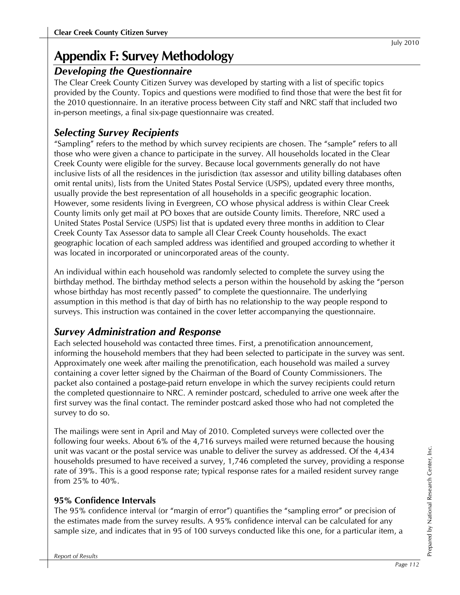# **Appendix F: Survey Methodology**

# *Developing the Questionnaire*

The Clear Creek County Citizen Survey was developed by starting with a list of specific topics provided by the County. Topics and questions were modified to find those that were the best fit for the 2010 questionnaire. In an iterative process between City staff and NRC staff that included two in-person meetings, a final six-page questionnaire was created.

# *Selecting Survey Recipients*

"Sampling" refers to the method by which survey recipients are chosen. The "sample" refers to all those who were given a chance to participate in the survey. All households located in the Clear Creek County were eligible for the survey. Because local governments generally do not have inclusive lists of all the residences in the jurisdiction (tax assessor and utility billing databases often omit rental units), lists from the United States Postal Service (USPS), updated every three months, usually provide the best representation of all households in a specific geographic location. However, some residents living in Evergreen, CO whose physical address is within Clear Creek County limits only get mail at PO boxes that are outside County limits. Therefore, NRC used a United States Postal Service (USPS) list that is updated every three months in addition to Clear Creek County Tax Assessor data to sample all Clear Creek County households. The exact geographic location of each sampled address was identified and grouped according to whether it was located in incorporated or unincorporated areas of the county.

An individual within each household was randomly selected to complete the survey using the birthday method. The birthday method selects a person within the household by asking the "person whose birthday has most recently passed" to complete the questionnaire. The underlying assumption in this method is that day of birth has no relationship to the way people respond to surveys. This instruction was contained in the cover letter accompanying the questionnaire.

# *Survey Administration and Response*

Each selected household was contacted three times. First, a prenotification announcement, informing the household members that they had been selected to participate in the survey was sent. Approximately one week after mailing the prenotification, each household was mailed a survey containing a cover letter signed by the Chairman of the Board of County Commissioners. The packet also contained a postage-paid return envelope in which the survey recipients could return the completed questionnaire to NRC. A reminder postcard, scheduled to arrive one week after the first survey was the final contact. The reminder postcard asked those who had not completed the survey to do so.

The mailings were sent in April and May of 2010. Completed surveys were collected over the following four weeks. About 6% of the 4,716 surveys mailed were returned because the housing unit was vacant or the postal service was unable to deliver the survey as addressed. Of the 4,434 households presumed to have received a survey, 1,746 completed the survey, providing a response rate of 39%. This is a good response rate; typical response rates for a mailed resident survey range from 25% to 40%.

# **95% Confidence Intervals**

The 95% confidence interval (or "margin of error") quantifies the "sampling error" or precision of the estimates made from the survey results. A 95% confidence interval can be calculated for any sample size, and indicates that in 95 of 100 surveys conducted like this one, for a particular item, a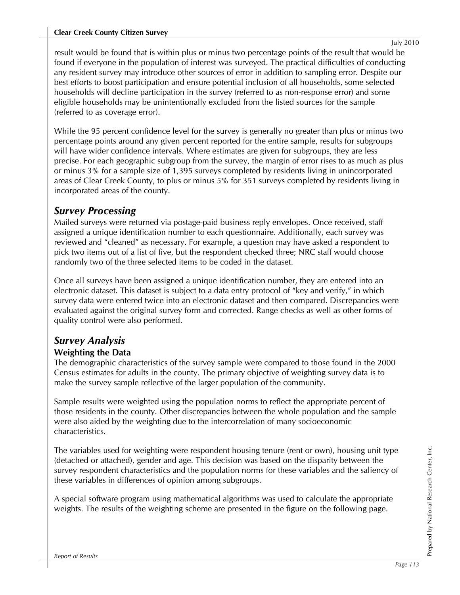result would be found that is within plus or minus two percentage points of the result that would be found if everyone in the population of interest was surveyed. The practical difficulties of conducting any resident survey may introduce other sources of error in addition to sampling error. Despite our best efforts to boost participation and ensure potential inclusion of all households, some selected households will decline participation in the survey (referred to as non-response error) and some eligible households may be unintentionally excluded from the listed sources for the sample (referred to as coverage error).

While the 95 percent confidence level for the survey is generally no greater than plus or minus two percentage points around any given percent reported for the entire sample, results for subgroups will have wider confidence intervals. Where estimates are given for subgroups, they are less precise. For each geographic subgroup from the survey, the margin of error rises to as much as plus or minus 3% for a sample size of 1,395 surveys completed by residents living in unincorporated areas of Clear Creek County, to plus or minus 5% for 351 surveys completed by residents living in incorporated areas of the county.

# *Survey Processing*

Mailed surveys were returned via postage-paid business reply envelopes. Once received, staff assigned a unique identification number to each questionnaire. Additionally, each survey was reviewed and "cleaned" as necessary. For example, a question may have asked a respondent to pick two items out of a list of five, but the respondent checked three; NRC staff would choose randomly two of the three selected items to be coded in the dataset.

Once all surveys have been assigned a unique identification number, they are entered into an electronic dataset. This dataset is subject to a data entry protocol of "key and verify," in which survey data were entered twice into an electronic dataset and then compared. Discrepancies were evaluated against the original survey form and corrected. Range checks as well as other forms of quality control were also performed.

# *Survey Analysis*  **Weighting the Data**

The demographic characteristics of the survey sample were compared to those found in the 2000 Census estimates for adults in the county. The primary objective of weighting survey data is to make the survey sample reflective of the larger population of the community.

Sample results were weighted using the population norms to reflect the appropriate percent of those residents in the county. Other discrepancies between the whole population and the sample were also aided by the weighting due to the intercorrelation of many socioeconomic characteristics.

The variables used for weighting were respondent housing tenure (rent or own), housing unit type (detached or attached), gender and age. This decision was based on the disparity between the survey respondent characteristics and the population norms for these variables and the saliency of these variables in differences of opinion among subgroups.

A special software program using mathematical algorithms was used to calculate the appropriate weights. The results of the weighting scheme are presented in the figure on the following page.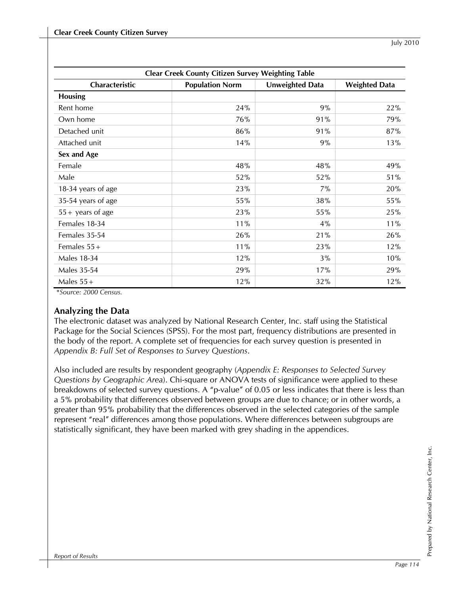| <b>Clear Creek County Citizen Survey Weighting Table</b> |                                                                   |     |     |  |  |  |  |  |  |  |  |
|----------------------------------------------------------|-------------------------------------------------------------------|-----|-----|--|--|--|--|--|--|--|--|
| Characteristic                                           | <b>Population Norm</b><br>Unweighted Data<br><b>Weighted Data</b> |     |     |  |  |  |  |  |  |  |  |
| <b>Housing</b>                                           |                                                                   |     |     |  |  |  |  |  |  |  |  |
| Rent home                                                | 24%                                                               | 9%  | 22% |  |  |  |  |  |  |  |  |
| Own home                                                 | 76%                                                               | 91% | 79% |  |  |  |  |  |  |  |  |
| Detached unit                                            | 86%                                                               | 91% | 87% |  |  |  |  |  |  |  |  |
| Attached unit                                            | 14%                                                               | 9%  | 13% |  |  |  |  |  |  |  |  |
| Sex and Age                                              |                                                                   |     |     |  |  |  |  |  |  |  |  |
| Female                                                   | 48%                                                               | 48% | 49% |  |  |  |  |  |  |  |  |
| Male                                                     | 52%                                                               | 52% | 51% |  |  |  |  |  |  |  |  |
| 18-34 years of age                                       | 23%                                                               | 7%  | 20% |  |  |  |  |  |  |  |  |
| 35-54 years of age                                       | 55%                                                               | 38% | 55% |  |  |  |  |  |  |  |  |
| $55 +$ years of age                                      | 23%                                                               | 55% | 25% |  |  |  |  |  |  |  |  |
| Females 18-34                                            | 11%                                                               | 4%  | 11% |  |  |  |  |  |  |  |  |
| Females 35-54                                            | 26%                                                               | 21% | 26% |  |  |  |  |  |  |  |  |
| Females $55+$                                            | 11%                                                               | 23% | 12% |  |  |  |  |  |  |  |  |
| Males 18-34                                              | 12%                                                               | 3%  | 10% |  |  |  |  |  |  |  |  |
| <b>Males 35-54</b>                                       | 29%                                                               | 17% | 29% |  |  |  |  |  |  |  |  |
| Males $55+$                                              | 12%                                                               | 32% | 12% |  |  |  |  |  |  |  |  |

 *\*Source: 2000 Census.* 

## **Analyzing the Data**

The electronic dataset was analyzed by National Research Center, Inc. staff using the Statistical Package for the Social Sciences (SPSS). For the most part, frequency distributions are presented in the body of the report. A complete set of frequencies for each survey question is presented in *Appendix B: Full Set of Responses to Survey Questions*.

Also included are results by respondent geography (*Appendix E: Responses to Selected Survey Questions by Geographic Area*). Chi-square or ANOVA tests of significance were applied to these breakdowns of selected survey questions. A "p-value" of 0.05 or less indicates that there is less than a 5% probability that differences observed between groups are due to chance; or in other words, a greater than 95% probability that the differences observed in the selected categories of the sample represent "real" differences among those populations. Where differences between subgroups are statistically significant, they have been marked with grey shading in the appendices.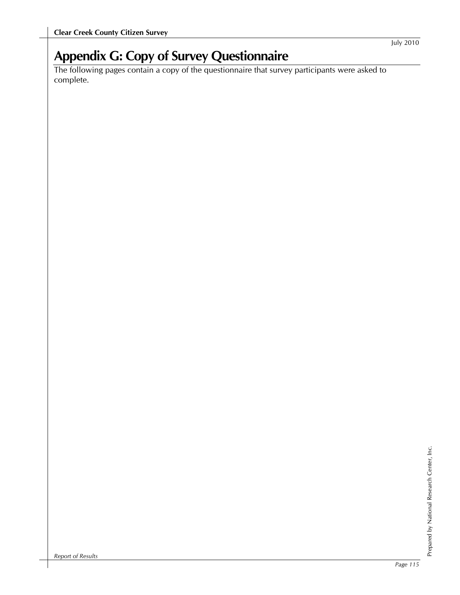# **Appendix G: Copy of Survey Questionnaire**

The following pages contain a copy of the questionnaire that survey participants were asked to complete.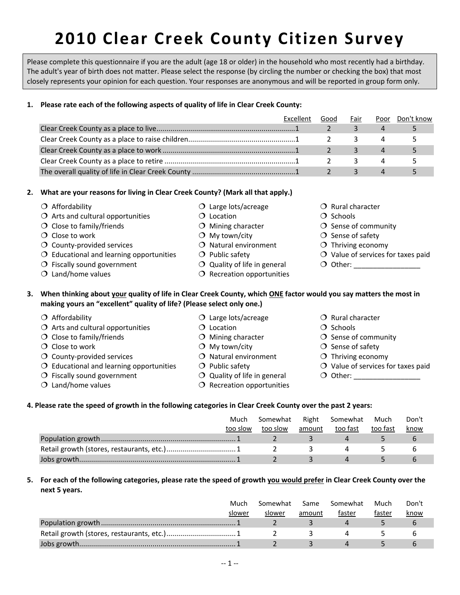Please complete this questionnaire if you are the adult (age 18 or older) in the household who most recently had a birthday. The adult's year of birth does not matter. Please select the response (by circling the number or checking the box) that most closely represents your opinion for each question. Your responses are anonymous and will be reported in group form only.

#### **1. Please rate each of the following aspects of quality of life in Clear Creek County:**

| Excellent | Good | Fair | Poor | Don't know |
|-----------|------|------|------|------------|
|           |      |      |      |            |
|           |      |      |      |            |
|           |      |      |      |            |
|           |      | 3    |      |            |
|           |      |      |      |            |

#### **2. What are your reasons for living in Clear Creek County? (Mark all that apply.)**

- $\overline{O}$  Close to work  $\overline{O}$  My town/city  $\overline{O}$  Sense of safety County‐provided services Natural environment Thriving economy  $\overline{O}$  Educational and learning opportunities  $\overline{O}$  Public safety  $\overline{O}$  Value of services for taxes paid  $\bigcirc$  Fiscally sound government  $\bigcirc$  Quality of life in general  $\bigcirc$  Other:  $O$  Land/home values  $O$  Recreation opportunities 3. When thinking about your quality of life in Clear Creek County, which ONE factor would you say matters the most in **making yours an "excellent" quality of life? (Please select only one.)** O Affordability **C** Large lots/acreage **C** Rural character  $\overline{O}$  Arts and cultural opportunities  $\overline{O}$  Location  $\overline{O}$  Schools
	-
	-
	-
	- County-provided services 0 Natural environment O Thriving economy
	-
	-
	-
- 
- 
- $\overline{O}$  Close to work  $\overline{O}$  My town/city  $\overline{O}$  Sense of safety
	-
	-
- $\bigcirc$  Fiscally sound government  $\bigcirc$  Quality of life in general  $\bigcirc$  Other:
- $O$  Land/home values  $O$  Recreation opportunities
- O Affordability  **Large lots/acreage Large Lots** C Rural character
- $\overline{O}$  Arts and cultural opportunities  $\overline{O}$  Location  $\overline{O}$  Schools
- $\overline{O}$  Close to family/friends  $\overline{O}$  Mining character  $\overline{O}$  Sense of community
	-
	-
	- -
	-
	-
- $\overline{O}$  Close to family/friends  $\overline{O}$  Mining character  $\overline{O}$  Sense of community
	-
	-
- $\overline{O}$  Educational and learning opportunities  $\overline{O}$  Public safety  $\overline{O}$  Value of services for taxes paid
	-

#### 4. Please rate the speed of growth in the following categories in Clear Creek County over the past 2 years:

| Much     | Somewhat |        | Right Somewhat | Much     | Don't |  |
|----------|----------|--------|----------------|----------|-------|--|
| too slow | too slow | amount | too fast       | too fast | know  |  |
|          |          |        |                |          |       |  |
|          |          |        |                |          |       |  |
|          |          |        |                |          |       |  |

#### 5. For each of the following categories, please rate the speed of growth you would prefer in Clear Creek County over the **next 5 years.**

| Much   | Somewhat | Same   | Somewhat | Much   | Don't |
|--------|----------|--------|----------|--------|-------|
| slower | slower   | amount | faster   | faster | know  |
|        |          |        |          |        |       |
|        |          |        |          |        |       |
|        |          |        |          |        |       |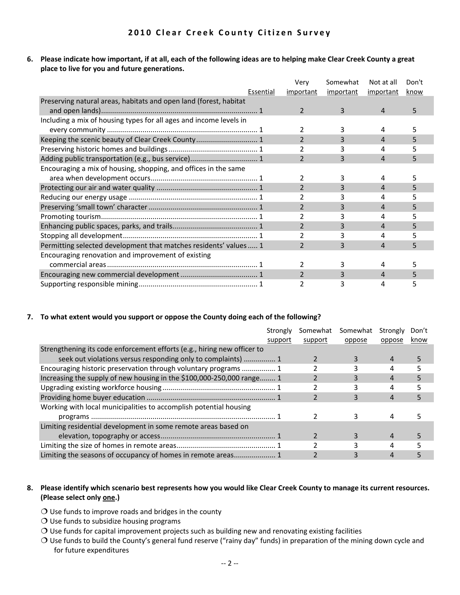6. Please indicate how important, if at all, each of the following ideas are to helping make Clear Creek County a great **place to live for you and future generations.**

|                                                                    | Very           | Somewhat  | Not at all | Don't |  |
|--------------------------------------------------------------------|----------------|-----------|------------|-------|--|
| Essential                                                          | important      | important | important  | know  |  |
| Preserving natural areas, habitats and open land (forest, habitat  |                |           |            |       |  |
|                                                                    | 2              | 3         | 4          | 5     |  |
| Including a mix of housing types for all ages and income levels in |                |           |            |       |  |
|                                                                    | 2              |           | 4          | 5     |  |
| Keeping the scenic beauty of Clear Creek County 1                  | $\mathcal{P}$  | 3         | 4          | 5     |  |
|                                                                    |                | 3         | 4          | 5     |  |
|                                                                    | $\overline{2}$ | 3         | 4          | 5     |  |
| Encouraging a mix of housing, shopping, and offices in the same    |                |           |            |       |  |
|                                                                    | 2              | 3         | 4          |       |  |
|                                                                    | $\overline{2}$ | 3         | 4          | 5     |  |
|                                                                    | 2              | 3         | 4          | 5     |  |
|                                                                    | $\overline{2}$ | 3         | 4          | 5     |  |
|                                                                    |                |           | 4          | 5     |  |
|                                                                    | $\overline{2}$ | 3         | 4          | 5     |  |
|                                                                    |                | 3         | 4          |       |  |
| Permitting selected development that matches residents' values  1  | $\overline{2}$ | 3         | 4          | 5     |  |
| Encouraging renovation and improvement of existing                 |                |           |            |       |  |
|                                                                    | $\mathfrak{p}$ | 3         | 4          | 5     |  |
|                                                                    | 2              | 3         | 4          |       |  |
|                                                                    |                | 3         | 4          | 5     |  |

#### **7. To what extent would you support or oppose the County doing each of the following?**

|                                                                         | Strongly | Somewhat | Somewhat | Strongly | Don't |
|-------------------------------------------------------------------------|----------|----------|----------|----------|-------|
|                                                                         | support  | support  | oppose   | oppose   | know  |
| Strengthening its code enforcement efforts (e.g., hiring new officer to |          |          |          |          |       |
| seek out violations versus responding only to complaints)  1            |          |          | 3        | 4        |       |
| Encouraging historic preservation through voluntary programs  1         |          |          |          | 4        |       |
| Increasing the supply of new housing in the \$100,000-250,000 range 1   |          |          |          |          |       |
|                                                                         |          |          |          | 4        |       |
|                                                                         |          |          |          | 4        |       |
| Working with local municipalities to accomplish potential housing       |          |          |          |          |       |
|                                                                         |          |          |          |          |       |
| Limiting residential development in some remote areas based on          |          |          |          |          |       |
|                                                                         |          |          | 3.       |          |       |
|                                                                         |          |          |          |          |       |
| Limiting the seasons of occupancy of homes in remote areas 1            |          |          |          |          |       |

#### 8. Please identify which scenario best represents how you would like Clear Creek County to manage its current resources. **(Please select only one.)**

- $O$  Use funds to improve roads and bridges in the county
- $O$  Use funds to subsidize housing programs
- $O$  Use funds for capital improvement projects such as building new and renovating existing facilities
- Use funds to build the County's general fund reserve ("rainy day" funds) in preparation of the mining down cycle and for future expenditures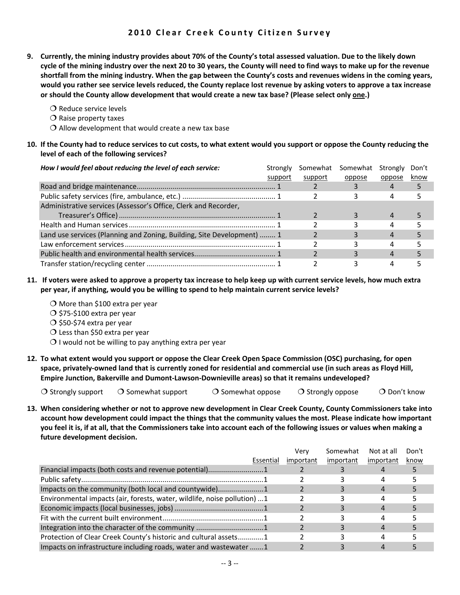- 9. Currently, the mining industry provides about 70% of the County's total assessed valuation. Due to the likely down cycle of the mining industry over the next 20 to 30 years, the County will need to find ways to make up for the revenue shortfall from the mining industry. When the gap between the County's costs and revenues widens in the coming years, would you rather see service levels reduced, the County replace lost revenue by asking voters to approve a tax increase **or should the County allow development that would create a new tax base? (Please select only one.)**
	- $\bigcirc$  Reduce service levels
	- $\Omega$  Raise property taxes
	- $\Omega$  Allow development that would create a new tax base

#### 10. If the County had to reduce services to cut costs, to what extent would you support or oppose the County reducing the **level of each of the following services?**

| How I would feel about reducing the level of each service:             | Strongly<br>support | Somewhat<br>support | Somewhat<br>oppose | Strongly<br>oppose | Don't<br>know |
|------------------------------------------------------------------------|---------------------|---------------------|--------------------|--------------------|---------------|
|                                                                        |                     |                     |                    |                    |               |
|                                                                        |                     |                     |                    |                    |               |
| Administrative services (Assessor's Office, Clerk and Recorder,        |                     |                     |                    |                    |               |
|                                                                        |                     |                     |                    | 4                  |               |
|                                                                        |                     |                     |                    |                    |               |
| Land use services (Planning and Zoning, Building, Site Development)  1 |                     |                     |                    |                    |               |
|                                                                        |                     |                     |                    |                    |               |
|                                                                        |                     |                     |                    |                    |               |
|                                                                        |                     |                     |                    |                    |               |

- 11. If voters were asked to approve a property tax increase to help keep up with current service levels, how much extra **per year, if anything, would you be willing to spend to help maintain current service levels?**
	- $\bigcirc$  More than \$100 extra per year
	- $\bigcirc$  \$75-\$100 extra per year
	- $\bigcirc$  \$50-\$74 extra per year
	- $\overline{O}$  Less than \$50 extra per year
	- $O$  I would not be willing to pay anything extra per year
- 12. To what extent would you support or oppose the Clear Creek Open Space Commission (OSC) purchasing, for open space, privately-owned land that is currently zoned for residential and commercial use (in such areas as Floyd Hill, **Empire Junction, Bakerville and Dumont‐Lawson‐Downieville areas) so that it remains undeveloped?**

 $\overline{O}$  Strongly support  $\overline{O}$  Somewhat support  $\overline{O}$  Somewhat oppose  $\overline{O}$  Strongly oppose  $\overline{O}$  Don't know

13. When considering whether or not to approve new development in Clear Creek County, County Commissioners take into account how development could impact the things that the community values the most. Please indicate how important you feel it is, if at all, that the Commissioners take into account each of the following issues or values when making a **future development decision.**

|                                                                          | Verv      | Somewhat  | Not at all | Don't |  |
|--------------------------------------------------------------------------|-----------|-----------|------------|-------|--|
| Essential                                                                | important | important | important  | know  |  |
| Financial impacts (both costs and revenue potential)1                    |           |           |            |       |  |
|                                                                          |           |           |            |       |  |
| Impacts on the community (both local and countywide)1                    |           |           |            |       |  |
| Environmental impacts (air, forests, water, wildlife, noise pollution) 1 |           |           |            |       |  |
|                                                                          |           |           |            |       |  |
|                                                                          |           |           |            |       |  |
|                                                                          |           |           |            |       |  |
| Protection of Clear Creek County's historic and cultural assets1         |           |           |            |       |  |
| Impacts on infrastructure including roads, water and wastewater 1        |           |           |            |       |  |
|                                                                          |           |           |            |       |  |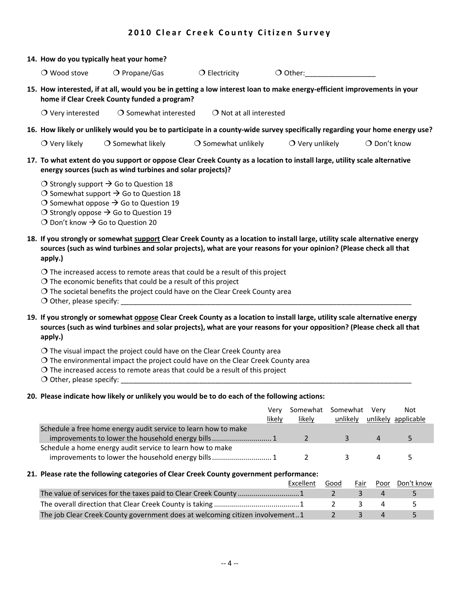| 14. How do you typically heat your home?                                                                                                                                                                                                                                |                                              |                                  |                                                                                                                             |                |  |  |  |  |
|-------------------------------------------------------------------------------------------------------------------------------------------------------------------------------------------------------------------------------------------------------------------------|----------------------------------------------|----------------------------------|-----------------------------------------------------------------------------------------------------------------------------|----------------|--|--|--|--|
| $\bigcirc$ Wood stove                                                                                                                                                                                                                                                   | $O$ Propane/Gas                              | $\bigcirc$ Electricity           | $\bigcirc$ Other:                                                                                                           |                |  |  |  |  |
|                                                                                                                                                                                                                                                                         | home if Clear Creek County funded a program? |                                  | 15. How interested, if at all, would you be in getting a low interest loan to make energy-efficient improvements in your    |                |  |  |  |  |
| $\bigcirc$ Very interested                                                                                                                                                                                                                                              | $\bigcirc$ Somewhat interested               | $\bigcirc$ Not at all interested |                                                                                                                             |                |  |  |  |  |
|                                                                                                                                                                                                                                                                         |                                              |                                  | 16. How likely or unlikely would you be to participate in a county-wide survey specifically regarding your home energy use? |                |  |  |  |  |
| $\bigcirc$ Very likely                                                                                                                                                                                                                                                  | $\bigcirc$ Somewhat likely                   | $\bigcirc$ Somewhat unlikely     | $\bigcirc$ Very unlikely                                                                                                    | $O$ Don't know |  |  |  |  |
| 17. To what extent do you support or oppose Clear Creek County as a location to install large, utility scale alternative<br>energy sources (such as wind turbines and solar projects)?                                                                                  |                                              |                                  |                                                                                                                             |                |  |  |  |  |
| O Strongly support $\rightarrow$ Go to Question 18<br>O Somewhat support $\rightarrow$ Go to Question 18<br>O Somewhat oppose $\rightarrow$ Go to Question 19<br>O Strongly oppose $\rightarrow$ Go to Question 19<br>O Don't know $\rightarrow$ Go to Question 20      |                                              |                                  |                                                                                                                             |                |  |  |  |  |
| 18. If you strongly or somewhat support Clear Creek County as a location to install large, utility scale alternative energy<br>sources (such as wind turbines and solar projects), what are your reasons for your opinion? (Please check all that<br>apply.)            |                                              |                                  |                                                                                                                             |                |  |  |  |  |
| $\overline{O}$ The increased access to remote areas that could be a result of this project<br>$\overline{O}$ The economic benefits that could be a result of this project<br>$\overline{O}$ The societal benefits the project could have on the Clear Creek County area |                                              |                                  |                                                                                                                             |                |  |  |  |  |

Other, please specify: \_\_\_\_\_\_\_\_\_\_\_\_\_\_\_\_\_\_\_\_\_\_\_\_\_\_\_\_\_\_\_\_\_\_\_\_\_\_\_\_\_\_\_\_\_\_\_\_\_\_\_\_\_\_\_\_\_\_\_\_\_\_\_\_\_\_\_\_\_\_\_\_\_\_

19. If you strongly or somewhat oppose Clear Creek County as a location to install large, utility scale alternative energy sources (such as wind turbines and solar projects), what are your reasons for your opposition? (Please check all that **apply.)**

- $\overline{O}$  The visual impact the project could have on the Clear Creek County area
- $\overline{O}$  The environmental impact the project could have on the Clear Creek County area
- $O$  The increased access to remote areas that could be a result of this project

 $\bigcirc$  Other, please specify:

#### **20. Please indicate how likely or unlikely you would be to do each of the following actions:**

|                                                                | Verv   | Somewhat Somewhat Very |          | Not                 |
|----------------------------------------------------------------|--------|------------------------|----------|---------------------|
|                                                                | likely | likely                 | unlikely | unlikely applicable |
| Schedule a free home energy audit service to learn how to make |        |                        |          |                     |
|                                                                |        |                        |          | $\mathbf{p}$        |
| Schedule a home energy audit service to learn how to make      |        |                        |          |                     |
| improvements to lower the household energy bills 1             |        |                        |          |                     |

#### **21. Please rate the following categories of Clear Creek County government performance:**

|                                                                              | Excellent | Good       |  | Fair Poor Don't know |
|------------------------------------------------------------------------------|-----------|------------|--|----------------------|
|                                                                              |           |            |  |                      |
|                                                                              |           |            |  | $\sim$               |
| The job Clear Creek County government does at welcoming citizen involvement1 |           | $\sim$ 2 4 |  | $\sim$               |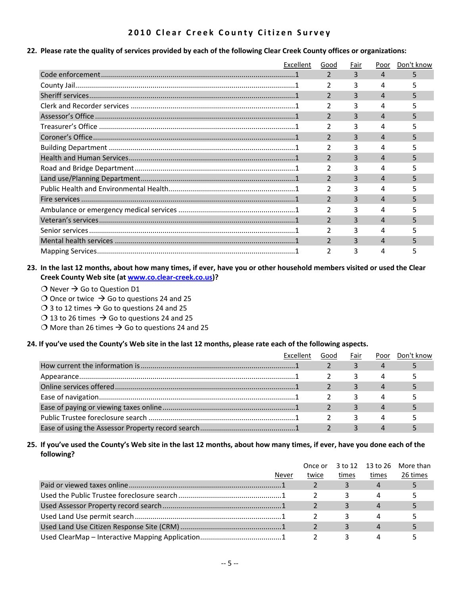#### 22. Please rate the quality of services provided by each of the following Clear Creek County offices or organizations:

| Excellent | Good           | Fair | Poor     | Don't know |
|-----------|----------------|------|----------|------------|
|           |                | 3    | 4        |            |
|           |                |      | 4        |            |
|           |                |      | Δ        |            |
|           |                |      | 4        |            |
|           |                |      | Δ        |            |
|           |                |      | Δ        |            |
|           |                | ર    | Δ        |            |
|           |                |      | 4        |            |
|           |                | ર    |          | 5          |
|           |                |      | 4        |            |
|           | $\mathcal{P}$  | ς    | $\Delta$ | 5          |
|           | $\overline{2}$ |      | Δ        |            |
|           | $\mathfrak{p}$ | 3    | Δ        | 5          |
|           |                |      |          |            |
|           | $\mathcal{P}$  | 3    | 4        |            |
|           | 2              | ς    | 4        |            |
|           | $\mathcal{P}$  | ੨    | Δ        |            |
|           | $\mathcal{P}$  |      | Δ        |            |

#### 23. In the last 12 months, about how many times, if ever, have you or other household members visited or used the Clear **Creek County Web site (at www.co.clear‐creek.co.us)?**

- $\bigcirc$  Never  $\rightarrow$  Go to Question D1
- O Once or twice  $\rightarrow$  Go to questions 24 and 25
- $\bigcirc$  3 to 12 times  $\bigcirc$  Go to questions 24 and 25
- $\bigcirc$  13 to 26 times  $\bigcirc$  Go to questions 24 and 25
- O More than 26 times  $\rightarrow$  Go to questions 24 and 25

#### 24. If you've used the County's Web site in the last 12 months, please rate each of the following aspects.

| <b>Excellent</b> | Good | Fair | Poor | Don't know |
|------------------|------|------|------|------------|
|                  |      |      | 4    |            |
|                  |      |      |      |            |
|                  |      |      | 4    |            |
|                  |      |      |      |            |
|                  |      |      |      |            |
|                  |      |      |      |            |
|                  |      |      |      |            |

#### 25. If you've used the County's Web site in the last 12 months, about how many times, if ever, have you done each of the **following?**

|       | Once or |       |       | 3 to 12 13 to 26 More than |
|-------|---------|-------|-------|----------------------------|
| Never | twice   | times | times | 26 times                   |
|       |         |       |       |                            |
|       |         |       |       |                            |
|       |         |       |       |                            |
|       |         |       |       |                            |
|       |         |       |       |                            |
|       |         |       |       |                            |